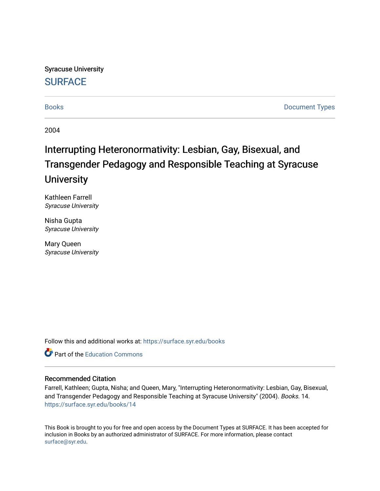Syracuse University **[SURFACE](https://surface.syr.edu/)** 

[Books](https://surface.syr.edu/books) **Document Types** 

2004

### Interrupting Heteronormativity: Lesbian, Gay, Bisexual, and Transgender Pedagogy and Responsible Teaching at Syracuse **University**

Kathleen Farrell Syracuse University

Nisha Gupta Syracuse University

Mary Queen Syracuse University

Follow this and additional works at: [https://surface.syr.edu/books](https://surface.syr.edu/books?utm_source=surface.syr.edu%2Fbooks%2F14&utm_medium=PDF&utm_campaign=PDFCoverPages) 



#### Recommended Citation

Farrell, Kathleen; Gupta, Nisha; and Queen, Mary, "Interrupting Heteronormativity: Lesbian, Gay, Bisexual, and Transgender Pedagogy and Responsible Teaching at Syracuse University" (2004). Books. 14. [https://surface.syr.edu/books/14](https://surface.syr.edu/books/14?utm_source=surface.syr.edu%2Fbooks%2F14&utm_medium=PDF&utm_campaign=PDFCoverPages) 

This Book is brought to you for free and open access by the Document Types at SURFACE. It has been accepted for inclusion in Books by an authorized administrator of SURFACE. For more information, please contact [surface@syr.edu.](mailto:surface@syr.edu)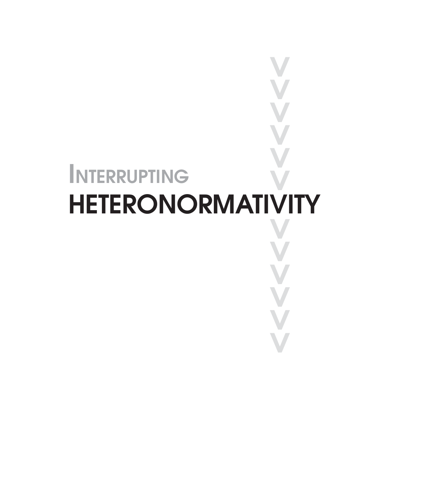# **>>>>>> >>>>>> INTERRUPTING HETERONORMATIVITY**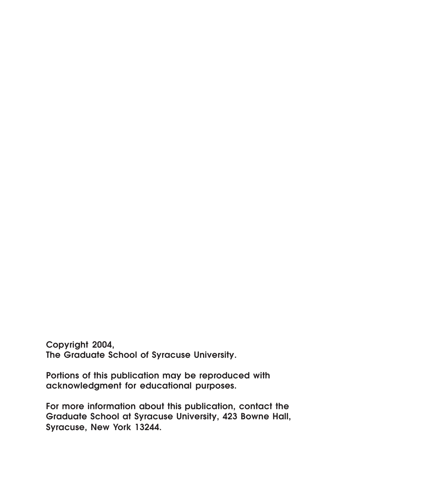**Copyright 2004, The Graduate School of Syracuse University.**

**Portions of this publication may be reproduced with acknowledgment for educational purposes.**

**For more information about this publication, contact the Graduate School at Syracuse University, 423 Bowne Hall, Syracuse, New York 13244.**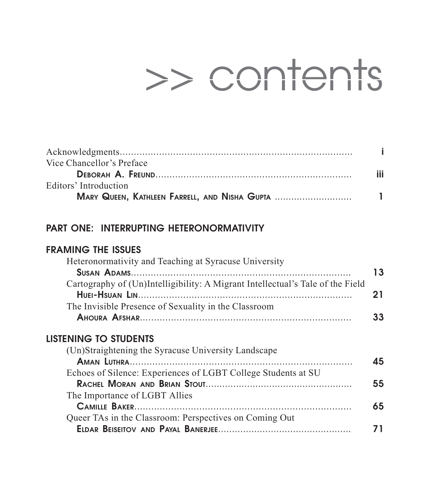# >> contents

|                                               | -i-          |
|-----------------------------------------------|--------------|
| Vice Chancellor's Preface                     |              |
|                                               | iii.         |
| Editors' Introduction                         |              |
| MARY QUEEN, KATHLEEN FARRELL, AND NISHA GUPTA | $\mathbf{1}$ |

#### **PART ONE: INTERRUPTING HETERONORMATIVITY**

#### **FRAMING THE ISSUES**

| Heteronormativity and Teaching at Syracuse University                          |    |
|--------------------------------------------------------------------------------|----|
|                                                                                | 13 |
| Cartography of (Un)Intelligibility: A Migrant Intellectual's Tale of the Field |    |
|                                                                                | 21 |
| The Invisible Presence of Sexuality in the Classroom                           |    |
|                                                                                | 33 |
| LISTENING TO STUDENTS                                                          |    |
| (Un)Straightening the Syracuse University Landscape                            |    |
|                                                                                | 45 |
| Echoes of Silence: Experiences of LGBT College Students at SU                  |    |
|                                                                                | 55 |
| The Importance of LGBT Allies                                                  |    |
|                                                                                | 65 |
| Queer TAs in the Classroom: Perspectives on Coming Out                         |    |
|                                                                                |    |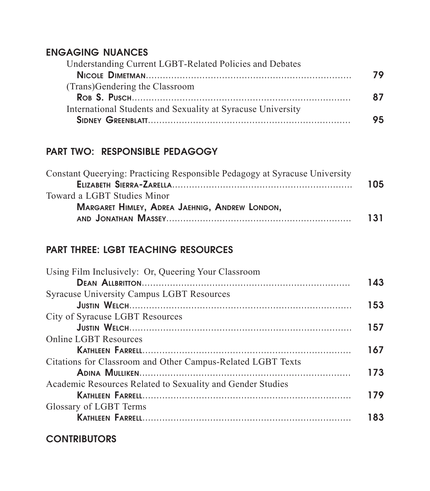#### **ENGAGING NUANCES**

| Understanding Current LGBT-Related Policies and Debates     |     |
|-------------------------------------------------------------|-----|
|                                                             | 70. |
| (Trans) Gendering the Classroom                             |     |
|                                                             |     |
| International Students and Sexuality at Syracuse University |     |
|                                                             | 95. |

#### **PART TWO: RESPONSIBLE PEDAGOGY**

| Constant Queerying: Practicing Responsible Pedagogy at Syracuse University |     |
|----------------------------------------------------------------------------|-----|
|                                                                            | 105 |
| Toward a LGBT Studies Minor                                                |     |
| MARGARET HIMLEY, ADREA JAEHNIG, ANDREW LONDON,                             |     |
|                                                                            | 131 |

#### **PART THREE: LGBT TEACHING RESOURCES**

| Using Film Inclusively: Or, Queering Your Classroom         |     |
|-------------------------------------------------------------|-----|
|                                                             | 143 |
| <b>Syracuse University Campus LGBT Resources</b>            |     |
|                                                             | 153 |
| City of Syracuse LGBT Resources                             |     |
|                                                             | 157 |
| Online LGBT Resources                                       |     |
|                                                             | 167 |
| Citations for Classroom and Other Campus-Related LGBT Texts |     |
|                                                             | 173 |
| Academic Resources Related to Sexuality and Gender Studies  |     |
|                                                             | 179 |
| Glossary of LGBT Terms                                      |     |
|                                                             | 183 |
|                                                             |     |

#### **CONTRIBUTORS**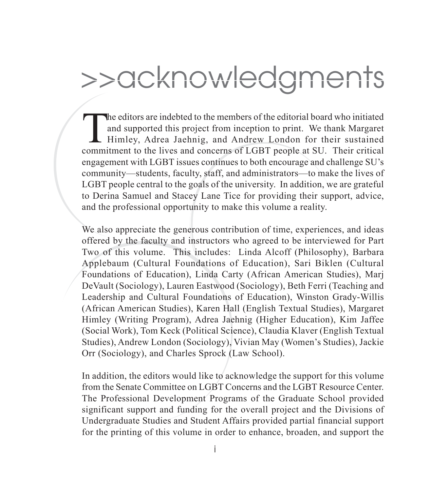# >>acknowledgments

The editors are indebted to the members of the editorial board who initiated<br>and supported this project from inception to print. We thank Margaret<br>Himley, Adrea Jaehnig, and Andrew London for their sustained<br>commitment to and supported this project from inception to print. We thank Margaret commitment to the lives and concerns of LGBT people at SU. Their critical engagement with LGBT issues continues to both encourage and challenge SU's community—students, faculty, staff, and administrators—to make the lives of LGBT people central to the goals of the university. In addition, we are grateful to Derina Samuel and Stacey Lane Tice for providing their support, advice, and the professional opportunity to make this volume a reality.

We also appreciate the generous contribution of time, experiences, and ideas offered by the faculty and instructors who agreed to be interviewed for Part Two of this volume. This includes: Linda Alcoff (Philosophy), Barbara Applebaum (Cultural Foundations of Education), Sari Biklen (Cultural Foundations of Education), Linda Carty (African American Studies), Marj DeVault (Sociology), Lauren Eastwood (Sociology), Beth Ferri (Teaching and Leadership and Cultural Foundations of Education), Winston Grady-Willis (African American Studies), Karen Hall (English Textual Studies), Margaret Himley (Writing Program), Adrea Jaehnig (Higher Education), Kim Jaffee (Social Work), Tom Keck (Political Science), Claudia Klaver (English Textual Studies), Andrew London (Sociology), Vivian May (Women's Studies), Jackie Orr (Sociology), and Charles Sprock (Law School).

In addition, the editors would like to acknowledge the support for this volume from the Senate Committee on LGBT Concerns and the LGBT Resource Center. The Professional Development Programs of the Graduate School provided significant support and funding for the overall project and the Divisions of Undergraduate Studies and Student Affairs provided partial financial support for the printing of this volume in order to enhance, broaden, and support the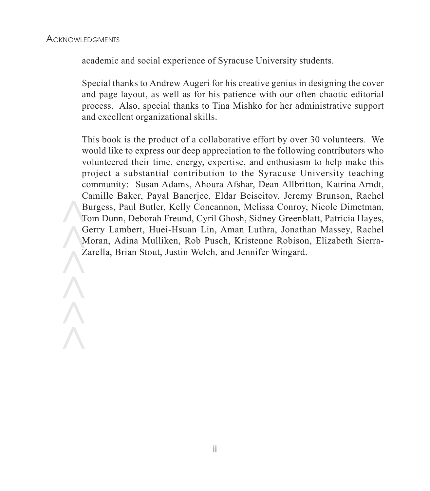academic and social experience of Syracuse University students.

Special thanks to Andrew Augeri for his creative genius in designing the cover and page layout, as well as for his patience with our often chaotic editorial process. Also, special thanks to Tina Mishko for her administrative support and excellent organizational skills.

>>>>>> This book is the product of a collaborative effort by over 30 volunteers. We would like to express our deep appreciation to the following contributors who volunteered their time, energy, expertise, and enthusiasm to help make this project a substantial contribution to the Syracuse University teaching community: Susan Adams, Ahoura Afshar, Dean Allbritton, Katrina Arndt, Camille Baker, Payal Banerjee, Eldar Beiseitov, Jeremy Brunson, Rachel Burgess, Paul Butler, Kelly Concannon, Melissa Conroy, Nicole Dimetman, Tom Dunn, Deborah Freund, Cyril Ghosh, Sidney Greenblatt, Patricia Hayes, Gerry Lambert, Huei-Hsuan Lin, Aman Luthra, Jonathan Massey, Rachel Moran, Adina Mulliken, Rob Pusch, Kristenne Robison, Elizabeth Sierra-Zarella, Brian Stout, Justin Welch, and Jennifer Wingard.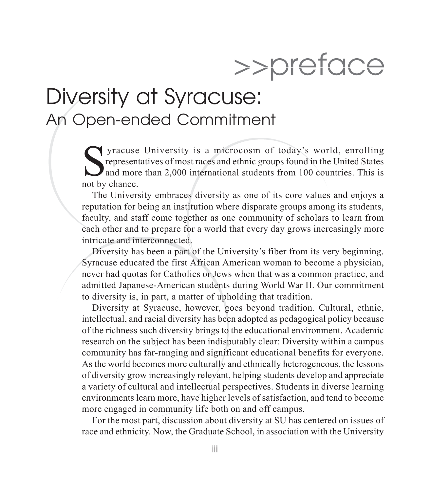# >>preface

## Diversity at Syracuse: An Open-ended Commitment

Syracuse University is a microcosm of today's world, enrolling<br>representatives of most races and ethnic groups found in the United States<br>and more than 2,000 international students from 100 countries. This is<br>not by change representatives of most races and ethnic groups found in the United States not by chance.

The University embraces diversity as one of its core values and enjoys a reputation for being an institution where disparate groups among its students, faculty, and staff come together as one community of scholars to learn from each other and to prepare for a world that every day grows increasingly more intricate and interconnected.

Diversity has been a part of the University's fiber from its very beginning. Syracuse educated the first African American woman to become a physician, never had quotas for Catholics or Jews when that was a common practice, and admitted Japanese-American students during World War II. Our commitment to diversity is, in part, a matter of upholding that tradition.

Diversity at Syracuse, however, goes beyond tradition. Cultural, ethnic, intellectual, and racial diversity has been adopted as pedagogical policy because of the richness such diversity brings to the educational environment. Academic research on the subject has been indisputably clear: Diversity within a campus community has far-ranging and significant educational benefits for everyone. As the world becomes more culturally and ethnically heterogeneous, the lessons of diversity grow increasingly relevant, helping students develop and appreciate a variety of cultural and intellectual perspectives. Students in diverse learning environments learn more, have higher levels of satisfaction, and tend to become more engaged in community life both on and off campus.

For the most part, discussion about diversity at SU has centered on issues of race and ethnicity. Now, the Graduate School, in association with the University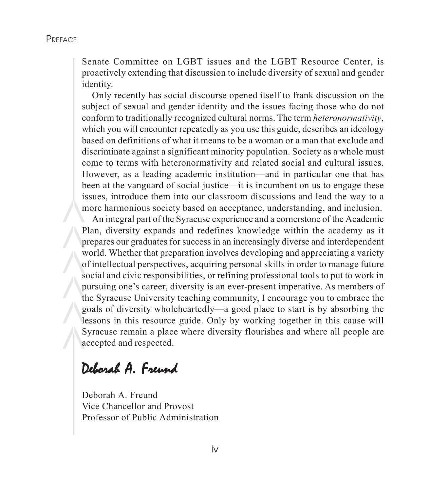Senate Committee on LGBT issues and the LGBT Resource Center, is proactively extending that discussion to include diversity of sexual and gender identity.

Only recently has social discourse opened itself to frank discussion on the subject of sexual and gender identity and the issues facing those who do not conform to traditionally recognized cultural norms. The term *heteronormativity*, which you will encounter repeatedly as you use this guide, describes an ideology based on definitions of what it means to be a woman or a man that exclude and discriminate against a significant minority population. Society as a whole must come to terms with heteronormativity and related social and cultural issues. However, as a leading academic institution—and in particular one that has been at the vanguard of social justice—it is incumbent on us to engage these issues, introduce them into our classroom discussions and lead the way to a more harmonious society based on acceptance, understanding, and inclusion.

>>>>>> An integral part of the Syracuse experience and a cornerstone of the Academic Plan, diversity expands and redefines knowledge within the academy as it prepares our graduates for success in an increasingly diverse and interdependent world. Whether that preparation involves developing and appreciating a variety of intellectual perspectives, acquiring personal skills in order to manage future social and civic responsibilities, or refining professional tools to put to work in pursuing one's career, diversity is an ever-present imperative. As members of the Syracuse University teaching community, I encourage you to embrace the goals of diversity wholeheartedly—a good place to start is by absorbing the lessons in this resource guide. Only by working together in this cause will Syracuse remain a place where diversity flourishes and where all people are accepted and respected.

### Deborah A. Freund

Deborah A. Freund Vice Chancellor and Provost Professor of Public Administration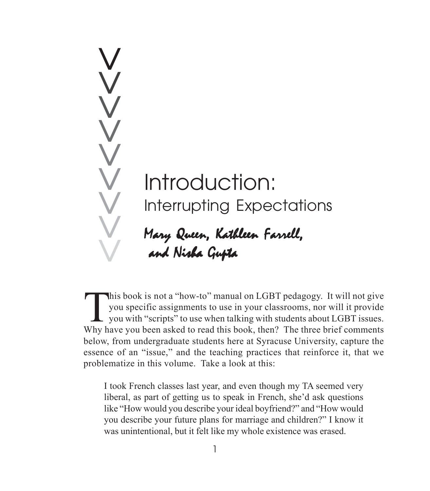

## Introduction: Interrupting Expectations

Mary Queen, Kathleen Farrell, and Nisha Gupta

This book is not a "how-to" manual on LGBT pedagogy. It will not give<br>you specific assignments to use in your classrooms, nor will it provide<br>you with "scripts" to use when talking with students about LGBT issues.<br>Why have you specific assignments to use in your classrooms, nor will it provide you with "scripts" to use when talking with students about LGBT issues. Why have you been asked to read this book, then? The three brief comments below, from undergraduate students here at Syracuse University, capture the essence of an "issue," and the teaching practices that reinforce it, that we problematize in this volume. Take a look at this:

I took French classes last year, and even though my TA seemed very liberal, as part of getting us to speak in French, she'd ask questions like "How would you describe your ideal boyfriend?" and "How would you describe your future plans for marriage and children?" I know it was unintentional, but it felt like my whole existence was erased.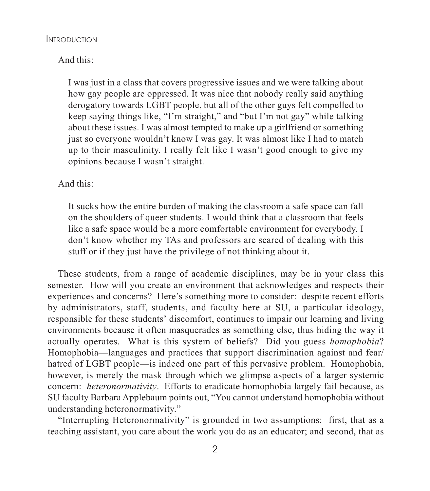#### And this:

I was just in a class that covers progressive issues and we were talking about how gay people are oppressed. It was nice that nobody really said anything derogatory towards LGBT people, but all of the other guys felt compelled to keep saying things like, "I'm straight," and "but I'm not gay" while talking about these issues. I was almost tempted to make up a girlfriend or something just so everyone wouldn't know I was gay. It was almost like I had to match up to their masculinity. I really felt like I wasn't good enough to give my opinions because I wasn't straight.

#### And this:

It sucks how the entire burden of making the classroom a safe space can fall on the shoulders of queer students. I would think that a classroom that feels like a safe space would be a more comfortable environment for everybody. I don't know whether my TAs and professors are scared of dealing with this stuff or if they just have the privilege of not thinking about it.

These students, from a range of academic disciplines, may be in your class this semester. How will you create an environment that acknowledges and respects their experiences and concerns? Here's something more to consider: despite recent efforts by administrators, staff, students, and faculty here at SU, a particular ideology, responsible for these students' discomfort, continues to impair our learning and living environments because it often masquerades as something else, thus hiding the way it actually operates. What is this system of beliefs? Did you guess *homophobia*? Homophobia—languages and practices that support discrimination against and fear/ hatred of LGBT people—is indeed one part of this pervasive problem. Homophobia, however, is merely the mask through which we glimpse aspects of a larger systemic concern: *heteronormativity*. Efforts to eradicate homophobia largely fail because, as SU faculty Barbara Applebaum points out, "You cannot understand homophobia without understanding heteronormativity."

"Interrupting Heteronormativity" is grounded in two assumptions: first, that as a teaching assistant, you care about the work you do as an educator; and second, that as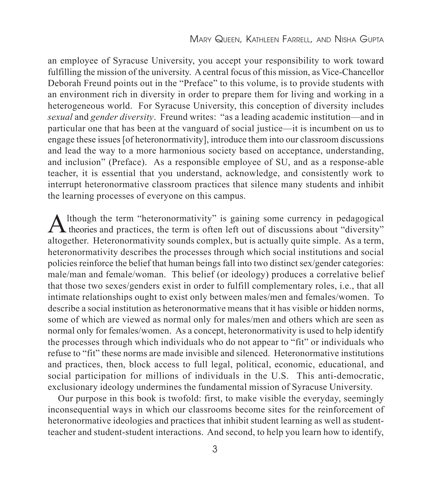an employee of Syracuse University, you accept your responsibility to work toward fulfilling the mission of the university. A central focus of this mission, as Vice-Chancellor Deborah Freund points out in the "Preface" to this volume, is to provide students with an environment rich in diversity in order to prepare them for living and working in a heterogeneous world. For Syracuse University, this conception of diversity includes *sexual* and *gender diversity*. Freund writes: "as a leading academic institution—and in particular one that has been at the vanguard of social justice—it is incumbent on us to engage these issues [of heteronormativity], introduce them into our classroom discussions and lead the way to a more harmonious society based on acceptance, understanding, and inclusion" (Preface). As a responsible employee of SU, and as a response-able teacher, it is essential that you understand, acknowledge, and consistently work to interrupt heteronormative classroom practices that silence many students and inhibit the learning processes of everyone on this campus.

A lthough the term "heteronormativity" is gaining some currency in pedagogical theories and practices, the term is often left out of discussions about "diversity" altogether. Heteronormativity sounds complex, but is actually quite simple. As a term, heteronormativity describes the processes through which social institutions and social policies reinforce the belief that human beings fall into two distinct sex/gender categories: male/man and female/woman. This belief (or ideology) produces a correlative belief that those two sexes/genders exist in order to fulfill complementary roles, i.e., that all intimate relationships ought to exist only between males/men and females/women. To describe a social institution as heteronormative means that it has visible or hidden norms, some of which are viewed as normal only for males/men and others which are seen as normal only for females/women. As a concept, heteronormativity is used to help identify the processes through which individuals who do not appear to "fit" or individuals who refuse to "fit" these norms are made invisible and silenced. Heteronormative institutions and practices, then, block access to full legal, political, economic, educational, and social participation for millions of individuals in the U.S. This anti-democratic, exclusionary ideology undermines the fundamental mission of Syracuse University.

Our purpose in this book is twofold: first, to make visible the everyday, seemingly inconsequential ways in which our classrooms become sites for the reinforcement of heteronormative ideologies and practices that inhibit student learning as well as studentteacher and student-student interactions. And second, to help you learn how to identify,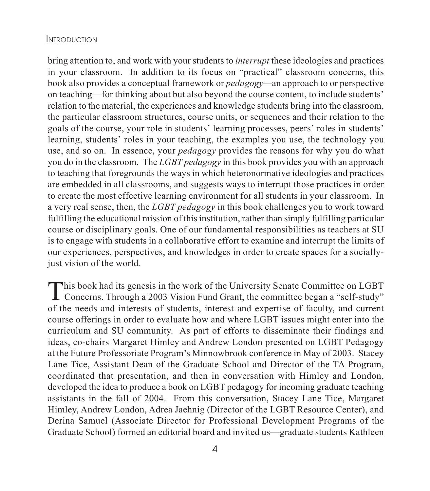#### INTRODUCTION

bring attention to, and work with your students to *interrupt* these ideologies and practices in your classroom. In addition to its focus on "practical" classroom concerns, this book also provides a conceptual framework or *pedagogy—*an approach to or perspective on teaching—for thinking about but also beyond the course content, to include students' relation to the material, the experiences and knowledge students bring into the classroom, the particular classroom structures, course units, or sequences and their relation to the goals of the course, your role in students' learning processes, peers' roles in students' learning, students' roles in your teaching, the examples you use, the technology you use, and so on. In essence, your *pedagogy* provides the reasons for why you do what you do in the classroom. The *LGBT pedagogy* in this book provides you with an approach to teaching that foregrounds the ways in which heteronormative ideologies and practices are embedded in all classrooms, and suggests ways to interrupt those practices in order to create the most effective learning environment for all students in your classroom. In a very real sense, then, the *LGBT pedagogy* in this book challenges you to work toward fulfilling the educational mission of this institution, rather than simply fulfilling particular course or disciplinary goals. One of our fundamental responsibilities as teachers at SU is to engage with students in a collaborative effort to examine and interrupt the limits of our experiences, perspectives, and knowledges in order to create spaces for a sociallyjust vision of the world.

This book had its genesis in the work of the University Senate Committee on LGBT Concerns. Through a 2003 Vision Fund Grant, the committee began a "self-study" of the needs and interests of students, interest and expertise of faculty, and current course offerings in order to evaluate how and where LGBT issues might enter into the curriculum and SU community. As part of efforts to disseminate their findings and ideas, co-chairs Margaret Himley and Andrew London presented on LGBT Pedagogy at the Future Professoriate Program's Minnowbrook conference in May of 2003. Stacey Lane Tice, Assistant Dean of the Graduate School and Director of the TA Program, coordinated that presentation, and then in conversation with Himley and London, developed the idea to produce a book on LGBT pedagogy for incoming graduate teaching assistants in the fall of 2004. From this conversation, Stacey Lane Tice, Margaret Himley, Andrew London, Adrea Jaehnig (Director of the LGBT Resource Center), and Derina Samuel (Associate Director for Professional Development Programs of the Graduate School) formed an editorial board and invited us—graduate students Kathleen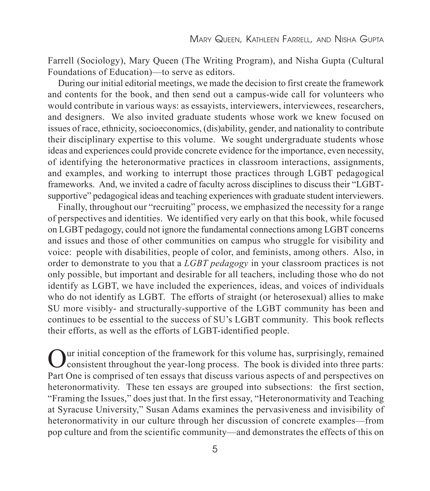Farrell (Sociology), Mary Queen (The Writing Program), and Nisha Gupta (Cultural Foundations of Education)—to serve as editors.

During our initial editorial meetings, we made the decision to first create the framework and contents for the book, and then send out a campus-wide call for volunteers who would contribute in various ways: as essayists, interviewers, interviewees, researchers, and designers. We also invited graduate students whose work we knew focused on issues of race, ethnicity, socioeconomics, (dis)ability, gender, and nationality to contribute their disciplinary expertise to this volume. We sought undergraduate students whose ideas and experiences could provide concrete evidence for the importance, even necessity, of identifying the heteronormative practices in classroom interactions, assignments, and examples, and working to interrupt those practices through LGBT pedagogical frameworks. And, we invited a cadre of faculty across disciplines to discuss their "LGBTsupportive" pedagogical ideas and teaching experiences with graduate student interviewers.

Finally, throughout our "recruiting" process, we emphasized the necessity for a range of perspectives and identities. We identified very early on that this book, while focused on LGBT pedagogy, could not ignore the fundamental connections among LGBT concerns and issues and those of other communities on campus who struggle for visibility and voice: people with disabilities, people of color, and feminists, among others. Also, in order to demonstrate to you that a *LGBT pedagogy* in your classroom practices is not only possible, but important and desirable for all teachers, including those who do not identify as LGBT, we have included the experiences, ideas, and voices of individuals who do not identify as LGBT. The efforts of straight (or heterosexual) allies to make SU more visibly- and structurally-supportive of the LGBT community has been and continues to be essential to the success of SU's LGBT community. This book reflects their efforts, as well as the efforts of LGBT-identified people.

Our initial conception of the framework for this volume has, surprisingly, remained consistent throughout the year-long process. The book is divided into three parts: Part One is comprised of ten essays that discuss various aspects of and perspectives on heteronormativity. These ten essays are grouped into subsections: the first section, "Framing the Issues," does just that. In the first essay, "Heteronormativity and Teaching at Syracuse University," Susan Adams examines the pervasiveness and invisibility of heteronormativity in our culture through her discussion of concrete examples—from pop culture and from the scientific community—and demonstrates the effects of this on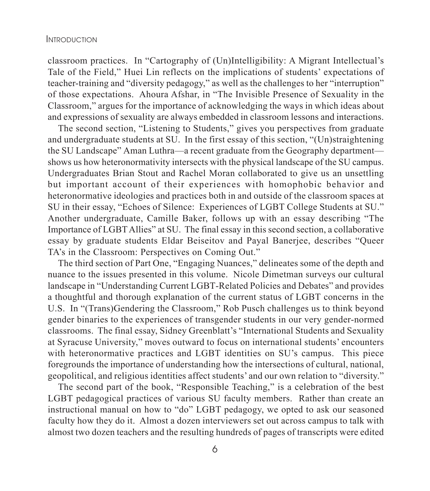classroom practices. In "Cartography of (Un)Intelligibility: A Migrant Intellectual's Tale of the Field," Huei Lin reflects on the implications of students' expectations of teacher-training and "diversity pedagogy," as well as the challenges to her "interruption" of those expectations. Ahoura Afshar, in "The Invisible Presence of Sexuality in the Classroom," argues for the importance of acknowledging the ways in which ideas about and expressions of sexuality are always embedded in classroom lessons and interactions.

The second section, "Listening to Students," gives you perspectives from graduate and undergraduate students at SU. In the first essay of this section, "(Un)straightening the SU Landscape" Aman Luthra—a recent graduate from the Geography department shows us how heteronormativity intersects with the physical landscape of the SU campus. Undergraduates Brian Stout and Rachel Moran collaborated to give us an unsettling but important account of their experiences with homophobic behavior and heteronormative ideologies and practices both in and outside of the classroom spaces at SU in their essay, "Echoes of Silence: Experiences of LGBT College Students at SU." Another undergraduate, Camille Baker, follows up with an essay describing "The Importance of LGBT Allies" at SU. The final essay in this second section, a collaborative essay by graduate students Eldar Beiseitov and Payal Banerjee, describes "Queer TA's in the Classroom: Perspectives on Coming Out."

The third section of Part One, "Engaging Nuances," delineates some of the depth and nuance to the issues presented in this volume. Nicole Dimetman surveys our cultural landscape in "Understanding Current LGBT-Related Policies and Debates" and provides a thoughtful and thorough explanation of the current status of LGBT concerns in the U.S. In "(Trans)Gendering the Classroom," Rob Pusch challenges us to think beyond gender binaries to the experiences of transgender students in our very gender-normed classrooms. The final essay, Sidney Greenblatt's "International Students and Sexuality at Syracuse University," moves outward to focus on international students' encounters with heteronormative practices and LGBT identities on SU's campus. This piece foregrounds the importance of understanding how the intersections of cultural, national, geopolitical, and religious identities affect students' and our own relation to "diversity."

The second part of the book, "Responsible Teaching," is a celebration of the best LGBT pedagogical practices of various SU faculty members. Rather than create an instructional manual on how to "do" LGBT pedagogy, we opted to ask our seasoned faculty how they do it. Almost a dozen interviewers set out across campus to talk with almost two dozen teachers and the resulting hundreds of pages of transcripts were edited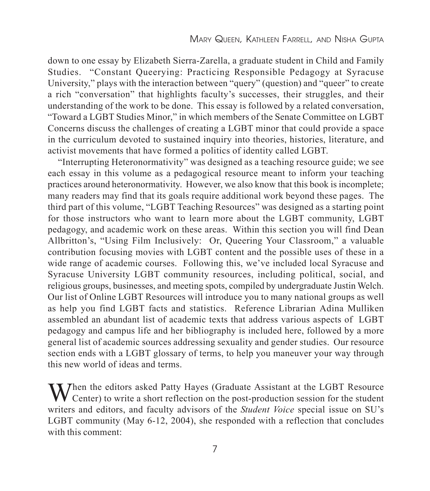down to one essay by Elizabeth Sierra-Zarella, a graduate student in Child and Family Studies. "Constant Queerying: Practicing Responsible Pedagogy at Syracuse University," plays with the interaction between "query" (question) and "queer" to create a rich "conversation" that highlights faculty's successes, their struggles, and their understanding of the work to be done. This essay is followed by a related conversation, "Toward a LGBT Studies Minor," in which members of the Senate Committee on LGBT Concerns discuss the challenges of creating a LGBT minor that could provide a space in the curriculum devoted to sustained inquiry into theories, histories, literature, and activist movements that have formed a politics of identity called LGBT.

"Interrupting Heteronormativity" was designed as a teaching resource guide; we see each essay in this volume as a pedagogical resource meant to inform your teaching practices around heteronormativity. However, we also know that this book is incomplete; many readers may find that its goals require additional work beyond these pages. The third part of this volume, "LGBT Teaching Resources" was designed as a starting point for those instructors who want to learn more about the LGBT community, LGBT pedagogy, and academic work on these areas. Within this section you will find Dean Allbritton's, "Using Film Inclusively: Or, Queering Your Classroom," a valuable contribution focusing movies with LGBT content and the possible uses of these in a wide range of academic courses. Following this, we've included local Syracuse and Syracuse University LGBT community resources, including political, social, and religious groups, businesses, and meeting spots, compiled by undergraduate Justin Welch. Our list of Online LGBT Resources will introduce you to many national groups as well as help you find LGBT facts and statistics. Reference Librarian Adina Mulliken assembled an abundant list of academic texts that address various aspects of LGBT pedagogy and campus life and her bibliography is included here, followed by a more general list of academic sources addressing sexuality and gender studies. Our resource section ends with a LGBT glossary of terms, to help you maneuver your way through this new world of ideas and terms.

When the editors asked Patty Hayes (Graduate Assistant at the LGBT Resource Center) to write a short reflection on the post-production session for the student writers and editors, and faculty advisors of the *Student Voice* special issue on SU's LGBT community (May 6-12, 2004), she responded with a reflection that concludes with this comment: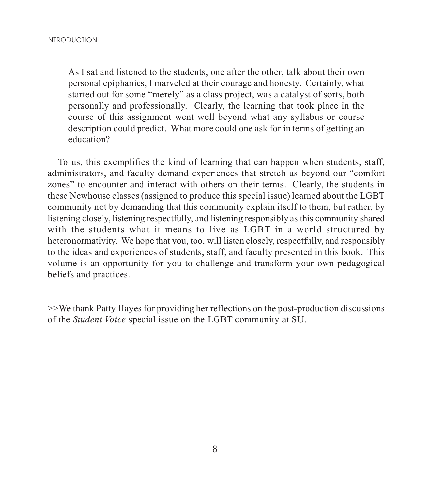As I sat and listened to the students, one after the other, talk about their own personal epiphanies, I marveled at their courage and honesty. Certainly, what started out for some "merely" as a class project, was a catalyst of sorts, both personally and professionally. Clearly, the learning that took place in the course of this assignment went well beyond what any syllabus or course description could predict. What more could one ask for in terms of getting an education?

To us, this exemplifies the kind of learning that can happen when students, staff, administrators, and faculty demand experiences that stretch us beyond our "comfort zones" to encounter and interact with others on their terms. Clearly, the students in these Newhouse classes (assigned to produce this special issue) learned about the LGBT community not by demanding that this community explain itself to them, but rather, by listening closely, listening respectfully, and listening responsibly as this community shared with the students what it means to live as LGBT in a world structured by heteronormativity. We hope that you, too, will listen closely, respectfully, and responsibly to the ideas and experiences of students, staff, and faculty presented in this book. This volume is an opportunity for you to challenge and transform your own pedagogical beliefs and practices.

>>We thank Patty Hayes for providing her reflections on the post-production discussions of the *Student Voice* special issue on the LGBT community at SU.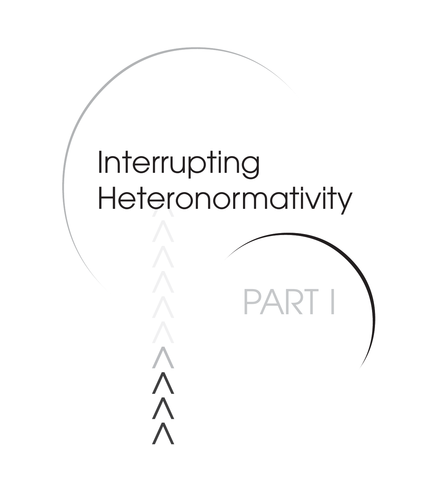# Interrupting Heteronormativity

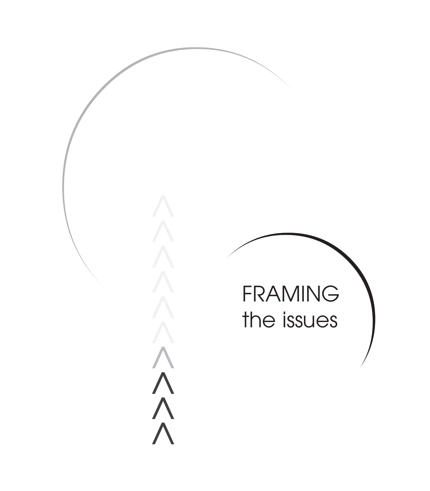# FRAMING the issues

>>>>>>>><br>>>>>>

 $\hat{\wedge}$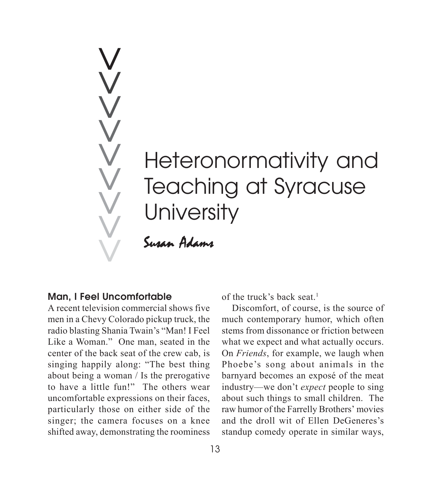

## Heteronormativity and Teaching at Syracuse **University**

**Man, I Feel Uncomfortable**

A recent television commercial shows five men in a Chevy Colorado pickup truck, the radio blasting Shania Twain's "Man! I Feel Like a Woman." One man, seated in the center of the back seat of the crew cab, is singing happily along: "The best thing about being a woman / Is the prerogative to have a little fun!" The others wear uncomfortable expressions on their faces, particularly those on either side of the singer; the camera focuses on a knee shifted away, demonstrating the roominess

Susan Adams

of the truck's back seat.<sup>1</sup>

Discomfort, of course, is the source of much contemporary humor, which often stems from dissonance or friction between what we expect and what actually occurs. On *Friends*, for example, we laugh when Phoebe's song about animals in the barnyard becomes an exposé of the meat industry—we don't *expect* people to sing about such things to small children. The raw humor of the Farrelly Brothers' movies and the droll wit of Ellen DeGeneres's standup comedy operate in similar ways,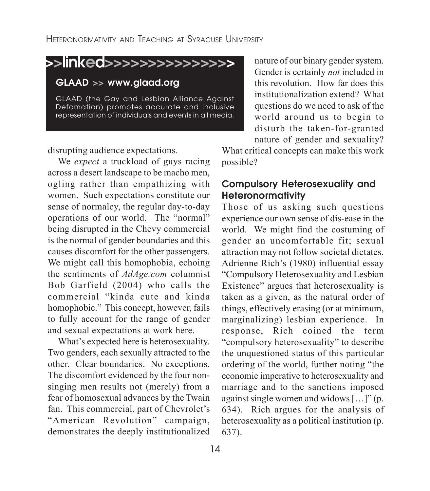HETERONORMATIVITY AND TEACHING AT SYRACUSE UNIVERSITY



**GLAAD >> www.glaad.org**

GLAAD (the Gay and Lesbian Alliance Against Defamation) promotes accurate and inclusive representation of individuals and events in all media. nature of our binary gender system. Gender is certainly *not* included in this revolution. How far does this institutionalization extend? What questions do we need to ask of the world around us to begin to disturb the taken-for-granted nature of gender and sexuality?

disrupting audience expectations.

We *expect* a truckload of guys racing across a desert landscape to be macho men, ogling rather than empathizing with women. Such expectations constitute our sense of normalcy, the regular day-to-day operations of our world. The "normal" being disrupted in the Chevy commercial is the normal of gender boundaries and this causes discomfort for the other passengers. We might call this homophobia, echoing the sentiments of *AdAge.com* columnist Bob Garfield (2004) who calls the commercial "kinda cute and kinda homophobic." This concept, however, fails to fully account for the range of gender and sexual expectations at work here.

What's expected here is heterosexuality. Two genders, each sexually attracted to the other. Clear boundaries. No exceptions. The discomfort evidenced by the four nonsinging men results not (merely) from a fear of homosexual advances by the Twain fan. This commercial, part of Chevrolet's "American Revolution" campaign, demonstrates the deeply institutionalized

What critical concepts can make this work possible?

#### **Compulsory Heterosexuality and Heteronormativity**

Those of us asking such questions experience our own sense of dis-ease in the world. We might find the costuming of gender an uncomfortable fit; sexual attraction may not follow societal dictates. Adrienne Rich's (1980) influential essay "Compulsory Heterosexuality and Lesbian Existence" argues that heterosexuality is taken as a given, as the natural order of things, effectively erasing (or at minimum, marginalizing) lesbian experience. In response, Rich coined the term "compulsory heterosexuality" to describe the unquestioned status of this particular ordering of the world, further noting "the economic imperative to heterosexuality and marriage and to the sanctions imposed against single women and widows […]" (p. 634). Rich argues for the analysis of heterosexuality as a political institution (p. 637).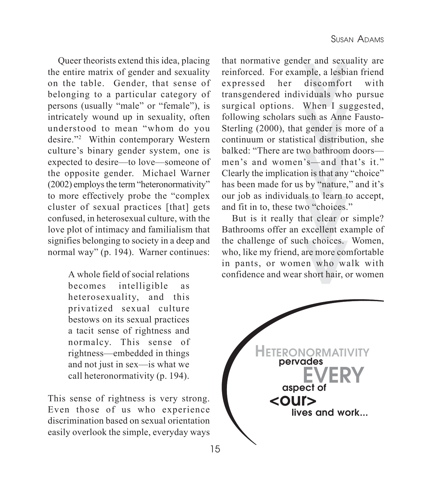the entire matrix of gender and sexuality Queer theorists extend this idea, placing on the table. Gender, that sense of belonging to a particular category of persons (usually "male" or "female"), is intricately wound up in sexuality, often understood to mean "whom do you desire."2 Within contemporary Western culture's binary gender system, one is expected to desire—to love—someone of the opposite gender. Michael Warner (2002) employs the term "heteronormativity" to more effectively probe the "complex cluster of sexual practices [that] gets confused, in heterosexual culture, with the love plot of intimacy and familialism that signifies belonging to society in a deep and normal way" (p. 194). Warner continues:

> A whole field of social relations becomes intelligible as heterosexuality, and this privatized sexual culture bestows on its sexual practices a tacit sense of rightness and normalcy. This sense of rightness—embedded in things and not just in sex—is what we call heteronormativity (p. 194).

This sense of rightness is very strong. Even those of us who experience discrimination based on sexual orientation easily overlook the simple, everyday ways

ple, a lesbi<br>ple, a lesbi<br>discomfor<br>iduals when I su<br>when I su<br>uch as Anno<br>gender is r<br>cal distribution<br>is that any<br>by "nature,<br>s to learn t<br>o "choices.<br>aat clear or<br>excellent ex<br>b choices.<br>preview the choices.<br>preview the that normative gender and sexuality are reinforced. For example, a lesbian friend expressed her discomfort with transgendered individuals who pursue surgical options. When I suggested, following scholars such as Anne Fausto-Sterling (2000), that gender is more of a continuum or statistical distribution, she balked: "There are two bathroom doors men's and women's—and that's it." Clearly the implication is that any "choice" has been made for us by "nature," and it's our job as individuals to learn to accept, and fit in to, these two "choices."

But is it really that clear or simple? Bathrooms offer an excellent example of the challenge of such choices. Women, who, like my friend, are more comfortable in pants, or women who walk with confidence and wear short hair, or women

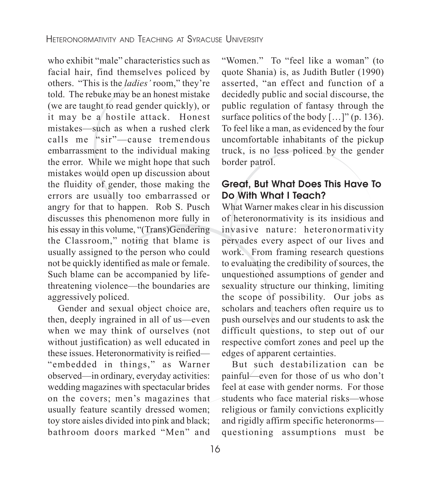who exhibit "male" characteristics such as facial hair, find themselves policed by others. "This is the *ladies'* room," they're told. The rebuke may be an honest mistake (we are taught to read gender quickly), or it may be a hostile attack. Honest mistakes—such as when a rushed clerk calls me "sir"—cause tremendous embarrassment to the individual making the error. While we might hope that such mistakes would open up discussion about the fluidity of gender, those making the errors are usually too embarrassed or angry for that to happen. Rob S. Pusch discusses this phenomenon more fully in his essay in this volume, "(Trans)Gendering the Classroom," noting that blame is usually assigned to the person who could not be quickly identified as male or female. Such blame can be accompanied by lifethreatening violence—the boundaries are aggressively policed.

Gender and sexual object choice are, then, deeply ingrained in all of us—even when we may think of ourselves (not without justification) as well educated in these issues. Heteronormativity is reified— "embedded in things," as Warner observed—in ordinary, everyday activities: wedding magazines with spectacular brides on the covers; men's magazines that usually feature scantily dressed women; toy store aisles divided into pink and black; bathroom doors marked "Men" and

"Women." To "feel like a woman" (to quote Shania) is, as Judith Butler (1990) asserted, "an effect and function of a decidedly public and social discourse, the public regulation of fantasy through the surface politics of the body  $[\dots]$ " (p. 136). To feel like a man, as evidenced by the four uncomfortable inhabitants of the pickup truck, is no less policed by the gender border patrol.

#### **Great, But What Does This Have To Do With What I Teach?**

What Warner makes clear in his discussion of heteronormativity is its insidious and invasive nature: heteronormativity pervades every aspect of our lives and work. From framing research questions to evaluating the credibility of sources, the unquestioned assumptions of gender and sexuality structure our thinking, limiting the scope of possibility. Our jobs as scholars and teachers often require us to push ourselves and our students to ask the difficult questions, to step out of our respective comfort zones and peel up the edges of apparent certainties.

But such destabilization can be painful—even for those of us who don't feel at ease with gender norms. For those students who face material risks—whose religious or family convictions explicitly and rigidly affirm specific heteronorms questioning assumptions must be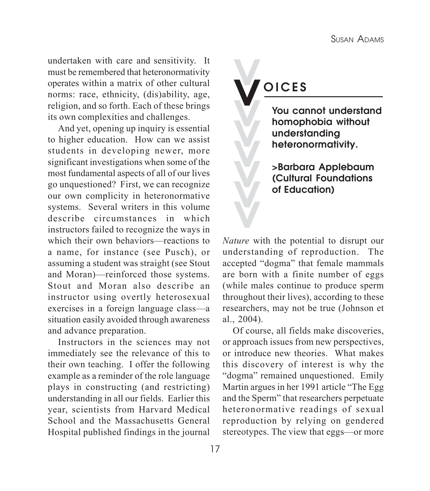undertaken with care and sensitivity. It must be remembered that heteronormativity operates within a matrix of other cultural norms: race, ethnicity, (dis)ability, age, religion, and so forth. Each of these brings its own complexities and challenges.

And yet, opening up inquiry is essential to higher education. How can we assist students in developing newer, more significant investigations when some of the most fundamental aspects of all of our lives go unquestioned? First, we can recognize our own complicity in heteronormative systems. Several writers in this volume describe circumstances in which instructors failed to recognize the ways in which their own behaviors—reactions to a name, for instance (see Pusch), or assuming a student was straight (see Stout and Moran)—reinforced those systems. Stout and Moran also describe an instructor using overtly heterosexual exercises in a foreign language class—a situation easily avoided through awareness and advance preparation.

Instructors in the sciences may not immediately see the relevance of this to their own teaching. I offer the following example as a reminder of the role language plays in constructing (and restricting) understanding in all our fields. Earlier this year, scientists from Harvard Medical School and the Massachusetts General Hospital published findings in the journal

# **>>>>>>>> OICES**

**You cannot understand homophobia without understanding heteronormativity.**

**>Barbara Applebaum (Cultural Foundations of Education)**

*Nature* with the potential to disrupt our understanding of reproduction. The accepted "dogma" that female mammals are born with a finite number of eggs (while males continue to produce sperm throughout their lives), according to these researchers, may not be true (Johnson et al., 2004).

Of course, all fields make discoveries, or approach issues from new perspectives, or introduce new theories. What makes this discovery of interest is why the "dogma" remained unquestioned. Emily Martin argues in her 1991 article "The Egg and the Sperm" that researchers perpetuate heteronormative readings of sexual reproduction by relying on gendered stereotypes. The view that eggs—or more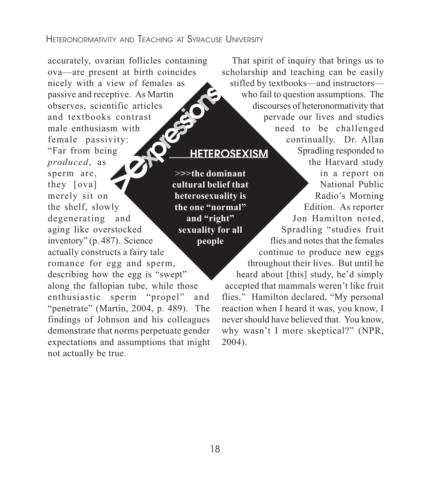#### HETERONORMATIVITY AND TEACHING AT SYRACUSE UNIVERSITY

accurately, ovarian follicles containing ova—are present at birth coincides nicely with a view of females as passive and receptive. As Martin observes, scientific articles and textbooks contrast male enthusiasm with female passivity: "Far from being *produced*, as sperm are, they [ova] merely sit on the shelf, slowly degenerating and aging like overstocked inventory" (p. 487). Science actually constructs a fairy tale romance for egg and sperm, describing how the egg is "swept" along the fallopian tube, while those enthusiastic sperm "propel" and "penetrate" (Martin, 2004, p. 489). The findings of Johnson and his colleagues demonstrate that norms perpetuate gender expectations and assumptions that might not actually be true. **>expressions >>>the dominant cultural belief that heterosexuality is the one "normal" and "right" sexuality for all people**

That spirit of inquiry that brings us to scholarship and teaching can be easily stifled by textbooks—and instructors who fail to question assumptions. The discourses of heteronormativity that pervade our lives and studies need to be challenged continually. Dr. Allan Spradling responded to the Harvard study in a report on National Public Radio's Morning Edition. As reporter Jon Hamilton noted, Spradling "studies fruit flies and notes that the females continue to produce new eggs throughout their lives. But until he heard about [this] study, he'd simply accepted that mammals weren't like fruit flies." Hamilton declared, "My personal reaction when I heard it was, you know, I never should have believed that. You know, why wasn't I more skeptical?" (NPR, 2004). **HETEROSEXISM**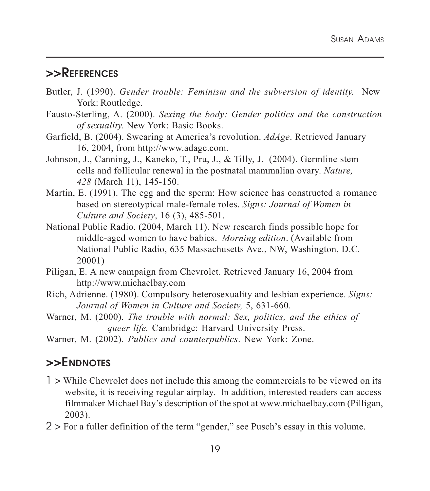#### **>>REFERENCES**

- Butler, J. (1990). *Gender trouble: Feminism and the subversion of identity.* New York: Routledge.
- Fausto-Sterling, A. (2000). *Sexing the body: Gender politics and the construction of sexuality.* New York: Basic Books.
- Garfield, B. (2004). Swearing at America's revolution. *AdAge*. Retrieved January 16, 2004, from http://www.adage.com.
- Johnson, J., Canning, J., Kaneko, T., Pru, J., & Tilly, J. (2004). Germline stem cells and follicular renewal in the postnatal mammalian ovary. *Nature, 428* (March 11), 145-150.
- Martin, E. (1991). The egg and the sperm: How science has constructed a romance based on stereotypical male-female roles. *Signs: Journal of Women in Culture and Society*, 16 (3), 485-501.
- National Public Radio. (2004, March 11). New research finds possible hope for middle-aged women to have babies. *Morning edition*. (Available from National Public Radio, 635 Massachusetts Ave., NW, Washington, D.C. 20001)
- Piligan, E. A new campaign from Chevrolet. Retrieved January 16, 2004 from http://www.michaelbay.com
- Rich, Adrienne. (1980). Compulsory heterosexuality and lesbian experience. *Signs: Journal of Women in Culture and Society,* 5, 631-660.
- Warner, M. (2000). *The trouble with normal: Sex, politics, and the ethics of queer life.* Cambridge: Harvard University Press.
- Warner, M. (2002). *Publics and counterpublics*. New York: Zone.

#### **>>ENDNOTES**

- 1 > While Chevrolet does not include this among the commercials to be viewed on its website, it is receiving regular airplay. In addition, interested readers can access filmmaker Michael Bay's description of the spot at www.michaelbay.com (Pilligan, 2003).
- $2 >$  For a fuller definition of the term "gender," see Pusch's essay in this volume.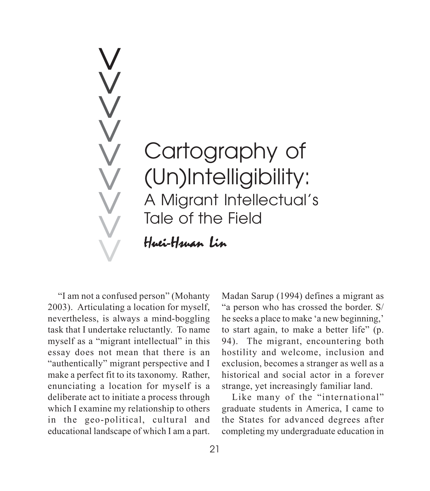

## Cartography of (Un)Intelligibility: A Migrant Intellectual's Tale of the Field

Huei-Hsuan Lin Huei-Hsuan Lin

"I am not a confused person" (Mohanty 2003). Articulating a location for myself, nevertheless, is always a mind-boggling task that I undertake reluctantly. To name myself as a "migrant intellectual" in this essay does not mean that there is an "authentically" migrant perspective and I make a perfect fit to its taxonomy. Rather, enunciating a location for myself is a deliberate act to initiate a process through which I examine my relationship to others in the geo-political, cultural and educational landscape of which I am a part.

Madan Sarup (1994) defines a migrant as "a person who has crossed the border. S/ he seeks a place to make 'a new beginning,' to start again, to make a better life" (p. 94). The migrant, encountering both hostility and welcome, inclusion and exclusion, becomes a stranger as well as a historical and social actor in a forever strange, yet increasingly familiar land.

Like many of the "international" graduate students in America, I came to the States for advanced degrees after completing my undergraduate education in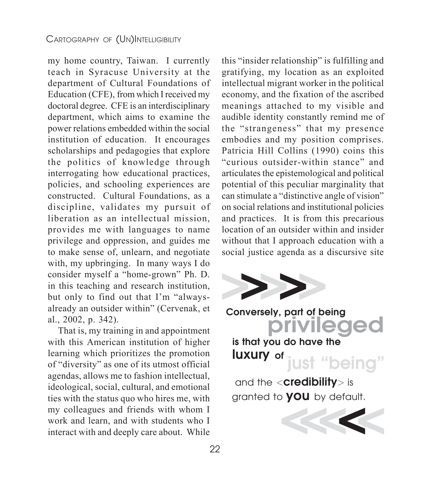#### CARTOGRAPHY OF (UN)INTELLIGIBILITY

my home country, Taiwan. I currently teach in Syracuse University at the department of Cultural Foundations of Education (CFE), from which I received my doctoral degree. CFE is an interdisciplinary department, which aims to examine the power relations embedded within the social institution of education. It encourages scholarships and pedagogies that explore the politics of knowledge through interrogating how educational practices, policies, and schooling experiences are constructed. Cultural Foundations, as a discipline, validates my pursuit of liberation as an intellectual mission, provides me with languages to name privilege and oppression, and guides me to make sense of, unlearn, and negotiate with, my upbringing. In many ways I do consider myself a "home-grown" Ph. D. in this teaching and research institution, but only to find out that I'm "alwaysalready an outsider within" (Cervenak, et al., 2002, p. 342).

That is, my training in and appointment with this American institution of higher learning which prioritizes the promotion of "diversity" as one of its utmost official agendas, allows me to fashion intellectual, ideological, social, cultural, and emotional ties with the status quo who hires me, with my colleagues and friends with whom I work and learn, and with students who I interact with and deeply care about. While

this "insider relationship" is fulfilling and gratifying, my location as an exploited intellectual migrant worker in the political economy, and the fixation of the ascribed meanings attached to my visible and audible identity constantly remind me of the "strangeness" that my presence embodies and my position comprises. Patricia Hill Collins (1990) coins this "curious outsider-within stance" and articulates the epistemological and political potential of this peculiar marginality that can stimulate a "distinctive angle of vision" on social relations and institutional policies and practices. It is from this precarious location of an outsider within and insider without that I approach education with a social justice agenda as a discursive site





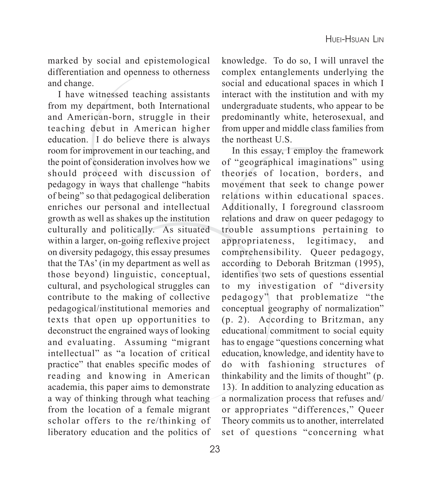marked by social and epistemological differentiation and openness to otherness and change.

I have witnessed teaching assistants from my department, both International and American-born, struggle in their teaching debut in American higher education. I do believe there is always room for improvement in our teaching, and the point of consideration involves how we should proceed with discussion of pedagogy in ways that challenge "habits of being" so that pedagogical deliberation enriches our personal and intellectual growth as well as shakes up the institution culturally and politically. As situated within a larger, on-going reflexive project on diversity pedagogy, this essay presumes that the TAs' (in my department as well as those beyond) linguistic, conceptual, cultural, and psychological struggles can contribute to the making of collective pedagogical/institutional memories and texts that open up opportunities to deconstruct the engrained ways of looking and evaluating. Assuming "migrant intellectual" as "a location of critical practice" that enables specific modes of reading and knowing in American academia, this paper aims to demonstrate a way of thinking through what teaching from the location of a female migrant scholar offers to the re/thinking of liberatory education and the politics of knowledge. To do so, I will unravel the complex entanglements underlying the social and educational spaces in which I interact with the institution and with my undergraduate students, who appear to be predominantly white, heterosexual, and from upper and middle class families from the northeast U.S.

In this essay, I employ the framework of "geographical imaginations" using theories of location, borders, and movement that seek to change power relations within educational spaces. Additionally, I foreground classroom relations and draw on queer pedagogy to trouble assumptions pertaining to appropriateness, legitimacy, and comprehensibility. Queer pedagogy, according to Deborah Britzman (1995), identifies two sets of questions essential to my investigation of "diversity pedagogy" that problematize "the conceptual geography of normalization" (p. 2). According to Britzman, any educational commitment to social equity has to engage "questions concerning what education, knowledge, and identity have to do with fashioning structures of thinkability and the limits of thought" (p. 13). In addition to analyzing education as a normalization process that refuses and/ or appropriates "differences," Queer Theory commits us to another, interrelated set of questions "concerning what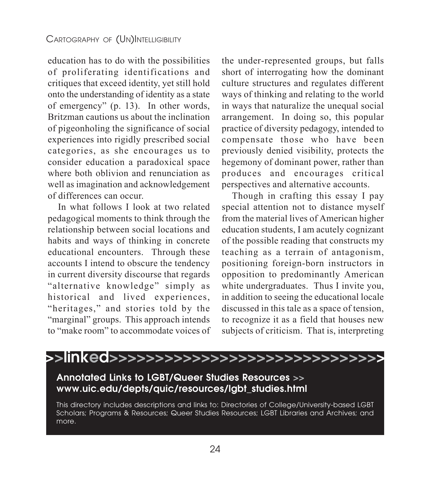education has to do with the possibilities of proliferating identifications and critiques that exceed identity, yet still hold onto the understanding of identity as a state of emergency" (p. 13). In other words, Britzman cautions us about the inclination of pigeonholing the significance of social experiences into rigidly prescribed social categories, as she encourages us to consider education a paradoxical space where both oblivion and renunciation as well as imagination and acknowledgement of differences can occur.

In what follows I look at two related pedagogical moments to think through the relationship between social locations and habits and ways of thinking in concrete educational encounters. Through these accounts I intend to obscure the tendency in current diversity discourse that regards "alternative knowledge" simply as historical and lived experiences, "heritages," and stories told by the "marginal" groups. This approach intends to "make room" to accommodate voices of the under-represented groups, but falls short of interrogating how the dominant culture structures and regulates different ways of thinking and relating to the world in ways that naturalize the unequal social arrangement. In doing so, this popular practice of diversity pedagogy, intended to compensate those who have been previously denied visibility, protects the hegemony of dominant power, rather than produces and encourages critical perspectives and alternative accounts.

Though in crafting this essay I pay special attention not to distance myself from the material lives of American higher education students, I am acutely cognizant of the possible reading that constructs my teaching as a terrain of antagonism, positioning foreign-born instructors in opposition to predominantly American white undergraduates. Thus I invite you, in addition to seeing the educational locale discussed in this tale as a space of tension, to recognize it as a field that houses new subjects of criticism. That is, interpreting

#### **Annotated Links to LGBT/Queer Studies Resources >> www.uic.edu/depts/quic/resources/lgbt\_studies.html**

This directory includes descriptions and links to: Directories of College/University-based LGBT Scholars; Programs & Resources; Queer Studies Resources; LGBT Libraries and Archives; and more.

**>>linked>>>>>>>>>>>>>>>>>>>>>>>>>>>>>>**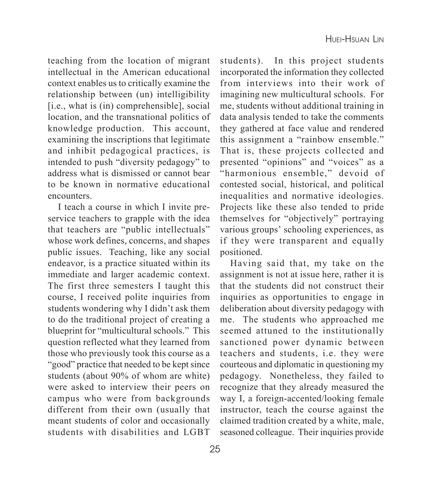teaching from the location of migrant intellectual in the American educational context enables us to critically examine the relationship between (un) intelligibility [i.e., what is (in) comprehensible], social location, and the transnational politics of knowledge production. This account, examining the inscriptions that legitimate and inhibit pedagogical practices, is intended to push "diversity pedagogy" to address what is dismissed or cannot bear to be known in normative educational encounters.

I teach a course in which I invite preservice teachers to grapple with the idea that teachers are "public intellectuals" whose work defines, concerns, and shapes public issues. Teaching, like any social endeavor, is a practice situated within its immediate and larger academic context. The first three semesters I taught this course, I received polite inquiries from students wondering why I didn't ask them to do the traditional project of creating a blueprint for "multicultural schools." This question reflected what they learned from those who previously took this course as a "good" practice that needed to be kept since students (about 90% of whom are white) were asked to interview their peers on campus who were from backgrounds different from their own (usually that meant students of color and occasionally students with disabilities and LGBT

students). In this project students incorporated the information they collected from interviews into their work of imagining new multicultural schools. For me, students without additional training in data analysis tended to take the comments they gathered at face value and rendered this assignment a "rainbow ensemble." That is, these projects collected and presented "opinions" and "voices" as a "harmonious ensemble," devoid of contested social, historical, and political inequalities and normative ideologies. Projects like these also tended to pride themselves for "objectively" portraying various groups' schooling experiences, as if they were transparent and equally positioned.

Having said that, my take on the assignment is not at issue here, rather it is that the students did not construct their inquiries as opportunities to engage in deliberation about diversity pedagogy with me. The students who approached me seemed attuned to the institutionally sanctioned power dynamic between teachers and students, i.e. they were courteous and diplomatic in questioning my pedagogy. Nonetheless, they failed to recognize that they already measured the way I, a foreign-accented/looking female instructor, teach the course against the claimed tradition created by a white, male, seasoned colleague. Their inquiries provide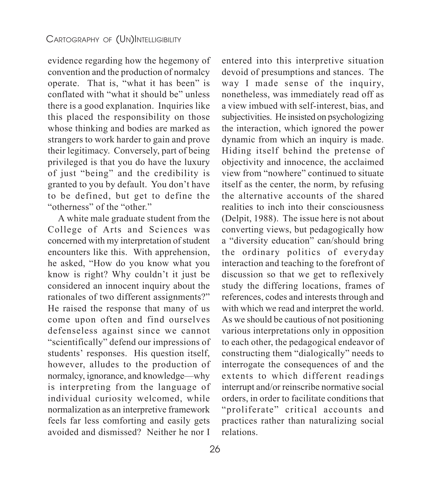evidence regarding how the hegemony of convention and the production of normalcy operate. That is, "what it has been" is conflated with "what it should be" unless there is a good explanation. Inquiries like this placed the responsibility on those whose thinking and bodies are marked as strangers to work harder to gain and prove their legitimacy. Conversely, part of being privileged is that you do have the luxury of just "being" and the credibility is granted to you by default. You don't have to be defined, but get to define the "otherness" of the "other."

A white male graduate student from the College of Arts and Sciences was concerned with my interpretation of student encounters like this. With apprehension, he asked, "How do you know what you know is right? Why couldn't it just be considered an innocent inquiry about the rationales of two different assignments?" He raised the response that many of us come upon often and find ourselves defenseless against since we cannot "scientifically" defend our impressions of students' responses. His question itself, however, alludes to the production of normalcy, ignorance, and knowledge—why is interpreting from the language of individual curiosity welcomed, while normalization as an interpretive framework feels far less comforting and easily gets avoided and dismissed? Neither he nor I

devoid of presumptions and stances. The way I made sense of the inquiry, nonetheless, was immediately read off as a view imbued with self-interest, bias, and subjectivities. He insisted on psychologizing the interaction, which ignored the power dynamic from which an inquiry is made. Hiding itself behind the pretense of objectivity and innocence, the acclaimed view from "nowhere" continued to situate itself as the center, the norm, by refusing the alternative accounts of the shared realities to inch into their consciousness (Delpit, 1988). The issue here is not about converting views, but pedagogically how a "diversity education" can/should bring the ordinary politics of everyday interaction and teaching to the forefront of discussion so that we get to reflexively study the differing locations, frames of references, codes and interests through and with which we read and interpret the world. As we should be cautious of not positioning various interpretations only in opposition to each other, the pedagogical endeavor of constructing them "dialogically" needs to interrogate the consequences of and the extents to which different readings interrupt and/or reinscribe normative social orders, in order to facilitate conditions that "proliferate" critical accounts and practices rather than naturalizing social relations.

entered into this interpretive situation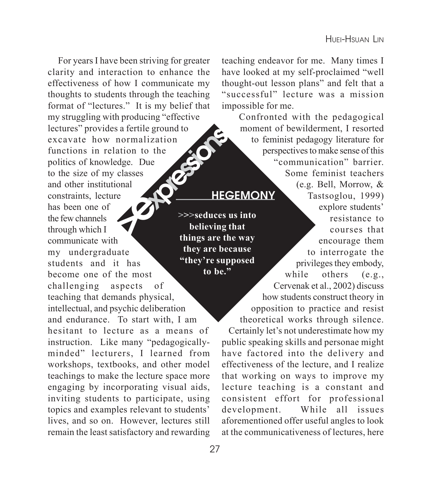For years I have been striving for greater clarity and interaction to enhance the effectiveness of how I communicate my thoughts to students through the teaching format of "lectures." It is my belief that my struggling with producing "effective lectures" provides a fertile ground to excavate how normalization functions in relation to the politics of knowledge. Due to the size of my classes and other institutional constraints, lecture has been one of the few channels through which I communicate with my undergraduate students and it has become one of the most challenging aspects of teaching that demands physical, intellectual, and psychic deliberation and endurance. To start with, I am hesitant to lecture as a means of instruction. Like many "pedagogicallyminded" lecturers, I learned from workshops, textbooks, and other model teachings to make the lecture space more engaging by incorporating visual aids, inviting students to participate, using topics and examples relevant to students' lives, and so on. However, lectures still remain the least satisfactory and rewarding **>expressions >>>seduces us into believing that things are the way they are because "they're supposed to be."**

27

teaching endeavor for me. Many times I have looked at my self-proclaimed "well thought-out lesson plans" and felt that a "successful" lecture was a mission impossible for me.

Confronted with the pedagogical moment of bewilderment, I resorted to feminist pedagogy literature for perspectives to make sense of this "communication" barrier. Some feminist teachers (e.g. Bell, Morrow, & Tastsoglou, 1999) explore students' resistance to courses that encourage them to interrogate the privileges they embody, while others (e.g., Cervenak et al., 2002) discuss how students construct theory in opposition to practice and resist **HEGEMONY**

theoretical works through silence. Certainly let's not underestimate how my public speaking skills and personae might have factored into the delivery and effectiveness of the lecture, and I realize that working on ways to improve my lecture teaching is a constant and consistent effort for professional development. While all issues aforementioned offer useful angles to look at the communicativeness of lectures, here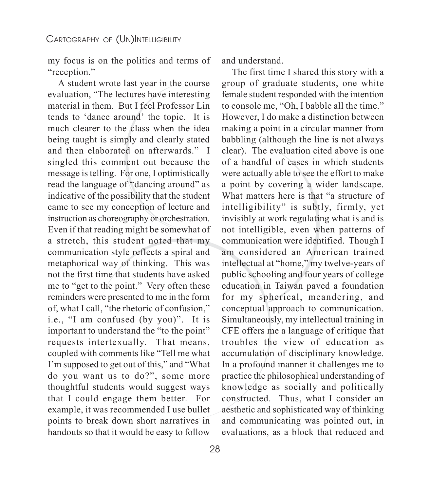my focus is on the politics and terms of "reception."

A student wrote last year in the course evaluation, "The lectures have interesting material in them. But I feel Professor Lin tends to 'dance around' the topic. It is much clearer to the class when the idea being taught is simply and clearly stated and then elaborated on afterwards." I singled this comment out because the message is telling. For one, I optimistically read the language of "dancing around" as indicative of the possibility that the student came to see my conception of lecture and instruction as choreography or orchestration. Even if that reading might be somewhat of a stretch, this student noted that my communication style reflects a spiral and metaphorical way of thinking. This was not the first time that students have asked me to "get to the point." Very often these reminders were presented to me in the form of, what I call, "the rhetoric of confusion," i.e., "I am confused (by you)". It is important to understand the "to the point" requests intertexually. That means, coupled with comments like "Tell me what I'm supposed to get out of this," and "What do you want us to do?", some more thoughtful students would suggest ways that I could engage them better. For example, it was recommended I use bullet points to break down short narratives in handouts so that it would be easy to follow

and understand.

The first time I shared this story with a group of graduate students, one white female student responded with the intention to console me, "Oh, I babble all the time." However, I do make a distinction between making a point in a circular manner from babbling (although the line is not always clear). The evaluation cited above is one of a handful of cases in which students were actually able to see the effort to make a point by covering a wider landscape. What matters here is that "a structure of intelligibility" is subtly, firmly, yet invisibly at work regulating what is and is not intelligible, even when patterns of communication were identified. Though I am considered an American trained intellectual at "home," my twelve-years of public schooling and four years of college education in Taiwan paved a foundation for my spherical, meandering, and conceptual approach to communication. Simultaneously, my intellectual training in CFE offers me a language of critique that troubles the view of education as accumulation of disciplinary knowledge. In a profound manner it challenges me to practice the philosophical understanding of knowledge as socially and politically constructed. Thus, what I consider an aesthetic and sophisticated way of thinking and communicating was pointed out, in evaluations, as a block that reduced and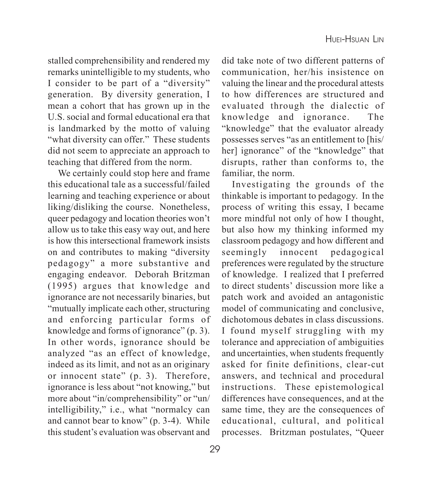stalled comprehensibility and rendered my remarks unintelligible to my students, who I consider to be part of a "diversity" generation. By diversity generation, I mean a cohort that has grown up in the U.S. social and formal educational era that is landmarked by the motto of valuing "what diversity can offer." These students did not seem to appreciate an approach to teaching that differed from the norm.

We certainly could stop here and frame this educational tale as a successful/failed learning and teaching experience or about liking/disliking the course. Nonetheless, queer pedagogy and location theories won't allow us to take this easy way out, and here is how this intersectional framework insists on and contributes to making "diversity pedagogy" a more substantive and engaging endeavor. Deborah Britzman (1995) argues that knowledge and ignorance are not necessarily binaries, but "mutually implicate each other, structuring and enforcing particular forms of knowledge and forms of ignorance" (p. 3). In other words, ignorance should be analyzed "as an effect of knowledge, indeed as its limit, and not as an originary or innocent state" (p. 3). Therefore, ignorance is less about "not knowing," but more about "in/comprehensibility" or "un/ intelligibility," i.e., what "normalcy can and cannot bear to know" (p. 3-4). While this student's evaluation was observant and

did take note of two different patterns of communication, her/his insistence on valuing the linear and the procedural attests to how differences are structured and evaluated through the dialectic of knowledge and ignorance. The "knowledge" that the evaluator already possesses serves "as an entitlement to [his/ her] ignorance" of the "knowledge" that disrupts, rather than conforms to, the familiar, the norm.

Investigating the grounds of the thinkable is important to pedagogy. In the process of writing this essay, I became more mindful not only of how I thought, but also how my thinking informed my classroom pedagogy and how different and seemingly innocent pedagogical preferences were regulated by the structure of knowledge. I realized that I preferred to direct students' discussion more like a patch work and avoided an antagonistic model of communicating and conclusive, dichotomous debates in class discussions. I found myself struggling with my tolerance and appreciation of ambiguities and uncertainties, when students frequently asked for finite definitions, clear-cut answers, and technical and procedural instructions. These epistemological differences have consequences, and at the same time, they are the consequences of educational, cultural, and political processes. Britzman postulates, "Queer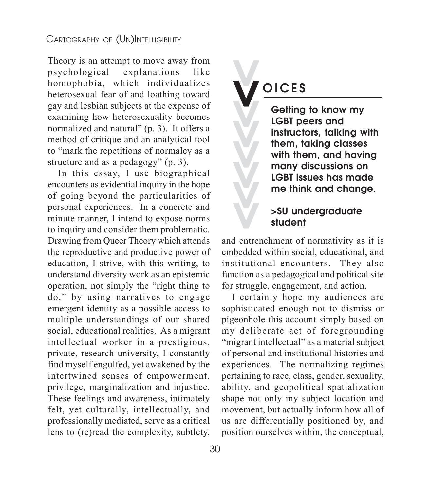#### CARTOGRAPHY OF (UN)INTELLIGIBILITY

Theory is an attempt to move away from psychological explanations like homophobia, which individualizes heterosexual fear of and loathing toward gay and lesbian subjects at the expense of examining how heterosexuality becomes normalized and natural" (p. 3). It offers a method of critique and an analytical tool to "mark the repetitions of normalcy as a structure and as a pedagogy" (p. 3).

In this essay, I use biographical encounters as evidential inquiry in the hope of going beyond the particularities of personal experiences. In a concrete and minute manner, I intend to expose norms to inquiry and consider them problematic. Drawing from Queer Theory which attends the reproductive and productive power of education, I strive, with this writing, to understand diversity work as an epistemic operation, not simply the "right thing to do," by using narratives to engage emergent identity as a possible access to multiple understandings of our shared social, educational realities. As a migrant intellectual worker in a prestigious, private, research university, I constantly find myself engulfed, yet awakened by the intertwined senses of empowerment, privilege, marginalization and injustice. These feelings and awareness, intimately felt, yet culturally, intellectually, and professionally mediated, serve as a critical lens to (re)read the complexity, subtlety,

# **>>>>>>>> OICES**

**Getting to know my LGBT peers and instructors, talking with them, taking classes with them, and having many discussions on LGBT issues has made me think and change.**

#### **>SU undergraduate student**

and entrenchment of normativity as it is embedded within social, educational, and institutional encounters. They also function as a pedagogical and political site for struggle, engagement, and action.

I certainly hope my audiences are sophisticated enough not to dismiss or pigeonhole this account simply based on my deliberate act of foregrounding "migrant intellectual" as a material subject of personal and institutional histories and experiences. The normalizing regimes pertaining to race, class, gender, sexuality, ability, and geopolitical spatialization shape not only my subject location and movement, but actually inform how all of us are differentially positioned by, and position ourselves within, the conceptual,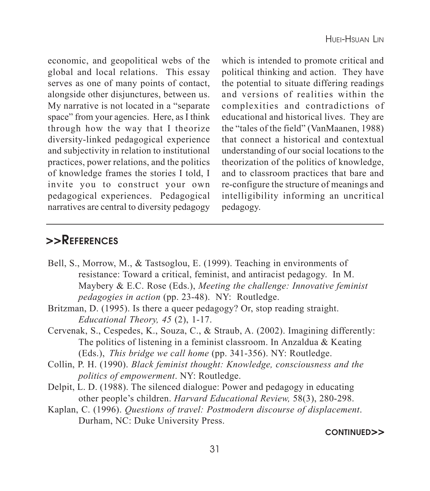economic, and geopolitical webs of the global and local relations. This essay serves as one of many points of contact, alongside other disjunctures, between us. My narrative is not located in a "separate space" from your agencies. Here, as I think through how the way that I theorize diversity-linked pedagogical experience and subjectivity in relation to institutional practices, power relations, and the politics of knowledge frames the stories I told, I invite you to construct your own pedagogical experiences. Pedagogical narratives are central to diversity pedagogy

which is intended to promote critical and political thinking and action. They have the potential to situate differing readings and versions of realities within the complexities and contradictions of educational and historical lives. They are the "tales of the field" (VanMaanen, 1988) that connect a historical and contextual understanding of our social locations to the theorization of the politics of knowledge, and to classroom practices that bare and re-configure the structure of meanings and intelligibility informing an uncritical pedagogy.

### **>>REFERENCES**

- Bell, S., Morrow, M., & Tastsoglou, E. (1999). Teaching in environments of resistance: Toward a critical, feminist, and antiracist pedagogy. In M. Maybery & E.C. Rose (Eds.), *Meeting the challenge: Innovative feminist pedagogies in action* (pp. 23-48). NY: Routledge.
- Britzman, D. (1995). Is there a queer pedagogy? Or, stop reading straight. *Educational Theory, 45* (2), 1-17.
- Cervenak, S., Cespedes, K., Souza, C., & Straub, A. (2002). Imagining differently: The politics of listening in a feminist classroom. In Anzaldua & Keating (Eds.), *This bridge we call home* (pp. 341-356). NY: Routledge.
- Collin, P. H. (1990). *Black feminist thought: Knowledge, consciousness and the politics of empowerment*. NY: Routledge.
- Delpit, L. D. (1988). The silenced dialogue: Power and pedagogy in educating other people's children. *Harvard Educational Review,* 58(3), 280-298.
- Kaplan, C. (1996). *Questions of travel: Postmodern discourse of displacement*. Durham, NC: Duke University Press.

#### **CONTINUED>>**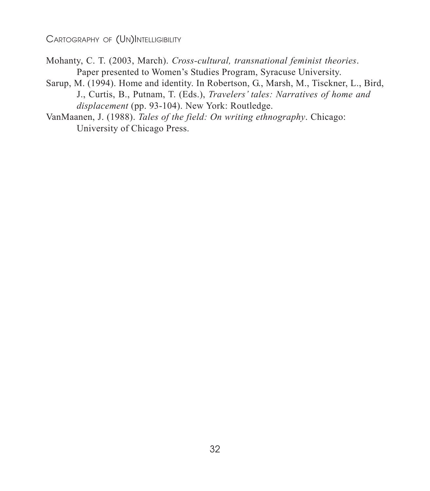CARTOGRAPHY OF (UN)INTELLIGIBILITY

- Mohanty, C. T. (2003, March). *Cross-cultural, transnational feminist theories*. Paper presented to Women's Studies Program, Syracuse University.
- Sarup, M. (1994). Home and identity. In Robertson, G., Marsh, M., Tisckner, L., Bird, J., Curtis, B., Putnam, T. (Eds.), *Travelers' tales: Narratives of home and displacement* (pp. 93-104). New York: Routledge.
- VanMaanen, J. (1988). *Tales of the field: On writing ethnography*. Chicago: University of Chicago Press.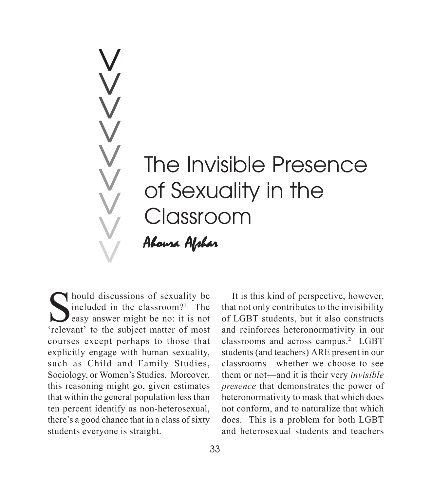

# Ahoura Afshar The Invisible Presence of Sexuality in the Classroom

Should discussions of sexuality be<br>included in the classroom?<sup>1</sup> The<br>seasy answer might be no: it is not included in the classroom?<sup>1</sup> The easy answer might be no: it is not 'relevant' to the subject matter of most courses except perhaps to those that explicitly engage with human sexuality, such as Child and Family Studies, Sociology, or Women's Studies. Moreover, this reasoning might go, given estimates that within the general population less than ten percent identify as non-heterosexual, there's a good chance that in a class of sixty students everyone is straight.

It is this kind of perspective, however, that not only contributes to the invisibility of LGBT students, but it also constructs and reinforces heteronormativity in our classrooms and across campus.<sup>2</sup> LGBT students (and teachers) ARE present in our classrooms—whether we choose to see them or not—and it is their very *invisible presence* that demonstrates the power of heteronormativity to mask that which does not conform, and to naturalize that which does. This is a problem for both LGBT and heterosexual students and teachers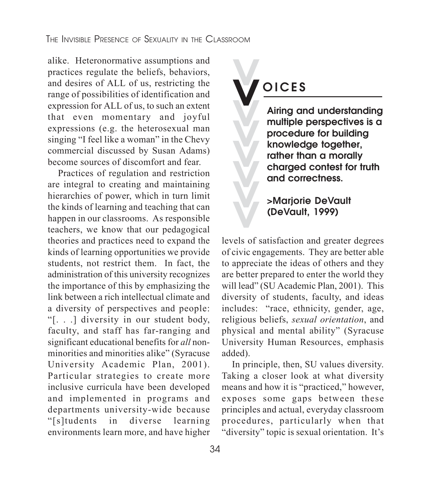THE INVISIBLE PRESENCE OF SEXUALITY IN THE CLASSROOM

alike. Heteronormative assumptions and practices regulate the beliefs, behaviors, and desires of ALL of us, restricting the range of possibilities of identification and expression for ALL of us, to such an extent that even momentary and joyful expressions (e.g. the heterosexual man singing "I feel like a woman" in the Chevy commercial discussed by Susan Adams) become sources of discomfort and fear.

Practices of regulation and restriction are integral to creating and maintaining hierarchies of power, which in turn limit the kinds of learning and teaching that can happen in our classrooms. As responsible teachers, we know that our pedagogical theories and practices need to expand the kinds of learning opportunities we provide students, not restrict them. In fact, the administration of this university recognizes the importance of this by emphasizing the link between a rich intellectual climate and a diversity of perspectives and people: "[. . .] diversity in our student body, faculty, and staff has far-ranging and significant educational benefits for *all* nonminorities and minorities alike" (Syracuse University Academic Plan, 2001). Particular strategies to create more inclusive curricula have been developed and implemented in programs and departments university-wide because "[s]tudents in diverse learning environments learn more, and have higher

# **>>>>>>>> OICES**

**Airing and understanding multiple perspectives is a procedure for building knowledge together, rather than a morally charged contest for truth and correctness.**

**>Marjorie DeVault (DeVault, 1999)**

levels of satisfaction and greater degrees of civic engagements. They are better able to appreciate the ideas of others and they are better prepared to enter the world they will lead" (SU Academic Plan, 2001). This diversity of students, faculty, and ideas includes: "race, ethnicity, gender, age, religious beliefs, *sexual orientation*, and physical and mental ability" (Syracuse University Human Resources, emphasis added).

In principle, then, SU values diversity. Taking a closer look at what diversity means and how it is "practiced," however, exposes some gaps between these principles and actual, everyday classroom procedures, particularly when that "diversity" topic is sexual orientation. It's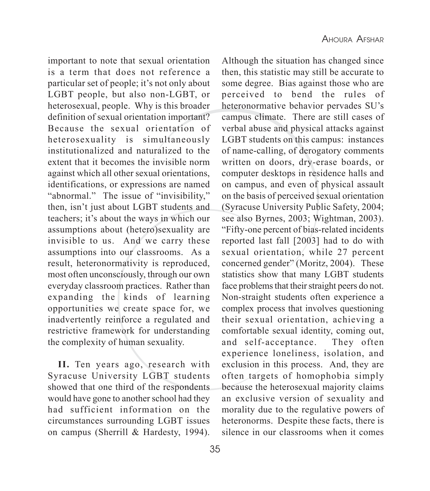important to note that sexual orientation is a term that does not reference a particular set of people; it's not only about LGBT people, but also non-LGBT, or heterosexual, people. Why is this broader definition of sexual orientation important? Because the sexual orientation of heterosexuality is simultaneously institutionalized and naturalized to the extent that it becomes the invisible norm against which all other sexual orientations, identifications, or expressions are named "abnormal." The issue of "invisibility," then, isn't just about LGBT students and teachers; it's about the ways in which our assumptions about (hetero)sexuality are invisible to us. And we carry these assumptions into our classrooms. As a result, heteronormativity is reproduced, most often unconsciously, through our own everyday classroom practices. Rather than expanding the kinds of learning opportunities we create space for, we inadvertently reinforce a regulated and restrictive framework for understanding the complexity of human sexuality.

**II.** Ten years ago, research with Syracuse University LGBT students showed that one third of the respondents would have gone to another school had they had sufficient information on the circumstances surrounding LGBT issues on campus (Sherrill & Hardesty, 1994).

Although the situation has changed since then, this statistic may still be accurate to some degree. Bias against those who are perceived to bend the rules of heteronormative behavior pervades SU's campus climate. There are still cases of verbal abuse and physical attacks against LGBT students on this campus: instances of name-calling, of derogatory comments written on doors, dry-erase boards, or computer desktops in residence halls and on campus, and even of physical assault on the basis of perceived sexual orientation (Syracuse University Public Safety, 2004; see also Byrnes, 2003; Wightman, 2003). "Fifty-one percent of bias-related incidents reported last fall [2003] had to do with sexual orientation, while 27 percent concerned gender" (Moritz, 2004). These statistics show that many LGBT students face problems that their straight peers do not. Non-straight students often experience a complex process that involves questioning their sexual orientation, achieving a comfortable sexual identity, coming out, and self-acceptance. They often experience loneliness, isolation, and exclusion in this process. And, they are often targets of homophobia simply because the heterosexual majority claims an exclusive version of sexuality and morality due to the regulative powers of heteronorms. Despite these facts, there is silence in our classrooms when it comes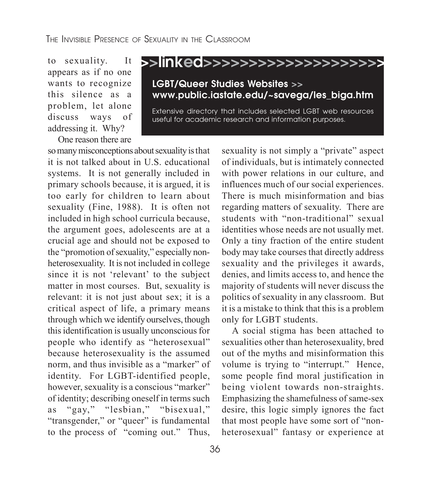to sexuality. It appears as if no one wants to recognize this silence as a problem, let alone discuss ways of addressing it. Why?

One reason there are

so many misconceptions about sexuality is that it is not talked about in U.S. educational systems. It is not generally included in primary schools because, it is argued, it is too early for children to learn about sexuality (Fine, 1988). It is often not included in high school curricula because, the argument goes, adolescents are at a crucial age and should not be exposed to the "promotion of sexuality," especially nonheterosexuality. It is not included in college since it is not 'relevant' to the subject matter in most courses. But, sexuality is relevant: it is not just about sex; it is a critical aspect of life, a primary means through which we identify ourselves, though this identification is usually unconscious for people who identify as "heterosexual" because heterosexuality is the assumed norm, and thus invisible as a "marker" of identity. For LGBT-identified people, however, sexuality is a conscious "marker" of identity; describing oneself in terms such as "gay," "lesbian," "bisexual," "transgender," or "queer" is fundamental to the process of "coming out." Thus,

# **>>linked>>>>>>>>>>>>>>>>>>>>**

**LGBT/Queer Studies Websites >> www.public.iastate.edu/~savega/les\_biga.htm**

Extensive directory that includes selected LGBT web resources useful for academic research and information purposes.

> sexuality is not simply a "private" aspect of individuals, but is intimately connected with power relations in our culture, and influences much of our social experiences. There is much misinformation and bias regarding matters of sexuality. There are students with "non-traditional" sexual identities whose needs are not usually met. Only a tiny fraction of the entire student body may take courses that directly address sexuality and the privileges it awards, denies, and limits access to, and hence the majority of students will never discuss the politics of sexuality in any classroom. But it is a mistake to think that this is a problem only for LGBT students.

> A social stigma has been attached to sexualities other than heterosexuality, bred out of the myths and misinformation this volume is trying to "interrupt." Hence, some people find moral justification in being violent towards non-straights. Emphasizing the shamefulness of same-sex desire, this logic simply ignores the fact that most people have some sort of "nonheterosexual" fantasy or experience at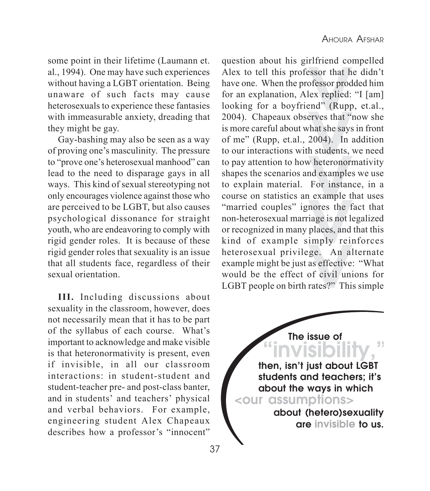some point in their lifetime (Laumann et. al., 1994). One may have such experiences without having a LGBT orientation. Being unaware of such facts may cause heterosexuals to experience these fantasies with immeasurable anxiety, dreading that they might be gay.

Gay-bashing may also be seen as a way of proving one's masculinity. The pressure to "prove one's heterosexual manhood" can lead to the need to disparage gays in all ways. This kind of sexual stereotyping not only encourages violence against those who are perceived to be LGBT, but also causes psychological dissonance for straight youth, who are endeavoring to comply with rigid gender roles. It is because of these rigid gender roles that sexuality is an issue that all students face, regardless of their sexual orientation.

**III.** Including discussions about sexuality in the classroom, however, does not necessarily mean that it has to be part of the syllabus of each course. What's important to acknowledge and make visible is that heteronormativity is present, even if invisible, in all our classroom interactions: in student-student and student-teacher pre- and post-class banter, and in students' and teachers' physical and verbal behaviors. For example, engineering student Alex Chapeaux describes how a professor's "innocent"

question about his girlfriend compelled Alex to tell this professor that he didn't Alex to tell this professor that he didn't<br>have one. When the professor prodded him<br>for an explanation, Alex replied: "I [am]<br>looking for a boyfriend" (Rupp, et.al.,<br>2004). Chapeaux observes that "now she<br>is more careful a for an explanation, Alex replied: "I [am] looking for a boyfriend" (Rupp, et.al., 2004). Chapeaux observes that "now she is more careful about what she says in front of me" (Rupp, et.al., 2004). In addition to our interactions with students, we need to pay attention to how heteronormativity shapes the scenarios and examples we use to explain material. For instance, in a course on statistics an example that uses "married couples" ignores the fact that non-heterosexual marriage is not legalized or recognized in many places, and that this kind of example simply reinforces heterosexual privilege. An alternate example might be just as effective: "What would be the effect of civil unions for LGBT people on birth rates?" This simple

**"invisibility," then, isn't just about LGBT students and teachers; it's about the ways in which <our assumptions> The issue of**

> **about (hetero)sexuality are invisible to us.**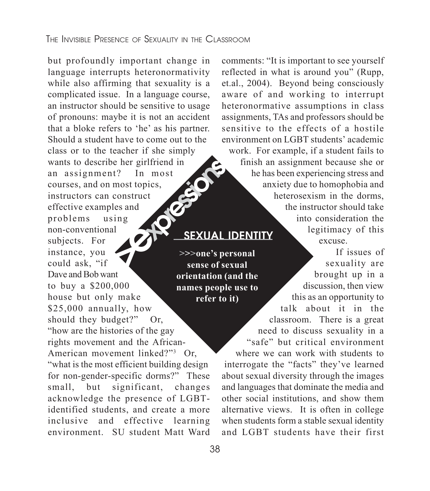#### THE INVISIBLE PRESENCE OF SEXUALITY IN THE CLASSROOM

but profoundly important change in language interrupts heteronormativity while also affirming that sexuality is a complicated issue. In a language course, an instructor should be sensitive to usage of pronouns: maybe it is not an accident that a bloke refers to 'he' as his partner. Should a student have to come out to the class or to the teacher if she simply wants to describe her girlfriend in an assignment? In most courses, and on most topics, instructors can construct effective examples and problems using non-conventional subjects. For instance, you could ask, "if Dave and Bob want to buy a \$200,000 house but only make \$25,000 annually, how should they budget?" Or, "how are the histories of the gay rights movement and the African-American movement linked?"3 Or, "what is the most efficient building design for non-gender-specific dorms?" These small, but significant, changes acknowledge the presence of LGBTidentified students, and create a more inclusive and effective learning environment. SU student Matt Ward **>expressions**

comments: "It is important to see yourself reflected in what is around you" (Rupp, et.al., 2004). Beyond being consciously aware of and working to interrupt heteronormative assumptions in class assignments, TAs and professors should be sensitive to the effects of a hostile environment on LGBT students' academic work. For example, if a student fails to finish an assignment because she or he has been experiencing stress and anxiety due to homophobia and heterosexism in the dorms, the instructor should take into consideration the legitimacy of this excuse.

### **SEXUAL IDENTITY**

**>>>one's personal sense of sexual orientation (and the names people use to refer to it)**

If issues of sexuality are brought up in a discussion, then view this as an opportunity to talk about it in the classroom. There is a great need to discuss sexuality in a "safe" but critical environment where we can work with students to interrogate the "facts" they've learned about sexual diversity through the images and languages that dominate the media and other social institutions, and show them alternative views. It is often in college when students form a stable sexual identity and LGBT students have their first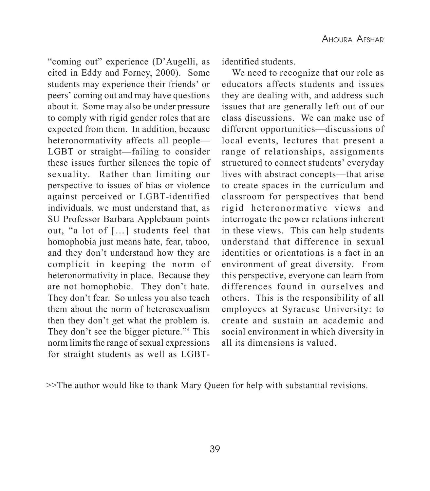"coming out" experience (D'Augelli, as cited in Eddy and Forney, 2000). Some students may experience their friends' or peers' coming out and may have questions about it. Some may also be under pressure to comply with rigid gender roles that are expected from them. In addition, because heteronormativity affects all people— LGBT or straight—failing to consider these issues further silences the topic of sexuality. Rather than limiting our perspective to issues of bias or violence against perceived or LGBT-identified individuals, we must understand that, as SU Professor Barbara Applebaum points out, "a lot of […] students feel that homophobia just means hate, fear, taboo, and they don't understand how they are complicit in keeping the norm of heteronormativity in place. Because they are not homophobic. They don't hate. They don't fear. So unless you also teach them about the norm of heterosexualism then they don't get what the problem is. They don't see the bigger picture."4 This norm limits the range of sexual expressions for straight students as well as LGBT-

identified students.

We need to recognize that our role as educators affects students and issues they are dealing with, and address such issues that are generally left out of our class discussions. We can make use of different opportunities—discussions of local events, lectures that present a range of relationships, assignments structured to connect students' everyday lives with abstract concepts—that arise to create spaces in the curriculum and classroom for perspectives that bend rigid heteronormative views and interrogate the power relations inherent in these views. This can help students understand that difference in sexual identities or orientations is a fact in an environment of great diversity. From this perspective, everyone can learn from differences found in ourselves and others. This is the responsibility of all employees at Syracuse University: to create and sustain an academic and social environment in which diversity in all its dimensions is valued.

>>The author would like to thank Mary Queen for help with substantial revisions.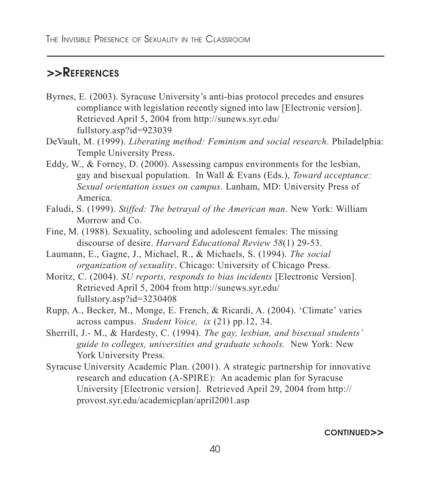# **>>REFERENCES**

- Byrnes, E. (2003). Syracuse University's anti-bias protocol precedes and ensures compliance with legislation recently signed into law [Electronic version]. Retrieved April 5, 2004 from http://sunews.syr.edu/ fullstory.asp?id=923039
- DeVault, M. (1999). *Liberating method: Feminism and social research*. Philadelphia: Temple University Press.
- Eddy, W., & Forney, D. (2000). Assessing campus environments for the lesbian, gay and bisexual population. In Wall & Evans (Eds.), *Toward acceptance: Sexual orientation issues on campus*. Lanham, MD: University Press of America.
- Faludi, S. (1999). *Stiffed: The betrayal of the American man*. New York: William Morrow and Co.
- Fine, M. (1988). Sexuality, schooling and adolescent females: The missing discourse of desire. *Harvard Educational Review 58*(1) 29-53.
- Laumann, E., Gagne, J., Michael, R., & Michaels, S. (1994). *The social organization of sexuality*. Chicago: University of Chicago Press.
- Moritz, C. (2004). *SU reports, responds to bias incidents* [Electronic Version]*.* Retrieved April 5, 2004 from http://sunews.syr.edu/ fullstory.asp?id=3230408
- Rupp, A., Becker, M., Monge, E. French, & Ricardi, A. (2004). 'Climate' varies across campus. *Student Voice, ix* (21) pp.12, 34.
- Sherrill, J.- M., & Hardesty, C. (1994). *The gay, lesbian, and bisexual students' guide to colleges, universities and graduate schools.* New York: New York University Press.
- Syracuse University Academic Plan. (2001). A strategic partnership for innovative research and education (A-SPIRE): An academic plan for Syracuse University [Electronic version]. Retrieved April 29, 2004 from http:// provost.syr.edu/academicplan/april2001.asp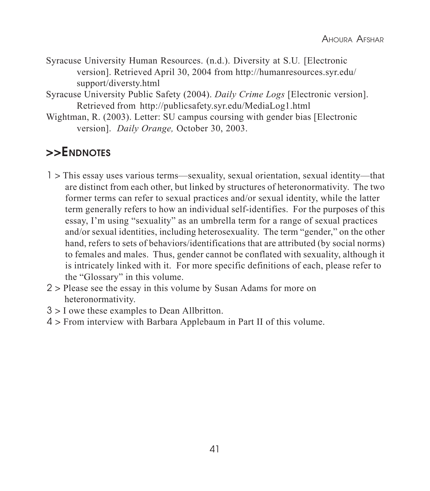- Syracuse University Human Resources. (n.d.). Diversity at S.U*.* [Electronic version]. Retrieved April 30, 2004 from http://humanresources.syr.edu/ support/diversty.html
- Syracuse University Public Safety (2004). *Daily Crime Logs* [Electronic version]. Retrieved from http://publicsafety.syr.edu/MediaLog1.html
- Wightman, R. (2003). Letter: SU campus coursing with gender bias [Electronic version]. *Daily Orange,* October 30, 2003.

# **>>ENDNOTES**

- 1 > This essay uses various terms—sexuality, sexual orientation, sexual identity—that are distinct from each other, but linked by structures of heteronormativity. The two former terms can refer to sexual practices and/or sexual identity, while the latter term generally refers to how an individual self-identifies. For the purposes of this essay, I'm using "sexuality" as an umbrella term for a range of sexual practices and/or sexual identities, including heterosexuality. The term "gender," on the other hand, refers to sets of behaviors/identifications that are attributed (by social norms) to females and males. Thus, gender cannot be conflated with sexuality, although it is intricately linked with it. For more specific definitions of each, please refer to the "Glossary" in this volume.
- 2 > Please see the essay in this volume by Susan Adams for more on heteronormativity.
- 3 > I owe these examples to Dean Allbritton.
- 4 > From interview with Barbara Applebaum in Part II of this volume.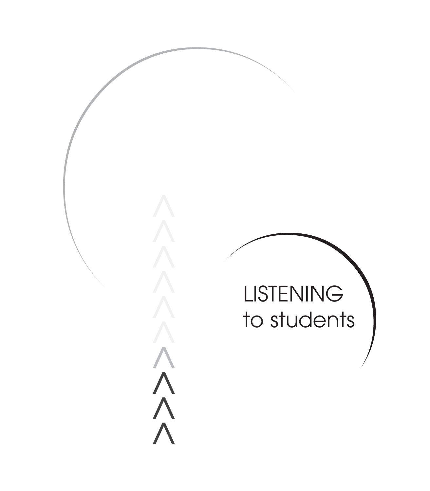# **LISTENING** to students

>>>>>>>><br>>>>>>

 $\boldsymbol{\wedge}$ 

 $\lambda$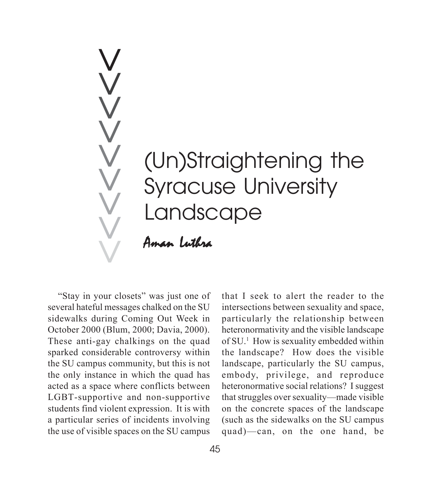

"Stay in your closets" was just one of several hateful messages chalked on the SU sidewalks during Coming Out Week in October 2000 (Blum, 2000; Davia, 2000). These anti-gay chalkings on the quad sparked considerable controversy within the SU campus community, but this is not the only instance in which the quad has acted as a space where conflicts between LGBT-supportive and non-supportive students find violent expression. It is with a particular series of incidents involving the use of visible spaces on the SU campus

that I seek to alert the reader to the intersections between sexuality and space, particularly the relationship between heteronormativity and the visible landscape of SU.<sup>1</sup> How is sexuality embedded within the landscape? How does the visible landscape, particularly the SU campus, embody, privilege, and reproduce heteronormative social relations? I suggest that struggles over sexuality—made visible on the concrete spaces of the landscape (such as the sidewalks on the SU campus quad)—can, on the one hand, be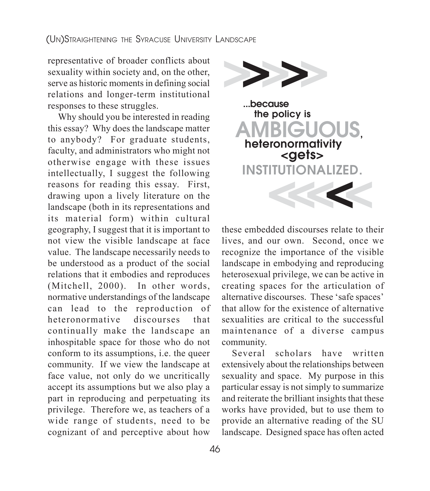(UN)STRAIGHTENING THE SYRACUSE UNIVERSITY LANDSCAPE

representative of broader conflicts about sexuality within society and, on the other, serve as historic moments in defining social relations and longer-term institutional responses to these struggles.

Why should you be interested in reading this essay? Why does the landscape matter to anybody? For graduate students, faculty, and administrators who might not otherwise engage with these issues intellectually, I suggest the following reasons for reading this essay. First, drawing upon a lively literature on the landscape (both in its representations and its material form) within cultural geography, I suggest that it is important to not view the visible landscape at face value. The landscape necessarily needs to be understood as a product of the social relations that it embodies and reproduces (Mitchell, 2000). In other words, normative understandings of the landscape can lead to the reproduction of heteronormative discourses that continually make the landscape an inhospitable space for those who do not conform to its assumptions, i.e. the queer community. If we view the landscape at face value, not only do we uncritically accept its assumptions but we also play a part in reproducing and perpetuating its privilege. Therefore we, as teachers of a wide range of students, need to be cognizant of and perceptive about how



these embedded discourses relate to their lives, and our own. Second, once we recognize the importance of the visible landscape in embodying and reproducing heterosexual privilege, we can be active in creating spaces for the articulation of alternative discourses. These 'safe spaces' that allow for the existence of alternative sexualities are critical to the successful maintenance of a diverse campus community.

Several scholars have written extensively about the relationships between sexuality and space. My purpose in this particular essay is not simply to summarize and reiterate the brilliant insights that these works have provided, but to use them to provide an alternative reading of the SU landscape. Designed space has often acted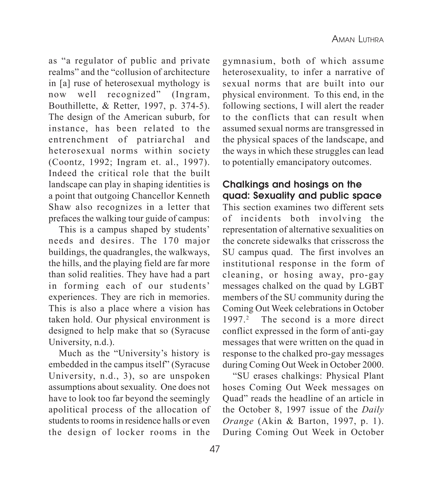as "a regulator of public and private realms" and the "collusion of architecture in [a] ruse of heterosexual mythology is now well recognized" (Ingram, Bouthillette, & Retter, 1997, p. 374-5). The design of the American suburb, for instance, has been related to the entrenchment of patriarchal and heterosexual norms within society (Coontz, 1992; Ingram et. al., 1997). Indeed the critical role that the built landscape can play in shaping identities is a point that outgoing Chancellor Kenneth Shaw also recognizes in a letter that prefaces the walking tour guide of campus:

This is a campus shaped by students' needs and desires. The 170 major buildings, the quadrangles, the walkways, the hills, and the playing field are far more than solid realities. They have had a part in forming each of our students' experiences. They are rich in memories. This is also a place where a vision has taken hold. Our physical environment is designed to help make that so (Syracuse University, n.d.).

Much as the "University's history is embedded in the campus itself" (Syracuse University, n.d., 3), so are unspoken assumptions about sexuality. One does not have to look too far beyond the seemingly apolitical process of the allocation of students to rooms in residence halls or even the design of locker rooms in the

gymnasium, both of which assume heterosexuality, to infer a narrative of sexual norms that are built into our physical environment. To this end, in the following sections, I will alert the reader to the conflicts that can result when assumed sexual norms are transgressed in the physical spaces of the landscape, and the ways in which these struggles can lead to potentially emancipatory outcomes.

## **Chalkings and hosings on the quad: Sexuality and public space**

This section examines two different sets of incidents both involving the representation of alternative sexualities on the concrete sidewalks that crisscross the SU campus quad. The first involves an institutional response in the form of cleaning, or hosing away, pro-gay messages chalked on the quad by LGBT members of the SU community during the Coming Out Week celebrations in October 1997.<sup>2</sup> The second is a more direct conflict expressed in the form of anti-gay messages that were written on the quad in response to the chalked pro-gay messages during Coming Out Week in October 2000.

"SU erases chalkings: Physical Plant hoses Coming Out Week messages on Quad" reads the headline of an article in the October 8, 1997 issue of the *Daily Orange* (Akin & Barton, 1997, p. 1). During Coming Out Week in October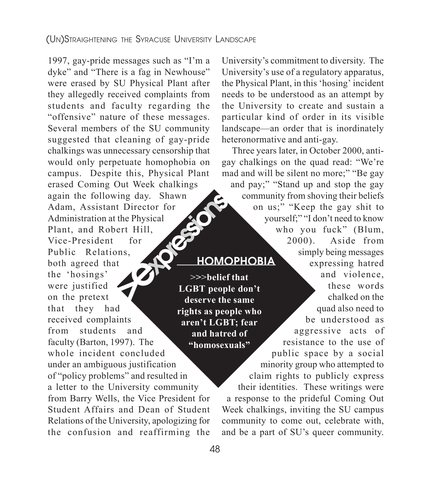#### (UN)STRAIGHTENING THE SYRACUSE UNIVERSITY LANDSCAPE

1997, gay-pride messages such as "I'm a dyke" and "There is a fag in Newhouse" were erased by SU Physical Plant after they allegedly received complaints from students and faculty regarding the "offensive" nature of these messages. Several members of the SU community suggested that cleaning of gay-pride chalkings was unnecessary censorship that would only perpetuate homophobia on campus. Despite this, Physical Plant erased Coming Out Week chalkings again the following day. Shawn Adam, Assistant Director for Administration at the Physical Plant, and Robert Hill, Vice-President for Public Relations, both agreed that the 'hosings' were justified on the pretext that they had received complaints from students and faculty (Barton, 1997). The whole incident concluded under an ambiguous justification of "policy problems" and resulted in a letter to the University community from Barry Wells, the Vice President for Student Affairs and Dean of Student Relations of the University, apologizing for the confusion and reaffirming the France Contract Contract Contract Contract Contract Contract Contract Contract Contract Contract Contract Contract Contract Contract Contract Contract Contract Contract Contract Contract Contract Contract Contract Contract

University's commitment to diversity. The University's use of a regulatory apparatus, the Physical Plant, in this 'hosing' incident needs to be understood as an attempt by the University to create and sustain a particular kind of order in its visible landscape—an order that is inordinately heteronormative and anti-gay.

Three years later, in October 2000, antigay chalkings on the quad read: "We're mad and will be silent no more;" "Be gay and pay;" "Stand up and stop the gay community from shoving their beliefs on us;" "Keep the gay shit to yourself;" "I don't need to know who you fuck" (Blum, 2000). Aside from simply being messages expressing hatred and violence, these words chalked on the quad also need to be understood as aggressive acts of resistance to the use of public space by a social minority group who attempted to claim rights to publicly express their identities. These writings were a response to the prideful Coming Out Week chalkings, inviting the SU campus community to come out, celebrate with, and be a part of SU's queer community. **HOMOPHOBIA >>>belief that LGBT people don't deserve the same rights as people who aren't LGBT; fear and hatred of "homosexuals"**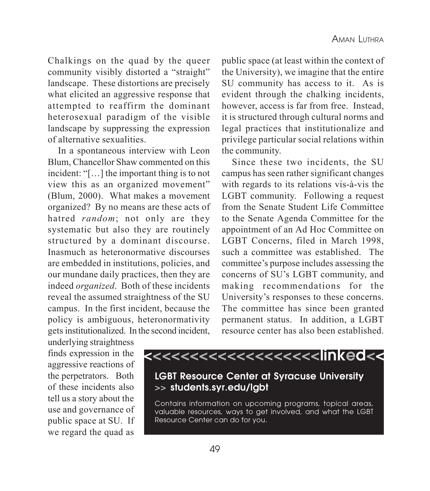Chalkings on the quad by the queer community visibly distorted a "straight" landscape. These distortions are precisely what elicited an aggressive response that attempted to reaffirm the dominant heterosexual paradigm of the visible landscape by suppressing the expression of alternative sexualities.

In a spontaneous interview with Leon Blum, Chancellor Shaw commented on this incident: "[…] the important thing is to not view this as an organized movement" (Blum, 2000). What makes a movement organized? By no means are these acts of hatred *random*; not only are they systematic but also they are routinely structured by a dominant discourse. Inasmuch as heteronormative discourses are embedded in institutions, policies, and our mundane daily practices, then they are indeed *organized*. Both of these incidents reveal the assumed straightness of the SU campus. In the first incident, because the policy is ambiguous, heteronormativity gets institutionalized. In the second incident,

public space (at least within the context of the University), we imagine that the entire SU community has access to it. As is evident through the chalking incidents, however, access is far from free. Instead, it is structured through cultural norms and legal practices that institutionalize and privilege particular social relations within the community.

Since these two incidents, the SU campus has seen rather significant changes with regards to its relations vis-à-vis the LGBT community. Following a request from the Senate Student Life Committee to the Senate Agenda Committee for the appointment of an Ad Hoc Committee on LGBT Concerns, filed in March 1998, such a committee was established. The committee's purpose includes assessing the concerns of SU's LGBT community, and making recommendations for the University's responses to these concerns. The committee has since been granted permanent status. In addition, a LGBT resource center has also been established.

underlying straightness finds expression in the aggressive reactions of the perpetrators. Both of these incidents also tell us a story about the use and governance of public space at SU. If we regard the quad as

**<<<<<<<<<<<<<<<<<<<linked<< LGBT Resource Center at Syracuse University >> students.syr.edu/lgbt**

Contains information on upcoming programs, topical areas, valuable resources, ways to get involved, and what the LGBT Resource Center can do for you.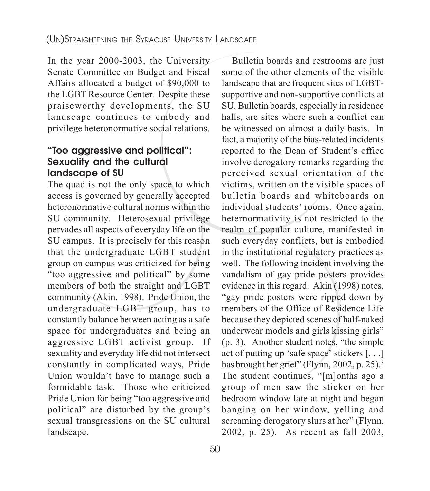In the year 2000-2003, the University Senate Committee on Budget and Fiscal Affairs allocated a budget of \$90,000 to the LGBT Resource Center. Despite these praiseworthy developments, the SU landscape continues to embody and privilege heteronormative social relations.

#### **"Too aggressive and political": Sexuality and the cultural landscape of SU**

The quad is not the only space to which access is governed by generally accepted heteronormative cultural norms within the SU community. Heterosexual privilege pervades all aspects of everyday life on the SU campus. It is precisely for this reason that the undergraduate LGBT student group on campus was criticized for being "too aggressive and political" by some members of both the straight and LGBT community (Akin, 1998). Pride Union, the undergraduate LGBT group, has to constantly balance between acting as a safe space for undergraduates and being an aggressive LGBT activist group. If sexuality and everyday life did not intersect constantly in complicated ways, Pride Union wouldn't have to manage such a formidable task. Those who criticized Pride Union for being "too aggressive and political" are disturbed by the group's sexual transgressions on the SU cultural landscape.

Bulletin boards and restrooms are just some of the other elements of the visible landscape that are frequent sites of LGBTsupportive and non-supportive conflicts at SU. Bulletin boards, especially in residence halls, are sites where such a conflict can be witnessed on almost a daily basis. In fact, a majority of the bias-related incidents reported to the Dean of Student's office involve derogatory remarks regarding the perceived sexual orientation of the victims, written on the visible spaces of bulletin boards and whiteboards on individual students' rooms. Once again, heternormativity is not restricted to the realm of popular culture, manifested in such everyday conflicts, but is embodied in the institutional regulatory practices as well. The following incident involving the vandalism of gay pride posters provides evidence in this regard. Akin (1998) notes, "gay pride posters were ripped down by members of the Office of Residence Life because they depicted scenes of half-naked underwear models and girls kissing girls" (p. 3). Another student notes, "the simple act of putting up 'safe space' stickers [. . .] has brought her grief" (Flynn, 2002, p. 25).<sup>3</sup> The student continues, "[m]onths ago a group of men saw the sticker on her bedroom window late at night and began banging on her window, yelling and screaming derogatory slurs at her" (Flynn, 2002, p. 25). As recent as fall 2003,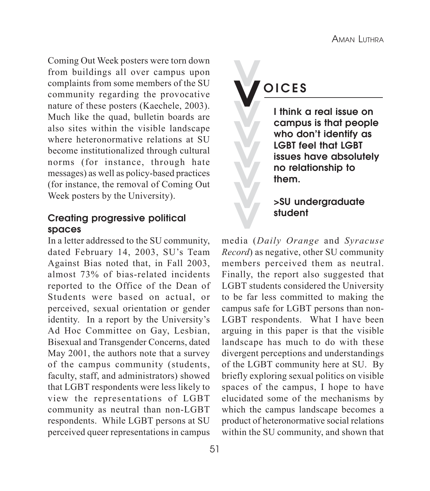Coming Out Week posters were torn down from buildings all over campus upon complaints from some members of the SU community regarding the provocative nature of these posters (Kaechele, 2003). Much like the quad, bulletin boards are also sites within the visible landscape where heteronormative relations at SU become institutionalized through cultural norms (for instance, through hate messages) as well as policy-based practices (for instance, the removal of Coming Out Week posters by the University).

### **Creating progressive political spaces**

In a letter addressed to the SU community, dated February 14, 2003, SU's Team Against Bias noted that, in Fall 2003, almost 73% of bias-related incidents reported to the Office of the Dean of Students were based on actual, or perceived, sexual orientation or gender identity. In a report by the University's Ad Hoc Committee on Gay, Lesbian, Bisexual and Transgender Concerns, dated May 2001, the authors note that a survey of the campus community (students, faculty, staff, and administrators) showed that LGBT respondents were less likely to view the representations of LGBT community as neutral than non-LGBT respondents. While LGBT persons at SU perceived queer representations in campus

# **>>>>>>>> OICES**

**I think a real issue on campus is that people who don't identify as LGBT feel that LGBT issues have absolutely no relationship to them.**

### **>SU undergraduate student**

media (*Daily Orange* and *Syracuse Record*) as negative, other SU community members perceived them as neutral. Finally, the report also suggested that LGBT students considered the University to be far less committed to making the campus safe for LGBT persons than non-LGBT respondents. What I have been arguing in this paper is that the visible landscape has much to do with these divergent perceptions and understandings of the LGBT community here at SU. By briefly exploring sexual politics on visible spaces of the campus, I hope to have elucidated some of the mechanisms by which the campus landscape becomes a product of heteronormative social relations within the SU community, and shown that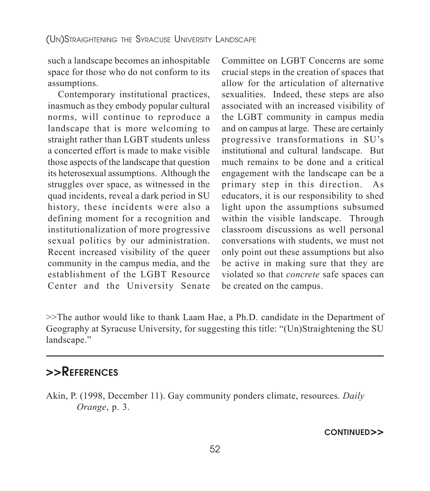such a landscape becomes an inhospitable space for those who do not conform to its assumptions.

Contemporary institutional practices, inasmuch as they embody popular cultural norms, will continue to reproduce a landscape that is more welcoming to straight rather than LGBT students unless a concerted effort is made to make visible those aspects of the landscape that question its heterosexual assumptions. Although the struggles over space, as witnessed in the quad incidents, reveal a dark period in SU history, these incidents were also a defining moment for a recognition and institutionalization of more progressive sexual politics by our administration. Recent increased visibility of the queer community in the campus media, and the establishment of the LGBT Resource Center and the University Senate

Committee on LGBT Concerns are some crucial steps in the creation of spaces that allow for the articulation of alternative sexualities. Indeed, these steps are also associated with an increased visibility of the LGBT community in campus media and on campus at large. These are certainly progressive transformations in SU's institutional and cultural landscape. But much remains to be done and a critical engagement with the landscape can be a primary step in this direction. As educators, it is our responsibility to shed light upon the assumptions subsumed within the visible landscape. Through classroom discussions as well personal conversations with students, we must not only point out these assumptions but also be active in making sure that they are violated so that *concrete* safe spaces can be created on the campus.

>>The author would like to thank Laam Hae, a Ph.D. candidate in the Department of Geography at Syracuse University, for suggesting this title: "(Un)Straightening the SU landscape."

## **>>REFERENCES**

**CONTINUED>>**

Akin, P. (1998, December 11). Gay community ponders climate, resources. *Daily Orange*, p. 3.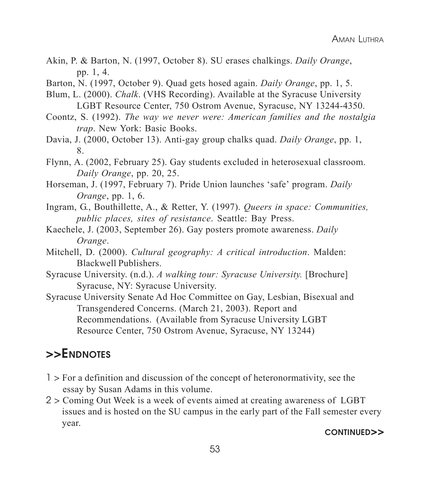- Akin, P. & Barton, N. (1997, October 8). SU erases chalkings. *Daily Orange*, pp. 1, 4.
- Barton, N. (1997, October 9). Quad gets hosed again. *Daily Orange*, pp. 1, 5.
- Blum, L. (2000). *Chalk*. (VHS Recording). Available at the Syracuse University LGBT Resource Center, 750 Ostrom Avenue, Syracuse, NY 13244-4350.
- Coontz, S. (1992). *The way we never were: American families and the nostalgia trap*. New York: Basic Books.
- Davia, J. (2000, October 13). Anti-gay group chalks quad. *Daily Orange*, pp. 1, 8.
- Flynn, A. (2002, February 25). Gay students excluded in heterosexual classroom. *Daily Orange*, pp. 20, 25.
- Horseman, J. (1997, February 7). Pride Union launches 'safe' program. *Daily Orange*, pp. 1, 6.
- Ingram, G., Bouthillette, A., & Retter, Y. (1997). *Queers in space: Communities, public places, sites of resistance*. Seattle: Bay Press.
- Kaechele, J. (2003, September 26). Gay posters promote awareness. *Daily Orange*.
- Mitchell, D. (2000). *Cultural geography: A critical introduction*. Malden: Blackwell Publishers.
- Syracuse University. (n.d.). *A walking tour: Syracuse University.* [Brochure] Syracuse, NY: Syracuse University.
- Syracuse University Senate Ad Hoc Committee on Gay, Lesbian, Bisexual and Transgendered Concerns. (March 21, 2003). Report and Recommendations. (Available from Syracuse University LGBT Resource Center, 750 Ostrom Avenue, Syracuse, NY 13244)

# **>>ENDNOTES**

- 1 > For a definition and discussion of the concept of heteronormativity, see the essay by Susan Adams in this volume.
- 2 > Coming Out Week is a week of events aimed at creating awareness of LGBT issues and is hosted on the SU campus in the early part of the Fall semester every year.

#### **CONTINUED>>**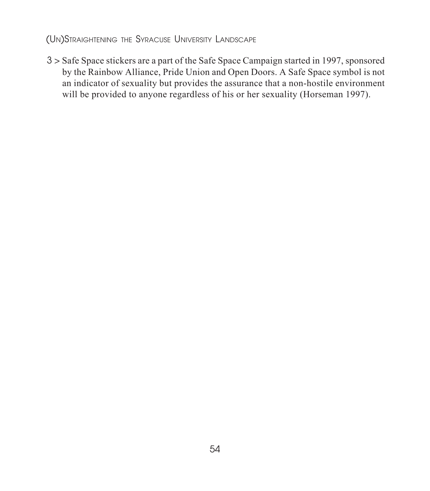(UN)STRAIGHTENING THE SYRACUSE UNIVERSITY LANDSCAPE

3 > Safe Space stickers are a part of the Safe Space Campaign started in 1997, sponsored by the Rainbow Alliance, Pride Union and Open Doors. A Safe Space symbol is not an indicator of sexuality but provides the assurance that a non-hostile environment will be provided to anyone regardless of his or her sexuality (Horseman 1997).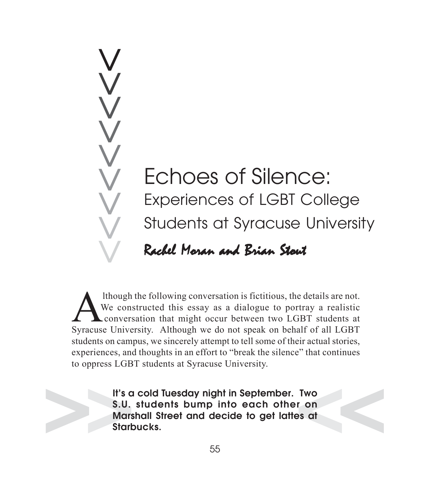

Echoes of Silence: Experiences of LGBT College Students at Syracuse University

# Rachel Moran and Brian Stout

Ithough the following conversation is fictitious, the details are not.<br>We constructed this essay as a dialogue to portray a realistic<br>conversation that might occur between two LGBT students at<br>Syracuse University. Although We constructed this essay as a dialogue to portray a realistic conversation that might occur between two LGBT students at Syracuse University. Although we do not speak on behalf of all LGBT students on campus, we sincerely attempt to tell some of their actual stories, experiences, and thoughts in an effort to "break the silence" that continues to oppress LGBT students at Syracuse University.

**It's a cold Tuesday night in September. Two<br>
<b>S.U. students bump into each other on**<br> **Marshall Street and decide to get lattes at<br>
Starbucks. Starbucks.**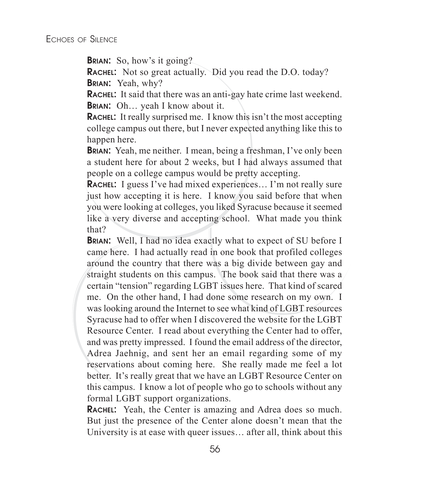**BRIAN:** So, how's it going?

**RACHEL:** Not so great actually. Did you read the D.O. today? **BRIAN:** Yeah, why?

**RACHEL:** It said that there was an anti-gay hate crime last weekend. **BRIAN:** Oh... yeah I know about it.

**RACHEL:** It really surprised me. I know this isn't the most accepting college campus out there, but I never expected anything like this to happen here.

**BRIAN:** Yeah, me neither. I mean, being a freshman, I've only been a student here for about 2 weeks, but I had always assumed that people on a college campus would be pretty accepting.

**RACHEL:** I guess I've had mixed experiences... I'm not really sure just how accepting it is here. I know you said before that when you were looking at colleges, you liked Syracuse because it seemed like a very diverse and accepting school. What made you think that?

**BRIAN:** Well, I had no idea exactly what to expect of SU before I came here. I had actually read in one book that profiled colleges around the country that there was a big divide between gay and straight students on this campus. The book said that there was a certain "tension" regarding LGBT issues here. That kind of scared me. On the other hand, I had done some research on my own. I was looking around the Internet to see what kind of LGBT resources Syracuse had to offer when I discovered the website for the LGBT Resource Center. I read about everything the Center had to offer, and was pretty impressed. I found the email address of the director, Adrea Jaehnig, and sent her an email regarding some of my reservations about coming here. She really made me feel a lot better. It's really great that we have an LGBT Resource Center on this campus. I know a lot of people who go to schools without any formal LGBT support organizations.

**RACHEL:** Yeah, the Center is amazing and Adrea does so much. But just the presence of the Center alone doesn't mean that the University is at ease with queer issues… after all, think about this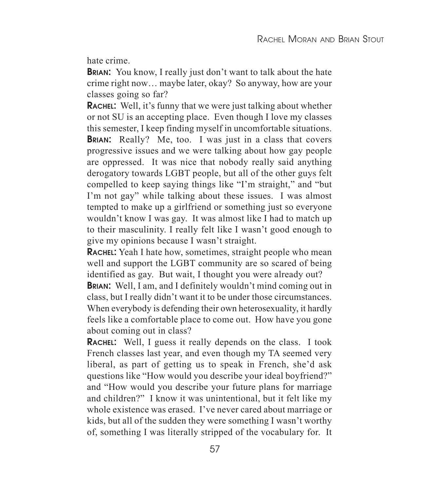hate crime.

**BRIAN:** You know, I really just don't want to talk about the hate crime right now… maybe later, okay? So anyway, how are your classes going so far?

**RACHEL:** Well, it's funny that we were just talking about whether or not SU is an accepting place. Even though I love my classes this semester, I keep finding myself in uncomfortable situations. **BRIAN:** Really? Me, too. I was just in a class that covers progressive issues and we were talking about how gay people are oppressed. It was nice that nobody really said anything derogatory towards LGBT people, but all of the other guys felt compelled to keep saying things like "I'm straight," and "but I'm not gay" while talking about these issues. I was almost tempted to make up a girlfriend or something just so everyone wouldn't know I was gay. It was almost like I had to match up to their masculinity. I really felt like I wasn't good enough to give my opinions because I wasn't straight.

**RACHEL:** Yeah I hate how, sometimes, straight people who mean well and support the LGBT community are so scared of being identified as gay. But wait, I thought you were already out?

**BRIAN:** Well, I am, and I definitely wouldn't mind coming out in class, but I really didn't want it to be under those circumstances. When everybody is defending their own heterosexuality, it hardly feels like a comfortable place to come out. How have you gone about coming out in class?

**RACHEL:** Well, I guess it really depends on the class. I took French classes last year, and even though my TA seemed very liberal, as part of getting us to speak in French, she'd ask questions like "How would you describe your ideal boyfriend?" and "How would you describe your future plans for marriage and children?" I know it was unintentional, but it felt like my whole existence was erased. I've never cared about marriage or kids, but all of the sudden they were something I wasn't worthy of, something I was literally stripped of the vocabulary for. It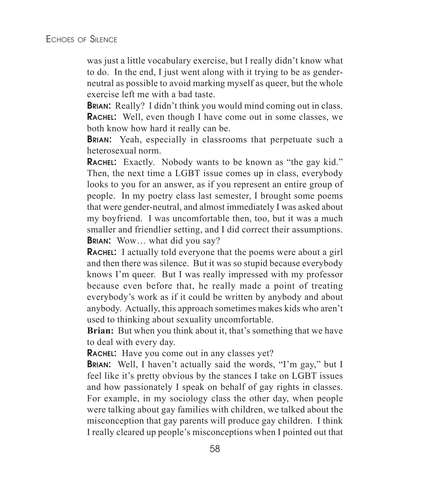was just a little vocabulary exercise, but I really didn't know what to do. In the end, I just went along with it trying to be as genderneutral as possible to avoid marking myself as queer, but the whole exercise left me with a bad taste.

**BRIAN:** Really? I didn't think you would mind coming out in class. **RACHEL:** Well, even though I have come out in some classes, we both know how hard it really can be.

**BRIAN:** Yeah, especially in classrooms that perpetuate such a heterosexual norm.

**RACHEL:** Exactly. Nobody wants to be known as "the gay kid." Then, the next time a LGBT issue comes up in class, everybody looks to you for an answer, as if you represent an entire group of people. In my poetry class last semester, I brought some poems that were gender-neutral, and almost immediately I was asked about my boyfriend. I was uncomfortable then, too, but it was a much smaller and friendlier setting, and I did correct their assumptions. **BRIAN:** Wow... what did you say?

**RACHEL:** I actually told everyone that the poems were about a girl and then there was silence. But it was so stupid because everybody knows I'm queer. But I was really impressed with my professor because even before that, he really made a point of treating everybody's work as if it could be written by anybody and about anybody. Actually, this approach sometimes makes kids who aren't used to thinking about sexuality uncomfortable.

**Brian:** But when you think about it, that's something that we have to deal with every day.

**RACHEL:** Have you come out in any classes yet?

**BRIAN:** Well, I haven't actually said the words, "I'm gay," but I feel like it's pretty obvious by the stances I take on LGBT issues and how passionately I speak on behalf of gay rights in classes. For example, in my sociology class the other day, when people were talking about gay families with children, we talked about the misconception that gay parents will produce gay children. I think I really cleared up people's misconceptions when I pointed out that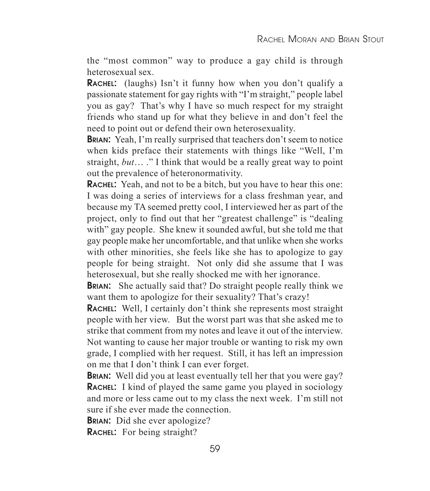the "most common" way to produce a gay child is through heterosexual sex.

**RACHEL:** (laughs) Isn't it funny how when you don't qualify a passionate statement for gay rights with "I'm straight," people label you as gay? That's why I have so much respect for my straight friends who stand up for what they believe in and don't feel the need to point out or defend their own heterosexuality.

**BRIAN:** Yeah, I'm really surprised that teachers don't seem to notice when kids preface their statements with things like "Well, I'm straight, *but*… ." I think that would be a really great way to point out the prevalence of heteronormativity.

**RACHEL:** Yeah, and not to be a bitch, but you have to hear this one: I was doing a series of interviews for a class freshman year, and because my TA seemed pretty cool, I interviewed her as part of the project, only to find out that her "greatest challenge" is "dealing with" gay people. She knew it sounded awful, but she told me that gay people make her uncomfortable, and that unlike when she works with other minorities, she feels like she has to apologize to gay people for being straight. Not only did she assume that I was heterosexual, but she really shocked me with her ignorance.

**BRIAN:** She actually said that? Do straight people really think we want them to apologize for their sexuality? That's crazy!

**RACHEL:** Well, I certainly don't think she represents most straight people with her view. But the worst part was that she asked me to strike that comment from my notes and leave it out of the interview. Not wanting to cause her major trouble or wanting to risk my own grade, I complied with her request. Still, it has left an impression on me that I don't think I can ever forget.

**BRIAN:** Well did you at least eventually tell her that you were gay? **RACHEL:** I kind of played the same game you played in sociology and more or less came out to my class the next week. I'm still not sure if she ever made the connection.

**BRIAN:** Did she ever apologize?

**RACHEL:** For being straight?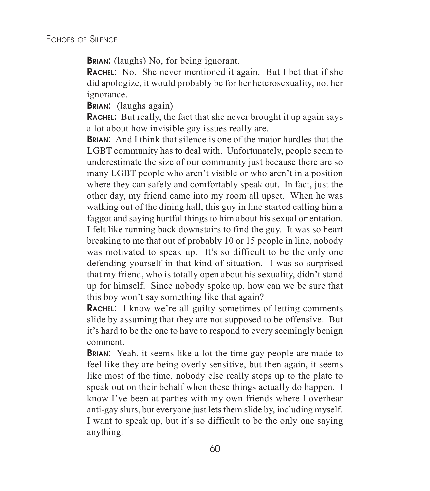**BRIAN:** (laughs) No, for being ignorant.

**RACHEL:** No. She never mentioned it again. But I bet that if she did apologize, it would probably be for her heterosexuality, not her ignorance.

**BRIAN:** (laughs again)

**RACHEL:** But really, the fact that she never brought it up again says a lot about how invisible gay issues really are.

**BRIAN:** And I think that silence is one of the major hurdles that the LGBT community has to deal with. Unfortunately, people seem to underestimate the size of our community just because there are so many LGBT people who aren't visible or who aren't in a position where they can safely and comfortably speak out. In fact, just the other day, my friend came into my room all upset. When he was walking out of the dining hall, this guy in line started calling him a faggot and saying hurtful things to him about his sexual orientation. I felt like running back downstairs to find the guy. It was so heart breaking to me that out of probably 10 or 15 people in line, nobody was motivated to speak up. It's so difficult to be the only one defending yourself in that kind of situation. I was so surprised that my friend, who is totally open about his sexuality, didn't stand up for himself. Since nobody spoke up, how can we be sure that this boy won't say something like that again?

**RACHEL:** I know we're all guilty sometimes of letting comments slide by assuming that they are not supposed to be offensive. But it's hard to be the one to have to respond to every seemingly benign comment.

**BRIAN:** Yeah, it seems like a lot the time gay people are made to feel like they are being overly sensitive, but then again, it seems like most of the time, nobody else really steps up to the plate to speak out on their behalf when these things actually do happen. I know I've been at parties with my own friends where I overhear anti-gay slurs, but everyone just lets them slide by, including myself. I want to speak up, but it's so difficult to be the only one saying anything.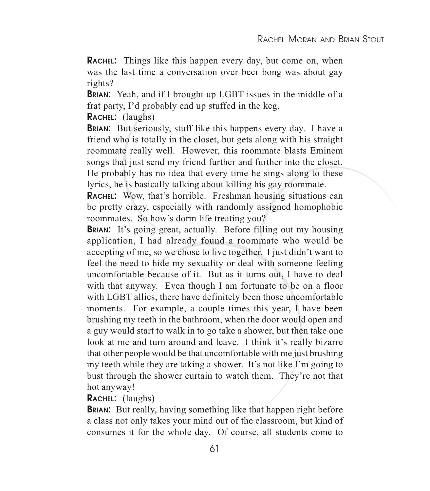**RACHEL:** Things like this happen every day, but come on, when was the last time a conversation over beer bong was about gay rights?

**BRIAN:** Yeah, and if I brought up LGBT issues in the middle of a frat party, I'd probably end up stuffed in the keg.

**RACHEL:** (laughs)

**BRIAN:** But seriously, stuff like this happens every day. I have a friend who is totally in the closet, but gets along with his straight roommate really well. However, this roommate blasts Eminem songs that just send my friend further and further into the closet. He probably has no idea that every time he sings along to these lyrics, he is basically talking about killing his gay roommate.

**RACHEL:** Wow, that's horrible. Freshman housing situations can be pretty crazy, especially with randomly assigned homophobic roommates. So how's dorm life treating you?

**BRIAN:** It's going great, actually. Before filling out my housing application, I had already found a roommate who would be accepting of me, so we chose to live together. I just didn't want to feel the need to hide my sexuality or deal with someone feeling uncomfortable because of it. But as it turns out, I have to deal with that anyway. Even though I am fortunate to be on a floor with LGBT allies, there have definitely been those uncomfortable moments. For example, a couple times this year, I have been brushing my teeth in the bathroom, when the door would open and a guy would start to walk in to go take a shower, but then take one look at me and turn around and leave. I think it's really bizarre that other people would be that uncomfortable with me just brushing my teeth while they are taking a shower. It's not like I'm going to bust through the shower curtain to watch them. They're not that hot anyway!

#### **RACHEL:** (laughs)

**BRIAN:** But really, having something like that happen right before a class not only takes your mind out of the classroom, but kind of consumes it for the whole day. Of course, all students come to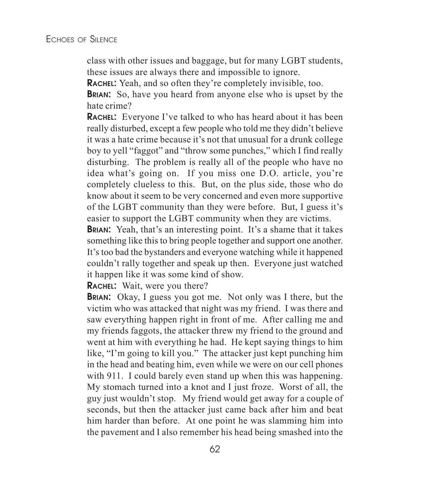class with other issues and baggage, but for many LGBT students, these issues are always there and impossible to ignore.

**RACHEL:** Yeah, and so often they're completely invisible, too.

**BRIAN:** So, have you heard from anyone else who is upset by the hate crime?

**RACHEL:** Everyone I've talked to who has heard about it has been really disturbed, except a few people who told me they didn't believe it was a hate crime because it's not that unusual for a drunk college boy to yell "faggot" and "throw some punches," which I find really disturbing. The problem is really all of the people who have no idea what's going on. If you miss one D.O. article, you're completely clueless to this. But, on the plus side, those who do know about it seem to be very concerned and even more supportive of the LGBT community than they were before. But, I guess it's easier to support the LGBT community when they are victims.

**BRIAN:** Yeah, that's an interesting point. It's a shame that it takes something like this to bring people together and support one another. It's too bad the bystanders and everyone watching while it happened couldn't rally together and speak up then. Everyone just watched it happen like it was some kind of show.

**RACHEL:** Wait, were you there?

**BRIAN:** Okay, I guess you got me. Not only was I there, but the victim who was attacked that night was my friend. I was there and saw everything happen right in front of me. After calling me and my friends faggots, the attacker threw my friend to the ground and went at him with everything he had. He kept saying things to him like, "I'm going to kill you." The attacker just kept punching him in the head and beating him, even while we were on our cell phones with 911. I could barely even stand up when this was happening. My stomach turned into a knot and I just froze. Worst of all, the guy just wouldn't stop. My friend would get away for a couple of seconds, but then the attacker just came back after him and beat him harder than before. At one point he was slamming him into the pavement and I also remember his head being smashed into the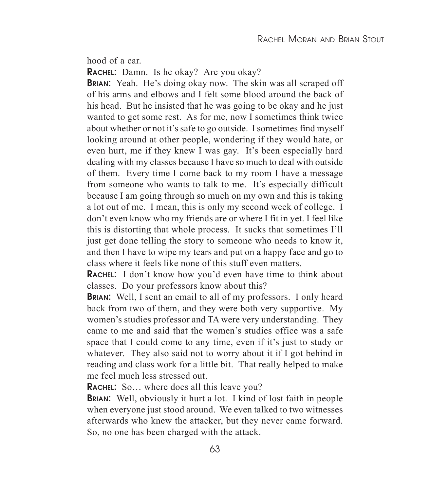hood of a car.

**RACHEL:** Damn. Is he okay? Are you okay?

**BRIAN:** Yeah. He's doing okay now. The skin was all scraped off of his arms and elbows and I felt some blood around the back of his head. But he insisted that he was going to be okay and he just wanted to get some rest. As for me, now I sometimes think twice about whether or not it's safe to go outside. I sometimes find myself looking around at other people, wondering if they would hate, or even hurt, me if they knew I was gay. It's been especially hard dealing with my classes because I have so much to deal with outside of them. Every time I come back to my room I have a message from someone who wants to talk to me. It's especially difficult because I am going through so much on my own and this is taking a lot out of me. I mean, this is only my second week of college. I don't even know who my friends are or where I fit in yet. I feel like this is distorting that whole process. It sucks that sometimes I'll just get done telling the story to someone who needs to know it, and then I have to wipe my tears and put on a happy face and go to class where it feels like none of this stuff even matters.

**RACHEL:** I don't know how you'd even have time to think about classes. Do your professors know about this?

**BRIAN:** Well, I sent an email to all of my professors. I only heard back from two of them, and they were both very supportive. My women's studies professor and TA were very understanding. They came to me and said that the women's studies office was a safe space that I could come to any time, even if it's just to study or whatever. They also said not to worry about it if I got behind in reading and class work for a little bit. That really helped to make me feel much less stressed out.

**RACHEL:** So... where does all this leave you?

**BRIAN:** Well, obviously it hurt a lot. I kind of lost faith in people when everyone just stood around. We even talked to two witnesses afterwards who knew the attacker, but they never came forward. So, no one has been charged with the attack.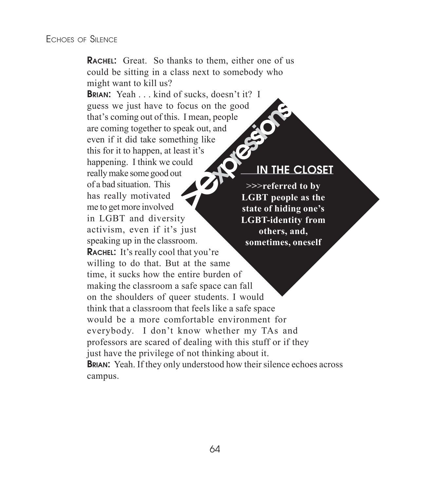**RACHEL:** Great. So thanks to them, either one of us could be sitting in a class next to somebody who might want to kill us? **BRIAN:** Yeah . . . kind of sucks, doesn't it? I guess we just have to focus on the good that's coming out of this. I mean, people are coming together to speak out, and even if it did take something like this for it to happen, at least it's happening. I think we could really make some good out of a bad situation. This has really motivated me to get more involved in LGBT and diversity activism, even if it's just speaking up in the classroom. **RACHEL:** It's really cool that you're willing to do that. But at the same time, it sucks how the entire burden of making the classroom a safe space can fall on the shoulders of queer students. I would think that a classroom that feels like a safe space would be a more comfortable environment for everybody. I don't know whether my TAs and professors are scared of dealing with this stuff or if they just have the privilege of not thinking about it. **BRIAN:** Yeah. If they only understood how their silence echoes across campus. France Corresponded the corresponded to the good<br>
beak out, and<br>
thing like<br>
ast it's<br>
ast it's<br>
ast it's<br>
ast it's<br>
<br>
<br>
>>>referred LGBT peopl<br>
state of hidin **IN THE CLOSET >>>referred to by LGBT people as the state of hiding one's LGBT-identity from others, and, sometimes, oneself**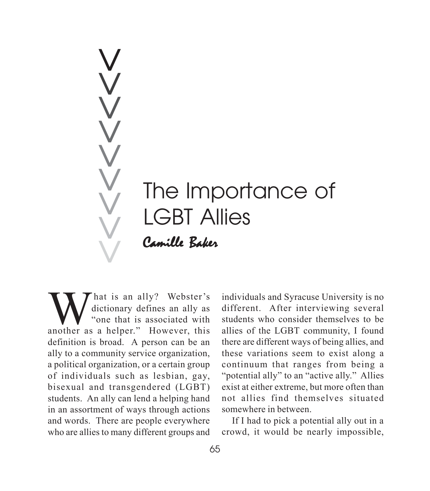## Camille Baker The Importance of LGBT Allies

What is an ally? Webster's<br>dictionary defines an ally as<br>"one that is associated with<br>another as a helper." However, this dictionary defines an ally as "one that is associated with definition is broad. A person can be an ally to a community service organization, a political organization, or a certain group of individuals such as lesbian, gay, bisexual and transgendered (LGBT) students. An ally can lend a helping hand in an assortment of ways through actions and words. There are people everywhere who are allies to many different groups and

 $\bigvee$ 

 $\check{\vee}$ 

 $\check{\vee}$ 

 $\check{\vee}$ 

 $\checkmark$ 

 $\check{\vee}$ 

 $\checkmark$ 

 $\checkmark$ 

 $\bigvee$ 

individuals and Syracuse University is no different. After interviewing several students who consider themselves to be allies of the LGBT community, I found there are different ways of being allies, and these variations seem to exist along a continuum that ranges from being a "potential ally" to an "active ally." Allies exist at either extreme, but more often than not allies find themselves situated somewhere in between.

If I had to pick a potential ally out in a crowd, it would be nearly impossible,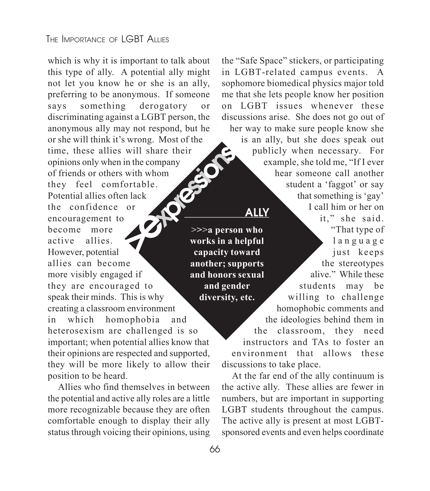#### THE IMPORTANCE OF LGBT ALLIES

which is why it is important to talk about this type of ally. A potential ally might not let you know he or she is an ally, preferring to be anonymous. If someone says something derogatory or discriminating against a LGBT person, the anonymous ally may not respond, but he or she will think it's wrong. Most of the time, these allies will share their opinions only when in the company of friends or others with whom they feel comfortable. Potential allies often lack the confidence or encouragement to become more active allies. However, potential allies can become more visibly engaged if they are encouraged to speak their minds. This is why creating a classroom environment in which homophobia and heterosexism are challenged is so important; when potential allies know that their opinions are respected and supported, they will be more likely to allow their position to be heard. **>expressions**

Allies who find themselves in between the potential and active ally roles are a little more recognizable because they are often comfortable enough to display their ally status through voicing their opinions, using

the "Safe Space" stickers, or participating in LGBT-related campus events. A sophomore biomedical physics major told me that she lets people know her position on LGBT issues whenever these discussions arise. She does not go out of her way to make sure people know she is an ally, but she does speak out publicly when necessary. For example, she told me, "If I ever hear someone call another student a 'faggot' or say that something is 'gay' I call him or her on it," she said. "That type of language just keeps the stereotypes alive." While these **ALLY >>>a person who works in a helpful capacity toward another; supports and honors sexual**

students may be willing to challenge homophobic comments and the ideologies behind them in the classroom, they need instructors and TAs to foster an environment that allows these discussions to take place. **and gender diversity, etc.**

> At the far end of the ally continuum is the active ally. These allies are fewer in numbers, but are important in supporting LGBT students throughout the campus. The active ally is present at most LGBTsponsored events and even helps coordinate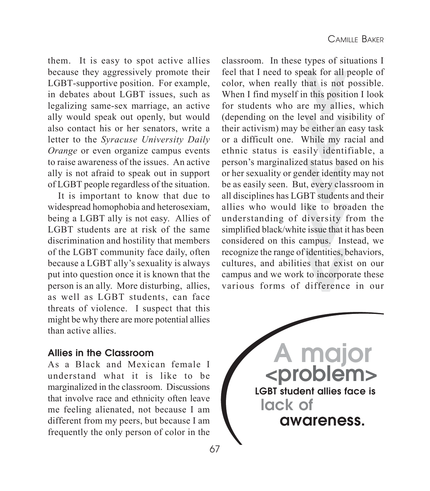them. It is easy to spot active allies because they aggressively promote their LGBT-supportive position. For example, in debates about LGBT issues, such as legalizing same-sex marriage, an active ally would speak out openly, but would also contact his or her senators, write a letter to the *Syracuse University Daily Orange* or even organize campus events to raise awareness of the issues. An active ally is not afraid to speak out in support of LGBT people regardless of the situation.

It is important to know that due to widespread homophobia and heterosexiam, being a LGBT ally is not easy. Allies of LGBT students are at risk of the same discrimination and hostility that members of the LGBT community face daily, often because a LGBT ally's sexuality is always put into question once it is known that the person is an ally. More disturbing, allies, as well as LGBT students, can face threats of violence. I suspect that this might be why there are more potential allies than active allies.

### **Allies in the Classroom**

As a Black and Mexican female I understand what it is like to be marginalized in the classroom. Discussions that involve race and ethnicity often leave me feeling alienated, not because I am different from my peers, but because I am frequently the only person of color in the

eak for all plate is not<br>that is not<br>the my allie<br>well and vis<br>e either an<br>while my ri<br>ally identit<br>d status bas<br>ander identity,<br>every clas<br>BT students<br>ike to broad inversity<br>is issue that it<br>identities, be state is incorp classroom. In these types of situations I feel that I need to speak for all people of color, when really that is not possible. When I find myself in this position I look for students who are my allies, which (depending on the level and visibility of their activism) may be either an easy task or a difficult one. While my racial and ethnic status is easily identifiable, a person's marginalized status based on his or her sexuality or gender identity may not be as easily seen. But, every classroom in all disciplines has LGBT students and their allies who would like to broaden the understanding of diversity from the simplified black/white issue that it has been considered on this campus. Instead, we recognize the range of identities, behaviors, cultures, and abilities that exist on our campus and we work to incorporate these various forms of difference in our

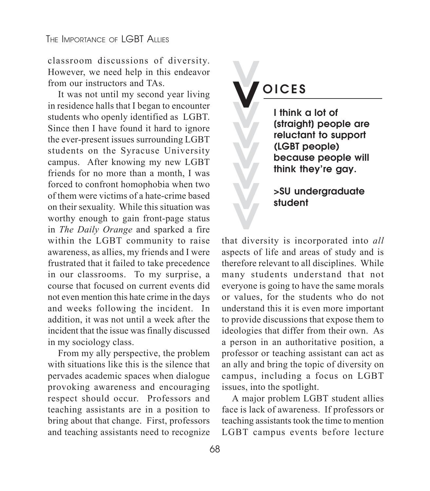#### THE IMPORTANCE OF LGBT ALLIES

classroom discussions of diversity. However, we need help in this endeavor from our instructors and TAs.

It was not until my second year living in residence halls that I began to encounter students who openly identified as LGBT. Since then I have found it hard to ignore the ever-present issues surrounding LGBT students on the Syracuse University campus. After knowing my new LGBT friends for no more than a month, I was forced to confront homophobia when two of them were victims of a hate-crime based on their sexuality. While this situation was worthy enough to gain front-page status in *The Daily Orange* and sparked a fire within the LGBT community to raise awareness, as allies, my friends and I were frustrated that it failed to take precedence in our classrooms. To my surprise, a course that focused on current events did not even mention this hate crime in the days and weeks following the incident. In addition, it was not until a week after the incident that the issue was finally discussed in my sociology class.

From my ally perspective, the problem with situations like this is the silence that pervades academic spaces when dialogue provoking awareness and encouraging respect should occur. Professors and teaching assistants are in a position to bring about that change. First, professors and teaching assistants need to recognize

# **>>>>>>>> OICES**

**I think a lot of [straight] people are reluctant to support (LGBT people) because people will think they're gay.**

**>SU undergraduate student**

that diversity is incorporated into *all* aspects of life and areas of study and is therefore relevant to all disciplines. While many students understand that not everyone is going to have the same morals or values, for the students who do not understand this it is even more important to provide discussions that expose them to ideologies that differ from their own. As a person in an authoritative position, a professor or teaching assistant can act as an ally and bring the topic of diversity on campus, including a focus on LGBT issues, into the spotlight.

A major problem LGBT student allies face is lack of awareness. If professors or teaching assistants took the time to mention LGBT campus events before lecture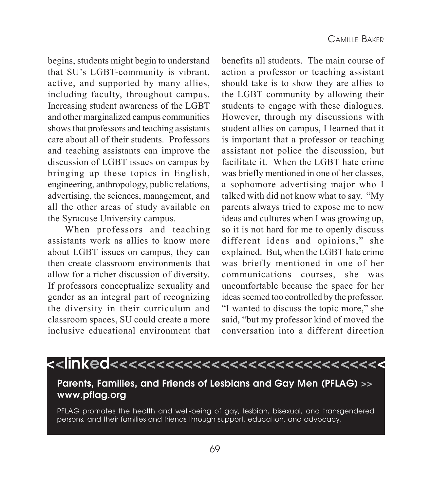begins, students might begin to understand that SU's LGBT-community is vibrant, active, and supported by many allies, including faculty, throughout campus. Increasing student awareness of the LGBT and other marginalized campus communities shows that professors and teaching assistants care about all of their students. Professors and teaching assistants can improve the discussion of LGBT issues on campus by bringing up these topics in English, engineering, anthropology, public relations, advertising, the sciences, management, and all the other areas of study available on the Syracuse University campus.

 When professors and teaching assistants work as allies to know more about LGBT issues on campus, they can then create classroom environments that allow for a richer discussion of diversity. If professors conceptualize sexuality and gender as an integral part of recognizing the diversity in their curriculum and classroom spaces, SU could create a more inclusive educational environment that

benefits all students. The main course of action a professor or teaching assistant should take is to show they are allies to the LGBT community by allowing their students to engage with these dialogues. However, through my discussions with student allies on campus, I learned that it is important that a professor or teaching assistant not police the discussion, but facilitate it. When the LGBT hate crime was briefly mentioned in one of her classes, a sophomore advertising major who I talked with did not know what to say. "My parents always tried to expose me to new ideas and cultures when I was growing up, so it is not hard for me to openly discuss different ideas and opinions," she explained. But, when the LGBT hate crime was briefly mentioned in one of her communications courses, she was uncomfortable because the space for her ideas seemed too controlled by the professor. "I wanted to discuss the topic more," she said, "but my professor kind of moved the conversation into a different direction



PFLAG promotes the health and well-being of gay, lesbian, bisexual, and transgendered persons, and their families and friends through support, education, and advocacy.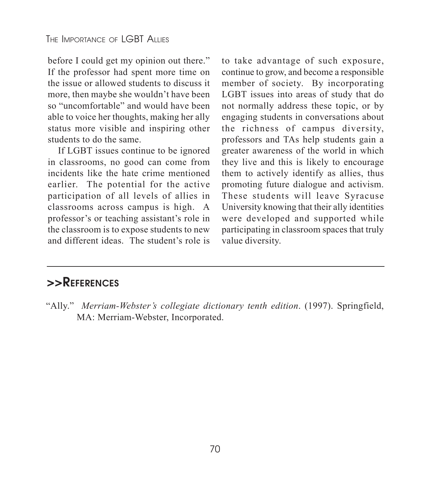before I could get my opinion out there." If the professor had spent more time on the issue or allowed students to discuss it more, then maybe she wouldn't have been so "uncomfortable" and would have been able to voice her thoughts, making her ally status more visible and inspiring other students to do the same.

If LGBT issues continue to be ignored in classrooms, no good can come from incidents like the hate crime mentioned earlier. The potential for the active participation of all levels of allies in classrooms across campus is high. A professor's or teaching assistant's role in the classroom is to expose students to new and different ideas. The student's role is

to take advantage of such exposure, continue to grow, and become a responsible member of society. By incorporating LGBT issues into areas of study that do not normally address these topic, or by engaging students in conversations about the richness of campus diversity, professors and TAs help students gain a greater awareness of the world in which they live and this is likely to encourage them to actively identify as allies, thus promoting future dialogue and activism. These students will leave Syracuse University knowing that their ally identities were developed and supported while participating in classroom spaces that truly value diversity.

### **>>REFERENCES**

<sup>&</sup>quot;Ally." *Merriam-Webster's collegiate dictionary tenth edition*. (1997). Springfield, MA: Merriam-Webster, Incorporated.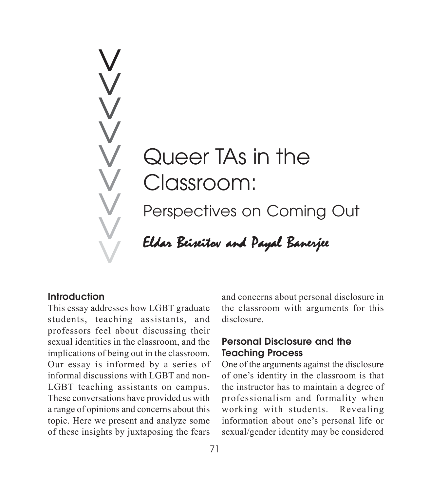

## Eldar Beiseitov and Payal Banerjee Queer TAs in the Classroom: Perspectives on Coming Out

### **Introduction**

This essay addresses how LGBT graduate students, teaching assistants, and professors feel about discussing their sexual identities in the classroom, and the implications of being out in the classroom. Our essay is informed by a series of informal discussions with LGBT and non-LGBT teaching assistants on campus. These conversations have provided us with a range of opinions and concerns about this topic. Here we present and analyze some of these insights by juxtaposing the fears

and concerns about personal disclosure in the classroom with arguments for this disclosure.

### **Personal Disclosure and the Teaching Process**

One of the arguments against the disclosure of one's identity in the classroom is that the instructor has to maintain a degree of professionalism and formality when working with students. Revealing information about one's personal life or sexual/gender identity may be considered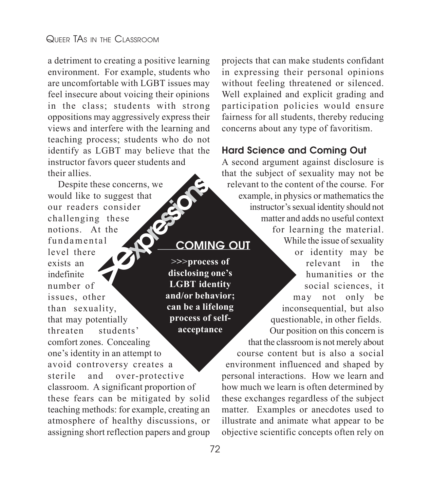### QUEER TAS IN THE CLASSROOM

a detriment to creating a positive learning environment. For example, students who are uncomfortable with LGBT issues may feel insecure about voicing their opinions in the class; students with strong oppositions may aggressively express their views and interfere with the learning and teaching process; students who do not identify as LGBT may believe that the instructor favors queer students and their allies.

Despite these concerns, we would like to suggest that our readers consider challenging these notions. At the fundamental level there exists an indefinite number of issues, other than sexuality, that may potentially threaten students' comfort zones. Concealing one's identity in an attempt to avoid controversy creates a sterile and over-protective classroom. A significant proportion of these fears can be mitigated by solid teaching methods: for example, creating an atmosphere of healthy discussions, or assigning short reflection papers and group **>expressions >>>process of disclosing one's LGBT identity and/or behavior; can be a lifelong process of selfacceptance**

projects that can make students confidant in expressing their personal opinions without feeling threatened or silenced. Well explained and explicit grading and participation policies would ensure fairness for all students, thereby reducing concerns about any type of favoritism.

### **Hard Science and Coming Out**

A second argument against disclosure is that the subject of sexuality may not be relevant to the content of the course. For example, in physics or mathematics the instructor's sexual identity should not matter and adds no useful context for learning the material. While the issue of sexuality or identity may be relevant in the humanities or the social sciences, it may not only be inconsequential, but also questionable, in other fields. Our position on this concern is that the classroom is not merely about course content but is also a social environment influenced and shaped by personal interactions. How we learn and how much we learn is often determined by these exchanges regardless of the subject matter. Examples or anecdotes used to illustrate and animate what appear to be objective scientific concepts often rely on **COMING OUT**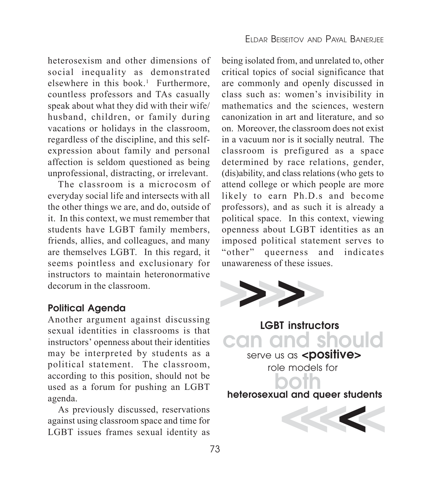heterosexism and other dimensions of social inequality as demonstrated elsewhere in this book.<sup>1</sup> Furthermore, countless professors and TAs casually speak about what they did with their wife/ husband, children, or family during vacations or holidays in the classroom, regardless of the discipline, and this selfexpression about family and personal affection is seldom questioned as being unprofessional, distracting, or irrelevant.

The classroom is a microcosm of everyday social life and intersects with all the other things we are, and do, outside of it. In this context, we must remember that students have LGBT family members, friends, allies, and colleagues, and many are themselves LGBT. In this regard, it seems pointless and exclusionary for instructors to maintain heteronormative decorum in the classroom.

### **Political Agenda**

Another argument against discussing sexual identities in classrooms is that instructors' openness about their identities may be interpreted by students as a political statement. The classroom, according to this position, should not be used as a forum for pushing an LGBT agenda.

As previously discussed, reservations against using classroom space and time for LGBT issues frames sexual identity as

being isolated from, and unrelated to, other critical topics of social significance that are commonly and openly discussed in class such as: women's invisibility in mathematics and the sciences, western canonization in art and literature, and so on. Moreover, the classroom does not exist in a vacuum nor is it socially neutral. The classroom is prefigured as a space determined by race relations, gender, (dis)ability, and class relations (who gets to attend college or which people are more likely to earn Ph.D.s and become professors), and as such it is already a political space. In this context, viewing openness about LGBT identities as an imposed political statement serves to "other" queerness and indicates unawareness of these issues.



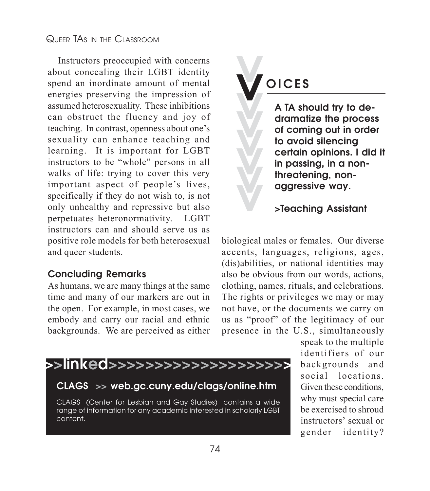### QUEER TAS IN THE CLASSROOM

Instructors preoccupied with concerns about concealing their LGBT identity spend an inordinate amount of mental energies preserving the impression of assumed heterosexuality. These inhibitions can obstruct the fluency and joy of teaching. In contrast, openness about one's sexuality can enhance teaching and learning. It is important for LGBT instructors to be "whole" persons in all walks of life: trying to cover this very important aspect of people's lives, specifically if they do not wish to, is not only unhealthy and repressive but also perpetuates heteronormativity. LGBT instructors can and should serve us as positive role models for both heterosexual and queer students.

### **Concluding Remarks**

As humans, we are many things at the same time and many of our markers are out in the open. For example, in most cases, we embody and carry our racial and ethnic backgrounds. We are perceived as either

## **>>>>>>>> OICES**

**A TA should try to dedramatize the process of coming out in order to avoid silencing certain opinions. I did it in passing, in a nonthreatening, nonaggressive way.**

### **>Teaching Assistant**

biological males or females. Our diverse accents, languages, religions, ages, (dis)abilities, or national identities may also be obvious from our words, actions, clothing, names, rituals, and celebrations. The rights or privileges we may or may not have, or the documents we carry on us as "proof" of the legitimacy of our presence in the U.S., simultaneously

**>>linked>>>>>>>>>>>>>>>>>>>>**

### **CLAGS >> web.gc.cuny.edu/clags/online.htm**

CLAGS (Center for Lesbian and Gay Studies) contains a wide range of information for any academic interested in scholarly LGBT content.

speak to the multiple identifiers of our backgrounds and social locations. Given these conditions, why must special care be exercised to shroud instructors' sexual or gender identity?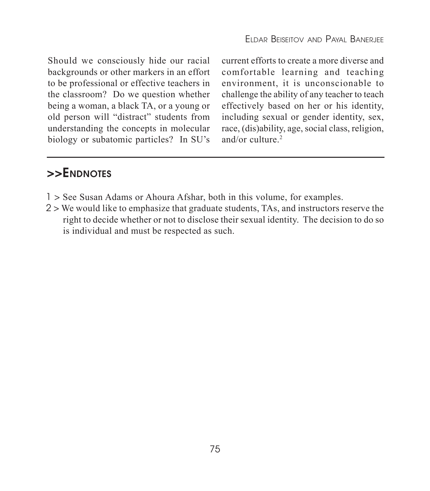Should we consciously hide our racial backgrounds or other markers in an effort to be professional or effective teachers in the classroom? Do we question whether being a woman, a black TA, or a young or old person will "distract" students from understanding the concepts in molecular biology or subatomic particles? In SU's

current efforts to create a more diverse and comfortable learning and teaching environment, it is unconscionable to challenge the ability of any teacher to teach effectively based on her or his identity, including sexual or gender identity, sex, race, (dis)ability, age, social class, religion, and/or culture. $2$ 

### **>>ENDNOTES**

- 1 > See Susan Adams or Ahoura Afshar, both in this volume, for examples.
- 2 > We would like to emphasize that graduate students, TAs, and instructors reserve the right to decide whether or not to disclose their sexual identity. The decision to do so is individual and must be respected as such.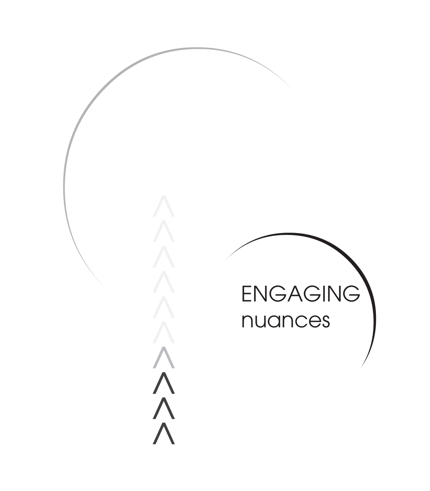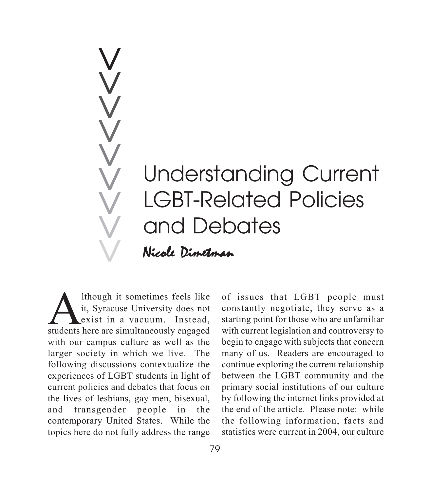## Understanding Current LGBT-Related Policies and Debates

Nicole Dimetman Nicole

Although it sometimes feels like<br>it, Syracuse University does not<br>students here are simultaneously engaged it, Syracuse University does not exist in a vacuum. Instead, with our campus culture as well as the larger society in which we live. The following discussions contextualize the experiences of LGBT students in light of current policies and debates that focus on the lives of lesbians, gay men, bisexual, and transgender people in the contemporary United States. While the topics here do not fully address the range

 $\bigvee$ 

 $\bigvee$ 

 $\bigvee$ 

 $\bigvee$ 

 $\bigvee$ 

 $\bigvee$ 

 $\bigvee$ 

 $\bigvee$ 

 $\bigvee$ 

of issues that LGBT people must constantly negotiate, they serve as a starting point for those who are unfamiliar with current legislation and controversy to begin to engage with subjects that concern many of us. Readers are encouraged to continue exploring the current relationship between the LGBT community and the primary social institutions of our culture by following the internet links provided at the end of the article. Please note: while the following information, facts and statistics were current in 2004, our culture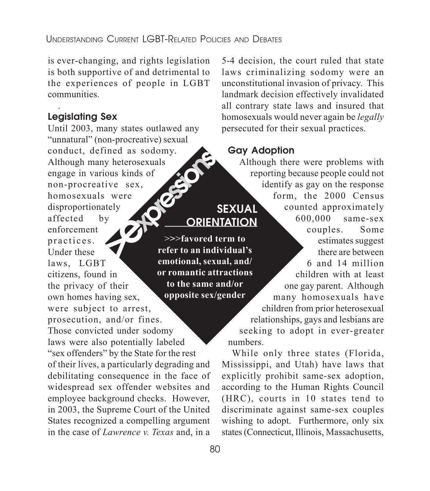UNDERSTANDING CURRENT LGBT-RELATED POLICIES AND DEBATES

is ever-changing, and rights legislation is both supportive of and detrimental to the experiences of people in LGBT communities.

### **Legislating Sex**

.

Until 2003, many states outlawed any "unnatural" (non-procreative) sexual conduct, defined as sodomy. Although many heterosexuals engage in various kinds of non-procreative sex, homosexuals were disproportionately affected by enforcement practices. Under these laws, LGBT citizens, found in the privacy of their own homes having sex, were subject to arrest, prosecution, and/or fines. Those convicted under sodomy laws were also potentially labeled "sex offenders" by the State for the rest of their lives, a particularly degrading and debilitating consequence in the face of widespread sex offender websites and employee background checks. However, in 2003, the Supreme Court of the United States recognized a compelling argument in the case of *Lawrence v. Texas* and, in a **>expressions ORIENTATION >>>favored term to refer to an individual's emotional, sexual, and/ or romantic attractions to the same and/or opposite sex/gender**

6 and 14 million children with at least one gay parent. Although many homosexuals have children from prior heterosexual

**Gay Adoption**

**SEXUAL**

relationships, gays and lesbians are seeking to adopt in ever-greater numbers.

5-4 decision, the court ruled that state laws criminalizing sodomy were an unconstitutional invasion of privacy. This landmark decision effectively invalidated all contrary state laws and insured that homosexuals would never again be *legally* persecuted for their sexual practices.

> Although there were problems with reporting because people could not identify as gay on the response form, the 2000 Census counted approximately 600,000 same-sex couples. Some estimates suggest there are between

While only three states (Florida, Mississippi, and Utah) have laws that explicitly prohibit same-sex adoption, according to the Human Rights Council (HRC), courts in 10 states tend to discriminate against same-sex couples wishing to adopt. Furthermore, only six states(Connecticut, Illinois, Massachusetts,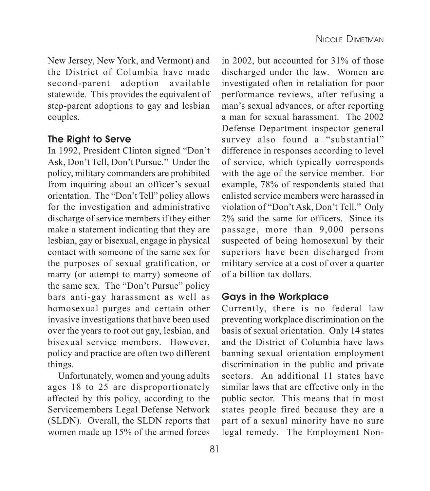New Jersey, New York, and Vermont) and the District of Columbia have made second-parent adoption available statewide. This provides the equivalent of step-parent adoptions to gay and lesbian couples.

### **The Right to Serve**

In 1992, President Clinton signed "Don't Ask, Don't Tell, Don't Pursue." Under the policy, military commanders are prohibited from inquiring about an officer's sexual orientation. The "Don't Tell" policy allows for the investigation and administrative discharge of service members if they either make a statement indicating that they are lesbian, gay or bisexual, engage in physical contact with someone of the same sex for the purposes of sexual gratification, or marry (or attempt to marry) someone of the same sex. The "Don't Pursue" policy bars anti-gay harassment as well as homosexual purges and certain other invasive investigations that have been used over the years to root out gay, lesbian, and bisexual service members. However, policy and practice are often two different things.

Unfortunately, women and young adults ages 18 to 25 are disproportionately affected by this policy, according to the Servicemembers Legal Defense Network (SLDN). Overall, the SLDN reports that women made up 15% of the armed forces

in 2002, but accounted for 31% of those discharged under the law. Women are investigated often in retaliation for poor performance reviews, after refusing a man's sexual advances, or after reporting a man for sexual harassment. The 2002 Defense Department inspector general survey also found a "substantial" difference in responses according to level of service, which typically corresponds with the age of the service member. For example, 78% of respondents stated that enlisted service members were harassed in violation of "Don't Ask, Don't Tell." Only 2% said the same for officers. Since its passage, more than 9,000 persons suspected of being homosexual by their superiors have been discharged from military service at a cost of over a quarter of a billion tax dollars.

### **Gays in the Workplace**

Currently, there is no federal law preventing workplace discrimination on the basis of sexual orientation. Only 14 states and the District of Columbia have laws banning sexual orientation employment discrimination in the public and private sectors. An additional 11 states have similar laws that are effective only in the public sector. This means that in most states people fired because they are a part of a sexual minority have no sure legal remedy. The Employment Non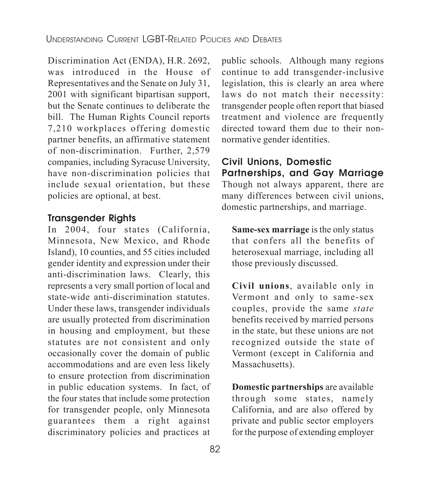Discrimination Act (ENDA), H.R. 2692, was introduced in the House of Representatives and the Senate on July 31, 2001 with significant bipartisan support, but the Senate continues to deliberate the bill. The Human Rights Council reports 7,210 workplaces offering domestic partner benefits, an affirmative statement of non-discrimination. Further, 2,579 companies, including Syracuse University, have non-discrimination policies that include sexual orientation, but these policies are optional, at best.

### **Transgender Rights**

In 2004, four states (California, Minnesota, New Mexico, and Rhode Island), 10 counties, and 55 cities included gender identity and expression under their anti-discrimination laws. Clearly, this represents a very small portion of local and state-wide anti-discrimination statutes. Under these laws, transgender individuals are usually protected from discrimination in housing and employment, but these statutes are not consistent and only occasionally cover the domain of public accommodations and are even less likely to ensure protection from discrimination in public education systems. In fact, of the four states that include some protection for transgender people, only Minnesota guarantees them a right against discriminatory policies and practices at

public schools. Although many regions continue to add transgender-inclusive legislation, this is clearly an area where laws do not match their necessity: transgender people often report that biased treatment and violence are frequently directed toward them due to their nonnormative gender identities.

**Civil Unions, Domestic Partnerships, and Gay Marriage** Though not always apparent, there are many differences between civil unions, domestic partnerships, and marriage.

**Same-sex marriage** is the only status that confers all the benefits of heterosexual marriage, including all those previously discussed.

**Civil unions**, available only in Vermont and only to same-sex couples, provide the same *state* benefits received by married persons in the state, but these unions are not recognized outside the state of Vermont (except in California and Massachusetts).

**Domestic partnerships** are available through some states, namely California, and are also offered by private and public sector employers for the purpose of extending employer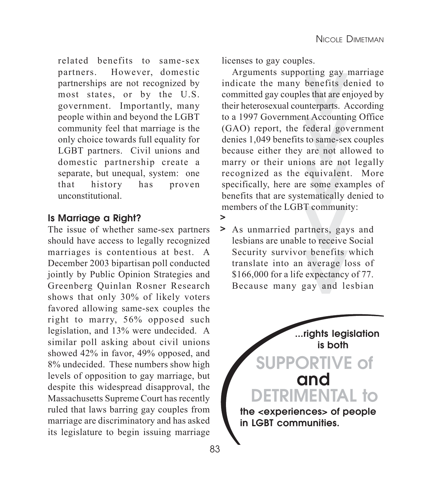related benefits to same-sex partners. However, domestic partnerships are not recognized by most states, or by the U.S. government. Importantly, many people within and beyond the LGBT community feel that marriage is the only choice towards full equality for LGBT partners. Civil unions and domestic partnership create a separate, but unequal, system: one that history has proven unconstitutional.

### **Is Marriage a Right?**

The issue of whether same-sex partners should have access to legally recognized marriages is contentious at best. A December 2003 bipartisan poll conducted jointly by Public Opinion Strategies and Greenberg Quinlan Rosner Research shows that only 30% of likely voters favored allowing same-sex couples the right to marry, 56% opposed such legislation, and 13% were undecided. A similar poll asking about civil unions showed 42% in favor, 49% opposed, and 8% undecided. These numbers show high levels of opposition to gay marriage, but despite this widespread disapproval, the Massachusetts Supreme Court has recently ruled that laws barring gay couples from marriage are discriminatory and has asked its legislature to begin issuing marriage licenses to gay couples.

Fining gay<br>benefits d<br>benefits d<br>benefits d<br>sthat are enterparts. A<br>federal gov<br>to same-se:<br>are not all<br>ons are not all<br>pns are not all<br>pns are not all<br>pns are not all<br>pns are not equivalent<br>promultions are some examediate Arguments supporting gay marriage indicate the many benefits denied to committed gay couples that are enjoyed by their heterosexual counterparts. According to a 1997 Government Accounting Office (GAO) report, the federal government denies 1,049 benefits to same-sex couples because either they are not allowed to marry or their unions are not legally recognized as the equivalent. More specifically, here are some examples of benefits that are systematically denied to members of the LGBT community: **>**

As unmarried partners, gays and **>** lesbians are unable to receive Social Security survivor benefits which translate into an average loss of \$166,000 for a life expectancy of 77. Because many gay and lesbian

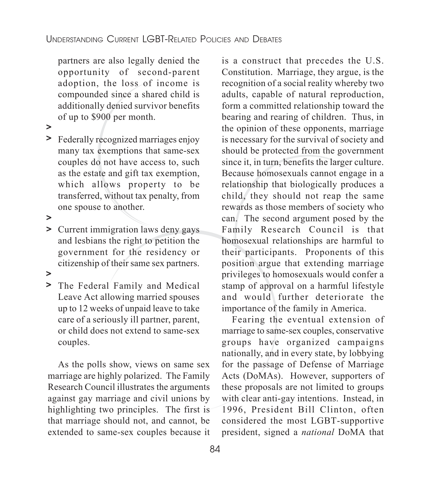partners are also legally denied the opportunity of second-parent adoption, the loss of income is compounded since a shared child is additionally denied survivor benefits of up to \$900 per month.

- **>**
- Federally recognized marriages enjoy **>** many tax exemptions that same-sex couples do not have access to, such as the estate and gift tax exemption, which allows property to be transferred, without tax penalty, from one spouse to another.

**>**

- Current immigration laws deny gays **>** and lesbians the right to petition the government for the residency or citizenship of their same sex partners.
- **>**
- The Federal Family and Medical **>** Leave Act allowing married spouses up to 12 weeks of unpaid leave to take care of a seriously ill partner, parent, or child does not extend to same-sex couples.

As the polls show, views on same sex marriage are highly polarized. The Family Research Council illustrates the arguments against gay marriage and civil unions by highlighting two principles. The first is that marriage should not, and cannot, be extended to same-sex couples because it is a construct that precedes the U.S. Constitution. Marriage, they argue, is the recognition of a social reality whereby two adults, capable of natural reproduction, form a committed relationship toward the bearing and rearing of children. Thus, in the opinion of these opponents, marriage is necessary for the survival of society and should be protected from the government since it, in turn, benefits the larger culture. Because homosexuals cannot engage in a relationship that biologically produces a child, they should not reap the same rewards as those members of society who can. The second argument posed by the Family Research Council is that homosexual relationships are harmful to their participants. Proponents of this position argue that extending marriage privileges to homosexuals would confer a stamp of approval on a harmful lifestyle and would further deteriorate the importance of the family in America.

Fearing the eventual extension of marriage to same-sex couples, conservative groups have organized campaigns nationally, and in every state, by lobbying for the passage of Defense of Marriage Acts (DoMAs). However, supporters of these proposals are not limited to groups with clear anti-gay intentions. Instead, in 1996, President Bill Clinton, often considered the most LGBT-supportive president, signed a *national* DoMA that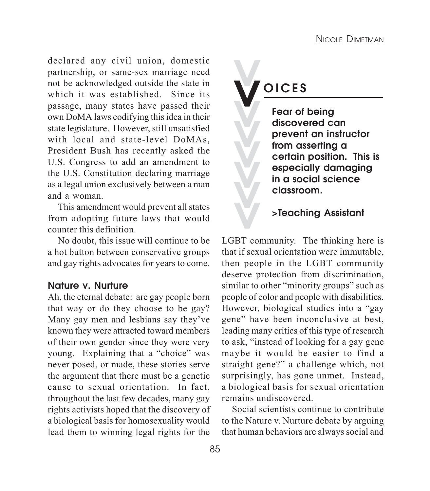declared any civil union, domestic partnership, or same-sex marriage need not be acknowledged outside the state in which it was established. Since its passage, many states have passed their own DoMA laws codifying this idea in their state legislature. However, still unsatisfied with local and state-level DoMAs, President Bush has recently asked the U.S. Congress to add an amendment to the U.S. Constitution declaring marriage as a legal union exclusively between a man and a woman.

This amendment would prevent all states from adopting future laws that would counter this definition.

No doubt, this issue will continue to be a hot button between conservative groups and gay rights advocates for years to come.

### **Nature v. Nurture**

Ah, the eternal debate: are gay people born that way or do they choose to be gay? Many gay men and lesbians say they've known they were attracted toward members of their own gender since they were very young. Explaining that a "choice" was never posed, or made, these stories serve the argument that there must be a genetic cause to sexual orientation. In fact, throughout the last few decades, many gay rights activists hoped that the discovery of a biological basis for homosexuality would lead them to winning legal rights for the

# **>>>>>>>> OICES**

**Fear of being discovered can prevent an instructor from asserting a certain position. This is especially damaging in a social science classroom.**

### **>Teaching Assistant**

LGBT community. The thinking here is that if sexual orientation were immutable, then people in the LGBT community deserve protection from discrimination, similar to other "minority groups" such as people of color and people with disabilities. However, biological studies into a "gay gene" have been inconclusive at best, leading many critics of this type of research to ask, "instead of looking for a gay gene maybe it would be easier to find a straight gene?" a challenge which, not surprisingly, has gone unmet. Instead, a biological basis for sexual orientation remains undiscovered.

Social scientists continue to contribute to the Nature v. Nurture debate by arguing that human behaviors are always social and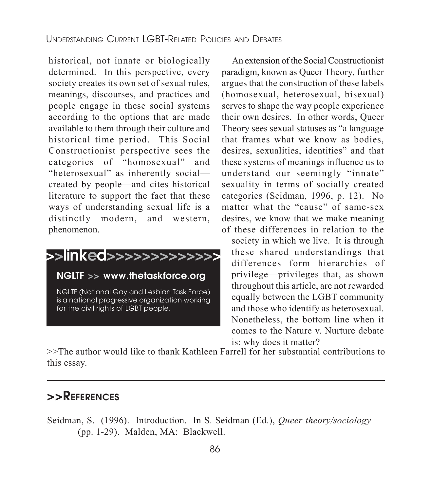### UNDERSTANDING CURRENT LGBT-RELATED POLICIES AND DEBATES

historical, not innate or biologically determined. In this perspective, every society creates its own set of sexual rules, meanings, discourses, and practices and people engage in these social systems according to the options that are made available to them through their culture and historical time period. This Social Constructionist perspective sees the categories of "homosexual" and "heterosexual" as inherently social created by people—and cites historical literature to support the fact that these ways of understanding sexual life is a distinctly modern, and western, phenomenon.

### **>>linked>>>>>>>>>>>>>**

### **NGLTF >> www.thetaskforce.org**

NGLTF (National Gay and Lesbian Task Force) is a national progressive organization working for the civil rights of LGBT people.

An extension of the Social Constructionist paradigm, known as Queer Theory, further argues that the construction of these labels (homosexual, heterosexual, bisexual) serves to shape the way people experience their own desires. In other words, Queer Theory sees sexual statuses as "a language that frames what we know as bodies, desires, sexualities, identities" and that these systems of meanings influence us to understand our seemingly "innate" sexuality in terms of socially created categories (Seidman, 1996, p. 12). No matter what the "cause" of same-sex desires, we know that we make meaning of these differences in relation to the

society in which we live. It is through these shared understandings that differences form hierarchies of privilege—privileges that, as shown throughout this article, are not rewarded equally between the LGBT community and those who identify as heterosexual. Nonetheless, the bottom line when it comes to the Nature v. Nurture debate is: why does it matter?

>>The author would like to thank Kathleen Farrell for her substantial contributions to this essay.

### **>>REFERENCES**

Seidman, S. (1996). Introduction. In S. Seidman (Ed.), *Queer theory/sociology* (pp. 1-29). Malden, MA: Blackwell.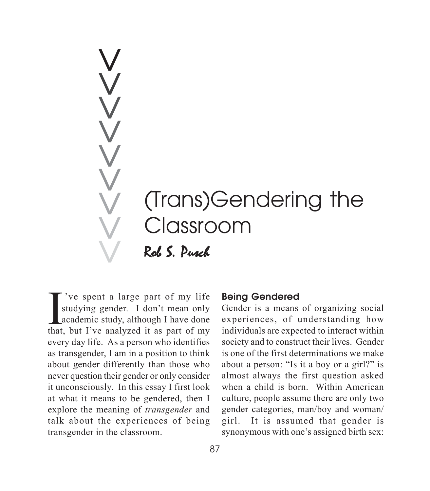

### Rob S. Pusch (Trans)Gendering the Classroom

I've spent a large part of my life<br>studying gender. I don't mean only<br>academic study, although I have done<br>that, but I've analyzed it as part of my 've spent a large part of my life studying gender. I don't mean only academic study, although I have done every day life. As a person who identifies as transgender, I am in a position to think about gender differently than those who never question their gender or only consider it unconsciously. In this essay I first look at what it means to be gendered, then I explore the meaning of *transgender* and talk about the experiences of being transgender in the classroom.

### **Being Gendered**

Gender is a means of organizing social experiences, of understanding how individuals are expected to interact within society and to construct their lives. Gender is one of the first determinations we make about a person: "Is it a boy or a girl?" is almost always the first question asked when a child is born. Within American culture, people assume there are only two gender categories, man/boy and woman/ girl. It is assumed that gender is synonymous with one's assigned birth sex: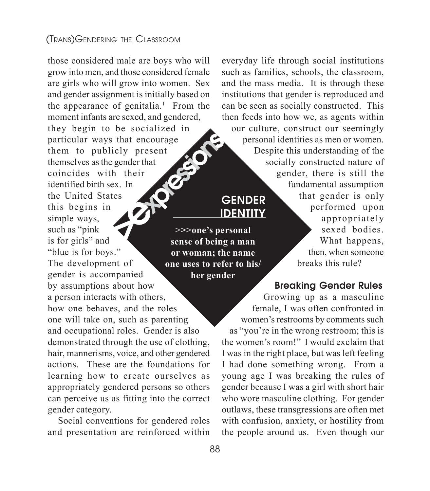### (TRANS)GENDERING THE CLASSROOM

those considered male are boys who will grow into men, and those considered female are girls who will grow into women. Sex and gender assignment is initially based on the appearance of genitalia.<sup>1</sup> From the moment infants are sexed, and gendered, they begin to be socialized in particular ways that encourage them to publicly present themselves as the gender that coincides with their identified birth sex. In the United States this begins in simple ways, such as "pink is for girls" and "blue is for boys." The development of gender is accompanied by assumptions about how a person interacts with others, how one behaves, and the roles one will take on, such as parenting and occupational roles. Gender is also demonstrated through the use of clothing, hair, mannerisms, voice, and other gendered actions. These are the foundations for learning how to create ourselves as appropriately gendered persons so others can perceive us as fitting into the correct gender category. **>expressions >>>one's personal sense of being a man or woman; the name one uses to refer to his/ her gender**

Social conventions for gendered roles and presentation are reinforced within

everyday life through social institutions such as families, schools, the classroom, and the mass media. It is through these institutions that gender is reproduced and can be seen as socially constructed. This then feeds into how we, as agents within our culture, construct our seemingly personal identities as men or women. Despite this understanding of the socially constructed nature of gender, there is still the fundamental assumption that gender is only performed upon appropriately sexed bodies. What happens, **GENDER IDENTITY**

> then, when someone breaks this rule?

**Breaking Gender Rules**

Growing up as a masculine female, I was often confronted in women's restrooms by comments such as "you're in the wrong restroom; this is the women's room!" I would exclaim that I was in the right place, but was left feeling I had done something wrong. From a young age I was breaking the rules of gender because I was a girl with short hair who wore masculine clothing. For gender outlaws, these transgressions are often met with confusion, anxiety, or hostility from the people around us. Even though our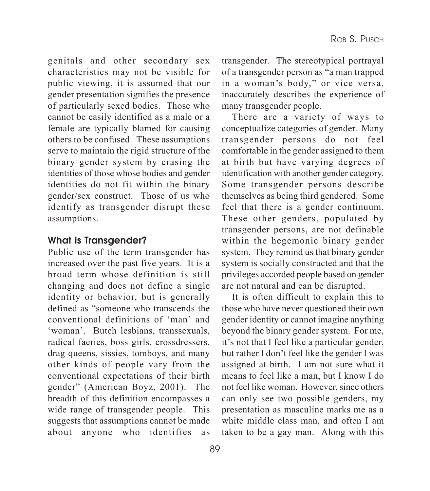genitals and other secondary sex characteristics may not be visible for public viewing, it is assumed that our gender presentation signifies the presence of particularly sexed bodies. Those who cannot be easily identified as a male or a female are typically blamed for causing others to be confused. These assumptions serve to maintain the rigid structure of the binary gender system by erasing the identities of those whose bodies and gender identities do not fit within the binary gender/sex construct. Those of us who identify as transgender disrupt these assumptions.

### **What is Transgender?**

Public use of the term transgender has increased over the past five years. It is a broad term whose definition is still changing and does not define a single identity or behavior, but is generally defined as "someone who transcends the conventional definitions of 'man' and 'woman'. Butch lesbians, transsexuals, radical faeries, boss girls, crossdressers, drag queens, sissies, tomboys, and many other kinds of people vary from the conventional expectations of their birth gender" (American Boyz, 2001). The breadth of this definition encompasses a wide range of transgender people. This suggests that assumptions cannot be made about anyone who identifies as transgender. The stereotypical portrayal of a transgender person as "a man trapped in a woman's body," or vice versa, inaccurately describes the experience of many transgender people.

There are a variety of ways to conceptualize categories of gender. Many transgender persons do not feel comfortable in the gender assigned to them at birth but have varying degrees of identification with another gender category. Some transgender persons describe themselves as being third gendered. Some feel that there is a gender continuum. These other genders, populated by transgender persons, are not definable within the hegemonic binary gender system. They remind us that binary gender system is socially constructed and that the privileges accorded people based on gender are not natural and can be disrupted.

It is often difficult to explain this to those who have never questioned their own gender identity or cannot imagine anything beyond the binary gender system. For me, it's not that I feel like a particular gender, but rather I don't feel like the gender I was assigned at birth. I am not sure what it means to feel like a man, but I know I do not feel like woman. However, since others can only see two possible genders, my presentation as masculine marks me as a white middle class man, and often I am taken to be a gay man. Along with this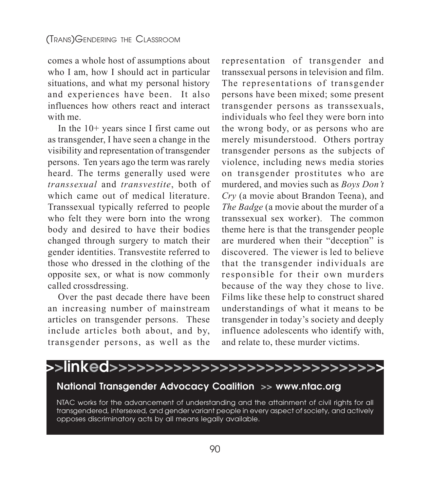comes a whole host of assumptions about who I am, how I should act in particular situations, and what my personal history and experiences have been. It also influences how others react and interact with me.

In the 10+ years since I first came out as transgender, I have seen a change in the visibility and representation of transgender persons. Ten years ago the term was rarely heard. The terms generally used were *transsexual* and *transvestite*, both of which came out of medical literature. Transsexual typically referred to people who felt they were born into the wrong body and desired to have their bodies changed through surgery to match their gender identities. Transvestite referred to those who dressed in the clothing of the opposite sex, or what is now commonly called crossdressing.

Over the past decade there have been an increasing number of mainstream articles on transgender persons. These include articles both about, and by, transgender persons, as well as the

representation of transgender and transsexual persons in television and film. The representations of transgender persons have been mixed; some present transgender persons as transsexuals, individuals who feel they were born into the wrong body, or as persons who are merely misunderstood. Others portray transgender persons as the subjects of violence, including news media stories on transgender prostitutes who are murdered, and movies such as *Boys Don't Cry* (a movie about Brandon Teena), and *The Badge* (a movie about the murder of a transsexual sex worker). The common theme here is that the transgender people are murdered when their "deception" is discovered. The viewer is led to believe that the transgender individuals are responsible for their own murders because of the way they chose to live. Films like these help to construct shared understandings of what it means to be transgender in today's society and deeply influence adolescents who identify with, and relate to, these murder victims.

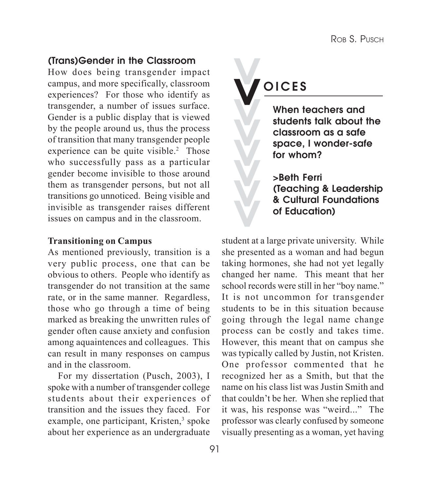### **(Trans)Gender in the Classroom**

How does being transgender impact campus, and more specifically, classroom experiences? For those who identify as transgender, a number of issues surface. Gender is a public display that is viewed by the people around us, thus the process of transition that many transgender people experience can be quite visible.<sup>2</sup> Those who successfully pass as a particular gender become invisible to those around them as transgender persons, but not all transitions go unnoticed. Being visible and invisible as transgender raises different issues on campus and in the classroom.

#### **Transitioning on Campus**

As mentioned previously, transition is a very public process, one that can be obvious to others. People who identify as transgender do not transition at the same rate, or in the same manner. Regardless, those who go through a time of being marked as breaking the unwritten rules of gender often cause anxiety and confusion among aquaintences and colleagues. This can result in many responses on campus and in the classroom.

For my dissertation (Pusch, 2003), I spoke with a number of transgender college students about their experiences of transition and the issues they faced. For example, one participant, Kristen,<sup>3</sup> spoke about her experience as an undergraduate

# **>>>>>>>> OICES**

**When teachers and students talk about the classroom as a safe space, I wonder-safe for whom?**

**>Beth Ferri (Teaching & Leadership & Cultural Foundations of Education)**

student at a large private university. While she presented as a woman and had begun taking hormones, she had not yet legally changed her name. This meant that her school records were still in her "boy name." It is not uncommon for transgender students to be in this situation because going through the legal name change process can be costly and takes time. However, this meant that on campus she was typically called by Justin, not Kristen. One professor commented that he recognized her as a Smith, but that the name on his class list was Justin Smith and that couldn't be her. When she replied that it was, his response was "weird..." The professor was clearly confused by someone visually presenting as a woman, yet having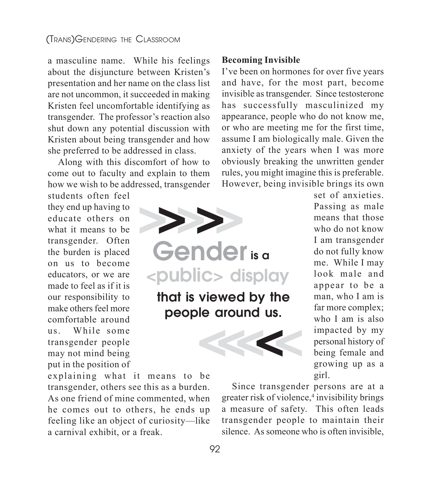### (TRANS)GENDERING THE CLASSROOM

a masculine name. While his feelings about the disjuncture between Kristen's presentation and her name on the class list are not uncommon, it succeeded in making Kristen feel uncomfortable identifying as transgender. The professor's reaction also shut down any potential discussion with Kristen about being transgender and how she preferred to be addressed in class.

Along with this discomfort of how to come out to faculty and explain to them how we wish to be addressed, transgender

students often feel they end up having to educate others on what it means to be transgender. Often the burden is placed on us to become educators, or we are made to feel as if it is our responsibility to make others feel more comfortable around us. While some transgender people may not mind being put in the position of

explaining what it means to be transgender, others see this as a burden. As one friend of mine commented, when he comes out to others, he ends up feeling like an object of curiosity—like a carnival exhibit, or a freak.

### **Becoming Invisible**

I've been on hormones for over five years and have, for the most part, become invisible as transgender. Since testosterone has successfully masculinized my appearance, people who do not know me, or who are meeting me for the first time, assume I am biologically male. Given the anxiety of the years when I was more obviously breaking the unwritten gender rules, you might imagine this is preferable. However, being invisible brings its own



**that is viewed by the people around us.**



set of anxieties. Passing as male means that those who do not know I am transgender do not fully know me. While I may look male and appear to be a man, who I am is far more complex; who I am is also impacted by my personal history of being female and growing up as a girl.

Since transgender persons are at a greater risk of violence,<sup>4</sup> invisibility brings a measure of safety. This often leads transgender people to maintain their silence. As someone who is often invisible,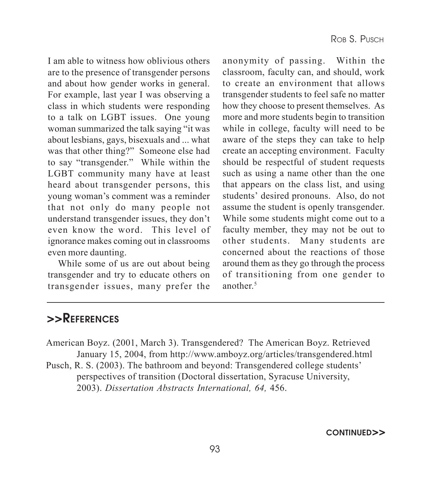I am able to witness how oblivious others are to the presence of transgender persons and about how gender works in general. For example, last year I was observing a class in which students were responding to a talk on LGBT issues. One young woman summarized the talk saying "it was about lesbians, gays, bisexuals and ... what was that other thing?" Someone else had to say "transgender." While within the LGBT community many have at least heard about transgender persons, this young woman's comment was a reminder that not only do many people not understand transgender issues, they don't even know the word. This level of ignorance makes coming out in classrooms even more daunting.

While some of us are out about being transgender and try to educate others on transgender issues, many prefer the

anonymity of passing. Within the classroom, faculty can, and should, work to create an environment that allows transgender students to feel safe no matter how they choose to present themselves. As more and more students begin to transition while in college, faculty will need to be aware of the steps they can take to help create an accepting environment. Faculty should be respectful of student requests such as using a name other than the one that appears on the class list, and using students' desired pronouns. Also, do not assume the student is openly transgender. While some students might come out to a faculty member, they may not be out to other students. Many students are concerned about the reactions of those around them as they go through the process of transitioning from one gender to another. $5$ 

### **>>REFERENCES**

American Boyz. (2001, March 3). Transgendered? The American Boyz. Retrieved January 15, 2004, from http://www.amboyz.org/articles/transgendered.html Pusch, R. S. (2003). The bathroom and beyond: Transgendered college students' perspectives of transition (Doctoral dissertation, Syracuse University, 2003). *Dissertation Abstracts International, 64,* 456.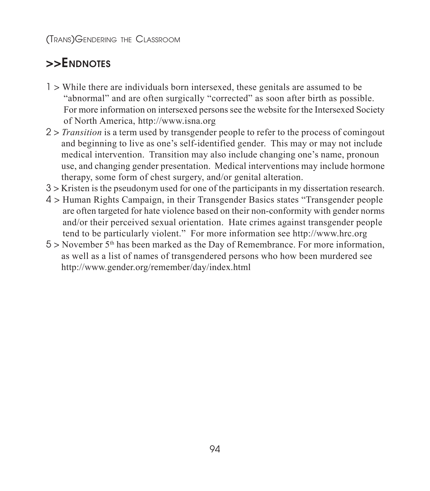(TRANS)GENDERING THE CLASSROOM

### **>>ENDNOTES**

- 1 > While there are individuals born intersexed, these genitals are assumed to be "abnormal" and are often surgically "corrected" as soon after birth as possible. For more information on intersexed persons see the website for the Intersexed Society of North America, http://www.isna.org
- 2 > *Transition* is a term used by transgender people to refer to the process of comingout and beginning to live as one's self-identified gender. This may or may not include medical intervention. Transition may also include changing one's name, pronoun use, and changing gender presentation. Medical interventions may include hormone therapy, some form of chest surgery, and/or genital alteration.
- 3 > Kristen is the pseudonym used for one of the participants in my dissertation research.
- 4 > Human Rights Campaign, in their Transgender Basics states "Transgender people are often targeted for hate violence based on their non-conformity with gender norms and/or their perceived sexual orientation. Hate crimes against transgender people tend to be particularly violent." For more information see http://www.hrc.org
- $5$  > November  $5<sup>th</sup>$  has been marked as the Day of Remembrance. For more information, as well as a list of names of transgendered persons who how been murdered see http://www.gender.org/remember/day/index.html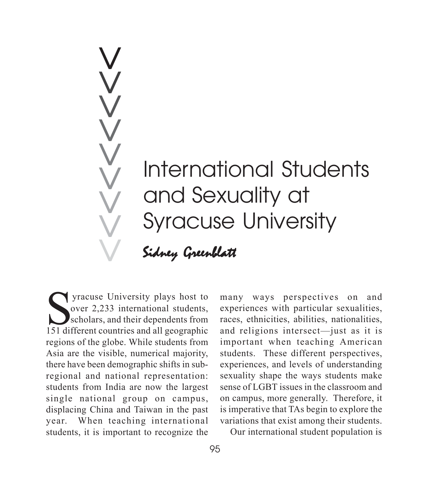## International Students and Sexuality at Syracuse University

### Sidney Greenblatt

Syracuse University plays host to<br>
over 2,233 international students,<br>
scholars, and their dependents from<br>
151 different countries and all geographic over 2,233 international students, scholars, and their dependents from 151 different countries and all geographic regions of the globe. While students from Asia are the visible, numerical majority, there have been demographic shifts in subregional and national representation: students from India are now the largest single national group on campus, displacing China and Taiwan in the past year. When teaching international students, it is important to recognize the

 $\bigvee$ 

 $\bigvee$ 

 $\bigvee$ 

**\** 

 $\bigvee$ 

 $\bigvee$ 

 $\bigvee$ 

 $\bigvee$ 

 $\bigvee$ 

many ways perspectives on and experiences with particular sexualities, races, ethnicities, abilities, nationalities, and religions intersect—just as it is important when teaching American students. These different perspectives, experiences, and levels of understanding sexuality shape the ways students make sense of LGBT issues in the classroom and on campus, more generally. Therefore, it is imperative that TAs begin to explore the variations that exist among their students.

Our international student population is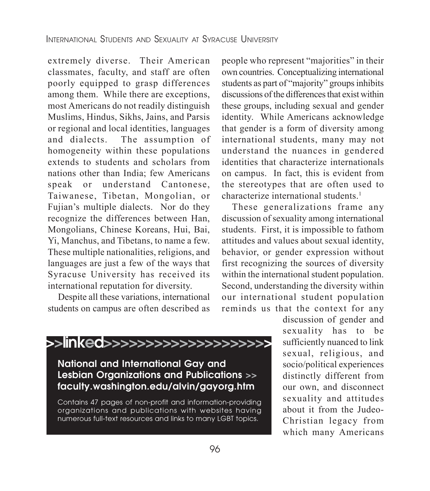#### INTERNATIONAL STUDENTS AND SEXUALITY AT SYRACUSE UNIVERSITY

extremely diverse. Their American classmates, faculty, and staff are often poorly equipped to grasp differences among them. While there are exceptions, most Americans do not readily distinguish Muslims, Hindus, Sikhs, Jains, and Parsis or regional and local identities, languages and dialects. The assumption of homogeneity within these populations extends to students and scholars from nations other than India; few Americans speak or understand Cantonese, Taiwanese, Tibetan, Mongolian, or Fujian's multiple dialects. Nor do they recognize the differences between Han, Mongolians, Chinese Koreans, Hui, Bai, Yi, Manchus, and Tibetans, to name a few. These multiple nationalities, religions, and languages are just a few of the ways that Syracuse University has received its international reputation for diversity.

Despite all these variations, international students on campus are often described as

people who represent "majorities" in their own countries. Conceptualizing international students as part of "majority" groups inhibits discussions of the differences that exist within these groups, including sexual and gender identity. While Americans acknowledge that gender is a form of diversity among international students, many may not understand the nuances in gendered identities that characterize internationals on campus. In fact, this is evident from the stereotypes that are often used to characterize international students.<sup>1</sup>

These generalizations frame any discussion of sexuality among international students. First, it is impossible to fathom attitudes and values about sexual identity, behavior, or gender expression without first recognizing the sources of diversity within the international student population. Second, understanding the diversity within our international student population reminds us that the context for any



### **National and International Gay and Lesbian Organizations and Publications >> faculty.washington.edu/alvin/gayorg.htm**

Contains 47 pages of non-profit and information-providing organizations and publications with websites having numerous full-text resources and links to many LGBT topics.

discussion of gender and sexuality has to be sufficiently nuanced to link sexual, religious, and socio/political experiences distinctly different from our own, and disconnect sexuality and attitudes about it from the Judeo-Christian legacy from which many Americans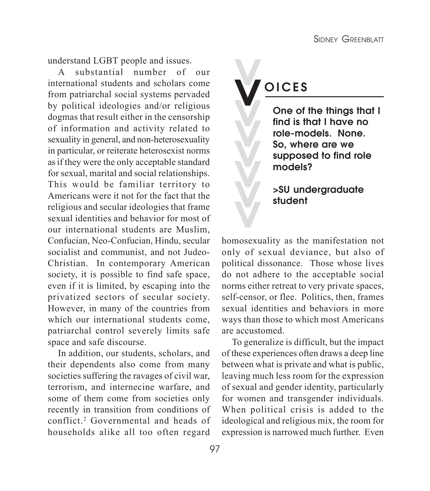understand LGBT people and issues.

A substantial number of our international students and scholars come from patriarchal social systems pervaded by political ideologies and/or religious dogmas that result either in the censorship of information and activity related to sexuality in general, and non-heterosexuality in particular, or reiterate heterosexist norms as if they were the only acceptable standard for sexual, marital and social relationships. This would be familiar territory to Americans were it not for the fact that the religious and secular ideologies that frame sexual identities and behavior for most of our international students are Muslim, Confucian, Neo-Confucian, Hindu, secular socialist and communist, and not Judeo-Christian. In contemporary American society, it is possible to find safe space, even if it is limited, by escaping into the privatized sectors of secular society. However, in many of the countries from which our international students come, patriarchal control severely limits safe space and safe discourse.

In addition, our students, scholars, and their dependents also come from many societies suffering the ravages of civil war, terrorism, and internecine warfare, and some of them come from societies only recently in transition from conditions of conflict.<sup>2</sup> Governmental and heads of households alike all too often regard

# **>>>>>>>> OICES**

**One of the things that I find is that I have no role-models. None. So, where are we supposed to find role models?**

**>SU undergraduate student**

homosexuality as the manifestation not only of sexual deviance, but also of political dissonance. Those whose lives do not adhere to the acceptable social norms either retreat to very private spaces, self-censor, or flee. Politics, then, frames sexual identities and behaviors in more ways than those to which most Americans are accustomed.

To generalize is difficult, but the impact of these experiences often draws a deep line between what is private and what is public, leaving much less room for the expression of sexual and gender identity, particularly for women and transgender individuals. When political crisis is added to the ideological and religious mix, the room for expression is narrowed much further. Even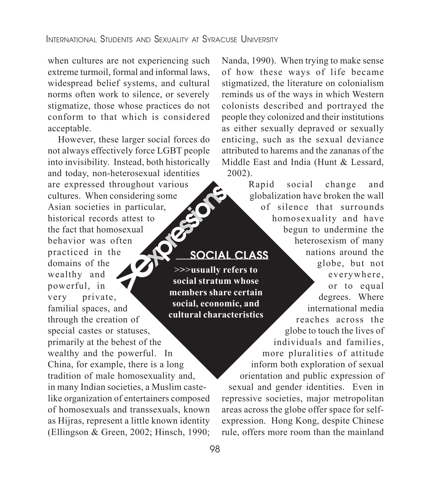when cultures are not experiencing such extreme turmoil, formal and informal laws, widespread belief systems, and cultural norms often work to silence, or severely stigmatize, those whose practices do not conform to that which is considered acceptable.

However, these larger social forces do not always effectively force LGBT people into invisibility. Instead, both historically and today, non-heterosexual identities are expressed throughout various cultures. When considering some Asian societies in particular, historical records attest to the fact that homosexual behavior was often practiced in the domains of the wealthy and powerful, in very private, familial spaces, and through the creation of special castes or statuses, primarily at the behest of the wealthy and the powerful. In China, for example, there is a long tradition of male homosexuality and, in many Indian societies, a Muslim castelike organization of entertainers composed of homosexuals and transsexuals, known as Hijras, represent a little known identity (Ellingson & Green, 2002; Hinsch, 1990; proughout various<br>
onsidering some<br>
in particular,<br>
s attest to<br>
sexual<br>
ften<br>
social stratum<br>
social stratum<br>
members share **>>>usually refers to social stratum whose members share certain social, economic, and cultural characteristics**

Nanda, 1990). When trying to make sense of how these ways of life became stigmatized, the literature on colonialism reminds us of the ways in which Western colonists described and portrayed the people they colonized and their institutions as either sexually depraved or sexually enticing, such as the sexual deviance attributed to harems and the zananas of the Middle East and India (Hunt & Lessard, 2002).

Rapid social change and globalization have broken the wall of silence that surrounds homosexuality and have begun to undermine the heterosexism of many nations around the globe, but not everywhere, or to equal degrees. Where international media reaches across the globe to touch the lives of individuals and families, more pluralities of attitude inform both exploration of sexual orientation and public expression of sexual and gender identities. Even in repressive societies, major metropolitan areas across the globe offer space for selfexpression. Hong Kong, despite Chinese rule, offers more room than the mainland **SOCIAL CLASS**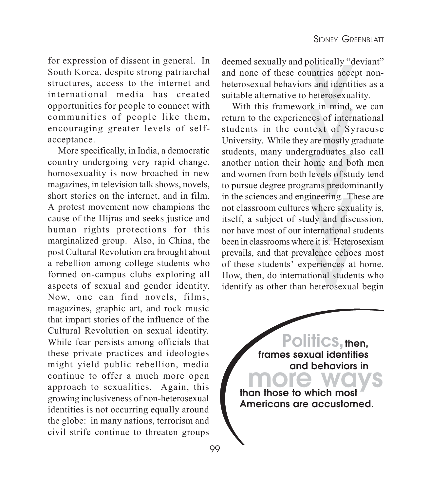for expression of dissent in general. In South Korea, despite strong patriarchal structures, access to the internet and international media has created opportunities for people to connect with communities of people like them**,** encouraging greater levels of selfacceptance.

More specifically, in India, a democratic country undergoing very rapid change, homosexuality is now broached in new magazines, in television talk shows, novels, short stories on the internet, and in film. A protest movement now champions the cause of the Hijras and seeks justice and human rights protections for this marginalized group. Also, in China, the post Cultural Revolution era brought about a rebellion among college students who formed on-campus clubs exploring all aspects of sexual and gender identity. Now, one can find novels, films, magazines, graphic art, and rock music that impart stories of the influence of the Cultural Revolution on sexual identity. While fear persists among officials that these private practices and ideologies might yield public rebellion, media continue to offer a much more open approach to sexualities. Again, this growing inclusiveness of non-heterosexual identities is not occurring equally around the globe: in many nations, terrorism and civil strife continue to threaten groups

deemed sexually and politically "deviant" and none of these countries accept nonheterosexual behaviors and identities as a suitable alternative to heterosexuality.

Intries accessed and identified accessed and identified the terms of internal text of Sy are mostly graduates a ome and bolevels of studies are sexually and discussed internal internal internal and the extractional student With this framework in mind, we can return to the experiences of international students in the context of Syracuse University. While they are mostly graduate students, many undergraduates also call another nation their home and both men and women from both levels of study tend to pursue degree programs predominantly in the sciences and engineering. These are not classroom cultures where sexuality is, itself, a subject of study and discussion, nor have most of our international students been in classrooms where it is. Heterosexism prevails, and that prevalence echoes most of these students' experiences at home. How, then, do international students who identify as other than heterosexual begin

> **Politics, then, frames sexual identities and behaviors in**

than those to which most **Americans are accustomed.**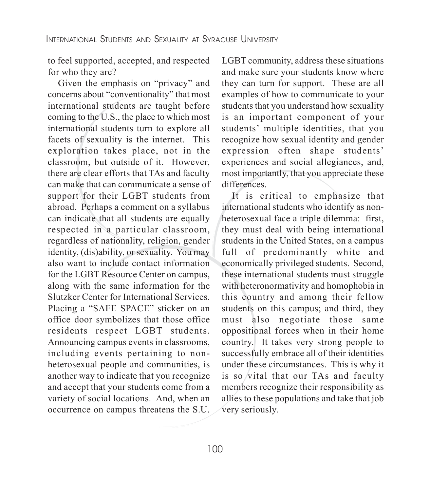to feel supported, accepted, and respected for who they are?

Given the emphasis on "privacy" and concerns about "conventionality" that most international students are taught before coming to the U.S., the place to which most international students turn to explore all facets of sexuality is the internet. This exploration takes place, not in the classroom, but outside of it. However, there are clear efforts that TAs and faculty can make that can communicate a sense of support for their LGBT students from abroad. Perhaps a comment on a syllabus can indicate that all students are equally respected in a particular classroom, regardless of nationality, religion, gender identity, (dis)ability, or sexuality. You may also want to include contact information for the LGBT Resource Center on campus, along with the same information for the Slutzker Center for International Services. Placing a "SAFE SPACE" sticker on an office door symbolizes that those office residents respect LGBT students. Announcing campus events in classrooms, including events pertaining to nonheterosexual people and communities, is another way to indicate that you recognize and accept that your students come from a variety of social locations. And, when an occurrence on campus threatens the S.U.

LGBT community, address these situations and make sure your students know where they can turn for support. These are all examples of how to communicate to your students that you understand how sexuality is an important component of your students' multiple identities, that you recognize how sexual identity and gender expression often shape students' experiences and social allegiances, and, most importantly, that you appreciate these differences.

It is critical to emphasize that international students who identify as nonheterosexual face a triple dilemma: first, they must deal with being international students in the United States, on a campus full of predominantly white and economically privileged students. Second, these international students must struggle with heteronormativity and homophobia in this country and among their fellow students on this campus; and third, they must also negotiate those same oppositional forces when in their home country. It takes very strong people to successfully embrace all of their identities under these circumstances. This is why it is so vital that our TAs and faculty members recognize their responsibility as allies to these populations and take that job very seriously.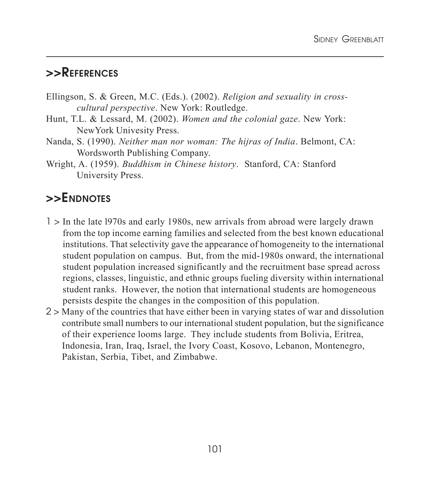### **>>REFERENCES**

- Ellingson, S. & Green, M.C. (Eds.). (2002). *Religion and sexuality in crosscultural perspective*. New York: Routledge.
- Hunt, T.L. & Lessard, M. (2002). *Women and the colonial gaze*. New York: NewYork Univesity Press.
- Nanda, S. (1990). *Neither man nor woman: The hijras of India*. Belmont, CA: Wordsworth Publishing Company.
- Wright, A. (1959). *Buddhism in Chinese history*. Stanford, CA: Stanford University Press.

## **>>ENDNOTES**

- 1 > In the late l970s and early 1980s, new arrivals from abroad were largely drawn from the top income earning families and selected from the best known educational institutions. That selectivity gave the appearance of homogeneity to the international student population on campus. But, from the mid-1980s onward, the international student population increased significantly and the recruitment base spread across regions, classes, linguistic, and ethnic groups fueling diversity within international student ranks. However, the notion that international students are homogeneous persists despite the changes in the composition of this population.
- 2 > Many of the countries that have either been in varying states of war and dissolution contribute small numbers to our international student population, but the significance of their experience looms large. They include students from Bolivia, Eritrea, Indonesia, Iran, Iraq, Israel, the Ivory Coast, Kosovo, Lebanon, Montenegro, Pakistan, Serbia, Tibet, and Zimbabwe.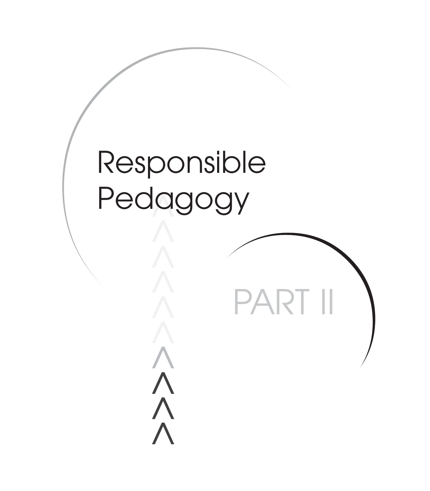# >>>>>>> Responsible Pedagogy

PART II

 $\lambda$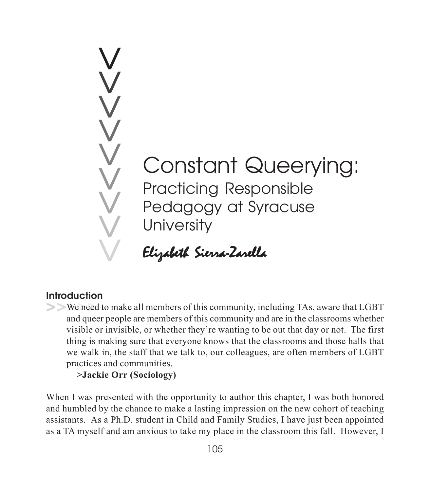

Constant Queerying: Practicing Responsible Pedagogy at Syracuse **University** 

Elizabeth Sierra-Zarella Elizabeth

# **> Introduction**

**>>>>** We need to make all members of this community, including TAs, aware that LGBT and queer people are members of this community and are in the classrooms whether visible or invisible, or whether they're wanting to be out that day or not. The first thing is making sure that everyone knows that the classrooms and those halls that we walk in, the staff that we talk to, our colleagues, are often members of LGBT practices and communities.

#### *>***Jackie Orr (Sociology)**

When I was presented with the opportunity to author this chapter, I was both honored and humbled by the chance to make a lasting impression on the new cohort of teaching assistants. As a Ph.D. student in Child and Family Studies, I have just been appointed as a TA myself and am anxious to take my place in the classroom this fall. However, I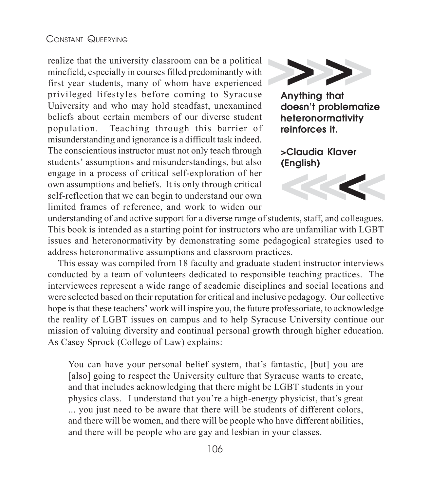realize that the university classroom can be a political minefield, especially in courses filled predominantly with first year students, many of whom have experienced privileged lifestyles before coming to Syracuse University and who may hold steadfast, unexamined beliefs about certain members of our diverse student population. Teaching through this barrier of misunderstanding and ignorance is a difficult task indeed. The conscientious instructor must not only teach through students' assumptions and misunderstandings, but also engage in a process of critical self-exploration of her own assumptions and beliefs. It is only through critical self-reflection that we can begin to understand our own limited frames of reference, and work to widen our



**Anything that doesn't problematize heteronormativity reinforces it.**

**>Claudia Klaver (English)**



understanding of and active support for a diverse range of students, staff, and colleagues. This book is intended as a starting point for instructors who are unfamiliar with LGBT issues and heteronormativity by demonstrating some pedagogical strategies used to address heteronormative assumptions and classroom practices.

This essay was compiled from 18 faculty and graduate student instructor interviews conducted by a team of volunteers dedicated to responsible teaching practices. The interviewees represent a wide range of academic disciplines and social locations and were selected based on their reputation for critical and inclusive pedagogy. Our collective hope is that these teachers' work will inspire you, the future professoriate, to acknowledge the reality of LGBT issues on campus and to help Syracuse University continue our mission of valuing diversity and continual personal growth through higher education. As Casey Sprock (College of Law) explains:

You can have your personal belief system, that's fantastic, [but] you are [also] going to respect the University culture that Syracuse wants to create, and that includes acknowledging that there might be LGBT students in your physics class. I understand that you're a high-energy physicist, that's great ... you just need to be aware that there will be students of different colors, and there will be women, and there will be people who have different abilities, and there will be people who are gay and lesbian in your classes.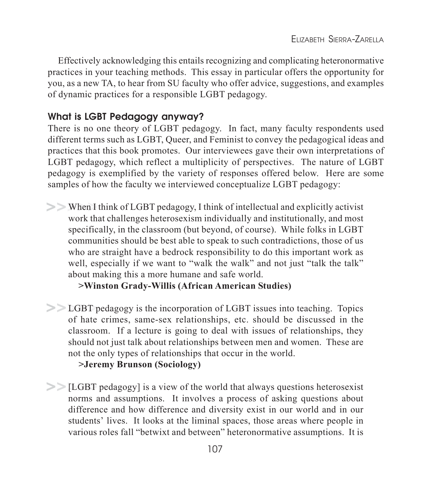Effectively acknowledging this entails recognizing and complicating heteronormative practices in your teaching methods. This essay in particular offers the opportunity for you, as a new TA, to hear from SU faculty who offer advice, suggestions, and examples of dynamic practices for a responsible LGBT pedagogy.

#### **What is LGBT Pedagogy anyway?**

There is no one theory of LGBT pedagogy. In fact, many faculty respondents used different terms such as LGBT, Queer, and Feminist to convey the pedagogical ideas and practices that this book promotes. Our interviewees gave their own interpretations of LGBT pedagogy, which reflect a multiplicity of perspectives. The nature of LGBT pedagogy is exemplified by the variety of responses offered below. Here are some samples of how the faculty we interviewed conceptualize LGBT pedagogy:

>>> When I think of LGBT pedagogy, I think of intellectual and explicitly activist work that challenges heterosexism individually and institutionally, and most specifically, in the classroom (but beyond, of course). While folks in LGBT communities should be best able to speak to such contradictions, those of us who are straight have a bedrock responsibility to do this important work as well, especially if we want to "walk the walk" and not just "talk the talk" about making this a more humane and safe world.

#### **>Winston Grady-Willis (African American Studies)**

**EXECUTE:**<br> **EXECUTE:** LGBT pedagogy is the incorporation of LGBT issues into teaching. Topics of hate crimes, same-sex relationships, etc. should be discussed in the classroom. If a lecture is going to deal with issues of relationships, they should not just talk about relationships between men and women. These are not the only types of relationships that occur in the world.

#### *>***Jeremy Brunson (Sociology)**

**>>** [LGBT pedagogy] is a view of the world that always questions heterosexist norms and assumptions. It involves a process of asking questions about difference and how difference and diversity exist in our world and in our students' lives. It looks at the liminal spaces, those areas where people in various roles fall "betwixt and between" heteronormative assumptions. It is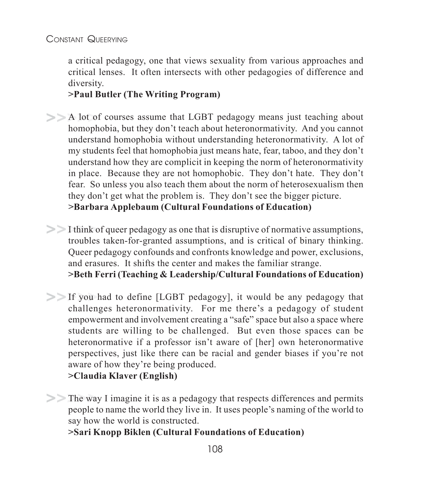a critical pedagogy, one that views sexuality from various approaches and critical lenses. It often intersects with other pedagogies of difference and diversity.

#### **>Paul Butler (The Writing Program)**

>>>**A** lot of courses assume that LGBT pedagogy means just teaching about homophobia, but they don't teach about heteronormativity. And you cannot understand homophobia without understanding heteronormativity. A lot of my students feel that homophobia just means hate, fear, taboo, and they don't understand how they are complicit in keeping the norm of heteronormativity in place. Because they are not homophobic. They don't hate. They don't fear. So unless you also teach them about the norm of heterosexualism then they don't get what the problem is. They don't see the bigger picture. *>***Barbara Applebaum (Cultural Foundations of Education)**

>> I think of queer pedagogy as one that is disruptive of normative assumptions, troubles taken-for-granted assumptions, and is critical of binary thinking. Queer pedagogy confounds and confronts knowledge and power, exclusions, and erasures. It shifts the center and makes the familiar strange. **>Beth Ferri (Teaching & Leadership/Cultural Foundations of Education)**

**>>** If you had to define [LGBT pedagogy], it would be any pedagogy that challenges heteronormativity. For me there's a pedagogy of student empowerment and involvement creating a "safe" space but also a space where students are willing to be challenged. But even those spaces can be heteronormative if a professor isn't aware of [her] own heteronormative perspectives, just like there can be racial and gender biases if you're not aware of how they're being produced. **>Claudia Klaver (English)**

**>>** The way I imagine it is as a pedagogy that respects differences and permits people to name the world they live in. It uses people's naming of the world to say how the world is constructed.

#### **>Sari Knopp Biklen (Cultural Foundations of Education)**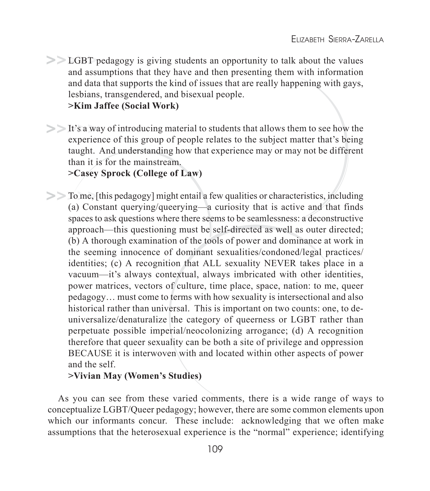**>>>>>** LGBT pedagogy is giving students an opportunity to talk about the values and assumptions that they have and then presenting them with information and data that supports the kind of issues that are really happening with gays, lesbians, transgendered, and bisexual people. **>Kim Jaffee (Social Work)**

**>>** It's a way of introducing material to students that allows them to see how the experience of this group of people relates to the subject matter that's being taught. And understanding how that experience may or may not be different than it is for the mainstream.

**>Casey Sprock (College of Law)**

>> To me, [this pedagogy] might entail a few qualities or characteristics, including (a) Constant querying/queerying—a curiosity that is active and that finds spaces to ask questions where there seems to be seamlessness: a deconstructive approach—this questioning must be self-directed as well as outer directed; (b) A thorough examination of the tools of power and dominance at work in the seeming innocence of dominant sexualities/condoned/legal practices/ identities; (c) A recognition that ALL sexuality NEVER takes place in a vacuum—it's always contextual, always imbricated with other identities, power matrices, vectors of culture, time place, space, nation: to me, queer pedagogy… must come to terms with how sexuality is intersectional and also historical rather than universal. This is important on two counts: one, to deuniversalize/denaturalize the category of queerness or LGBT rather than perpetuate possible imperial/neocolonizing arrogance; (d) A recognition therefore that queer sexuality can be both a site of privilege and oppression BECAUSE it is interwoven with and located within other aspects of power and the self.

#### **>Vivian May (Women's Studies)**

As you can see from these varied comments, there is a wide range of ways to conceptualize LGBT/Queer pedagogy; however, there are some common elements upon which our informants concur. These include: acknowledging that we often make assumptions that the heterosexual experience is the "normal" experience; identifying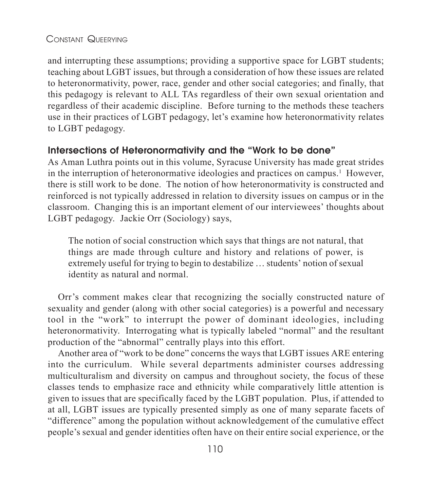and interrupting these assumptions; providing a supportive space for LGBT students; teaching about LGBT issues, but through a consideration of how these issues are related to heteronormativity, power, race, gender and other social categories; and finally, that this pedagogy is relevant to ALL TAs regardless of their own sexual orientation and regardless of their academic discipline. Before turning to the methods these teachers use in their practices of LGBT pedagogy, let's examine how heteronormativity relates to LGBT pedagogy.

#### **Intersections of Heteronormativity and the "Work to be done"**

As Aman Luthra points out in this volume, Syracuse University has made great strides in the interruption of heteronormative ideologies and practices on campus.<sup>1</sup> However, there is still work to be done. The notion of how heteronormativity is constructed and reinforced is not typically addressed in relation to diversity issues on campus or in the classroom. Changing this is an important element of our interviewees' thoughts about LGBT pedagogy. Jackie Orr (Sociology) says,

The notion of social construction which says that things are not natural, that things are made through culture and history and relations of power, is extremely useful for trying to begin to destabilize … students' notion of sexual identity as natural and normal.

Orr's comment makes clear that recognizing the socially constructed nature of sexuality and gender (along with other social categories) is a powerful and necessary tool in the "work" to interrupt the power of dominant ideologies, including heteronormativity. Interrogating what is typically labeled "normal" and the resultant production of the "abnormal" centrally plays into this effort.

Another area of "work to be done" concerns the ways that LGBT issues ARE entering into the curriculum. While several departments administer courses addressing multiculturalism and diversity on campus and throughout society, the focus of these classes tends to emphasize race and ethnicity while comparatively little attention is given to issues that are specifically faced by the LGBT population. Plus, if attended to at all, LGBT issues are typically presented simply as one of many separate facets of "difference" among the population without acknowledgement of the cumulative effect people's sexual and gender identities often have on their entire social experience, or the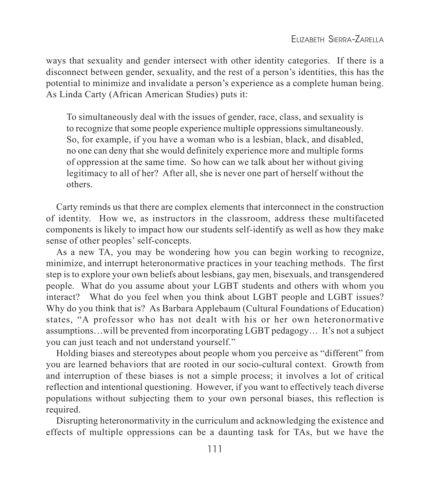ways that sexuality and gender intersect with other identity categories. If there is a disconnect between gender, sexuality, and the rest of a person's identities, this has the potential to minimize and invalidate a person's experience as a complete human being. As Linda Carty (African American Studies) puts it:

To simultaneously deal with the issues of gender, race, class, and sexuality is to recognize that some people experience multiple oppressions simultaneously. So, for example, if you have a woman who is a lesbian, black, and disabled, no one can deny that she would definitely experience more and multiple forms of oppression at the same time. So how can we talk about her without giving legitimacy to all of her? After all, she is never one part of herself without the others.

Carty reminds us that there are complex elements that interconnect in the construction of identity. How we, as instructors in the classroom, address these multifaceted components is likely to impact how our students self-identify as well as how they make sense of other peoples' self-concepts.

As a new TA, you may be wondering how you can begin working to recognize, minimize, and interrupt heteronormative practices in your teaching methods. The first step is to explore your own beliefs about lesbians, gay men, bisexuals, and transgendered people. What do you assume about your LGBT students and others with whom you interact? What do you feel when you think about LGBT people and LGBT issues? Why do you think that is? As Barbara Applebaum (Cultural Foundations of Education) states, "A professor who has not dealt with his or her own heteronormative assumptions…will be prevented from incorporating LGBT pedagogy… It's not a subject you can just teach and not understand yourself."

Holding biases and stereotypes about people whom you perceive as "different" from you are learned behaviors that are rooted in our socio-cultural context. Growth from and interruption of these biases is not a simple process; it involves a lot of critical reflection and intentional questioning. However, if you want to effectively teach diverse populations without subjecting them to your own personal biases, this reflection is required.

Disrupting heteronormativity in the curriculum and acknowledging the existence and effects of multiple oppressions can be a daunting task for TAs, but we have the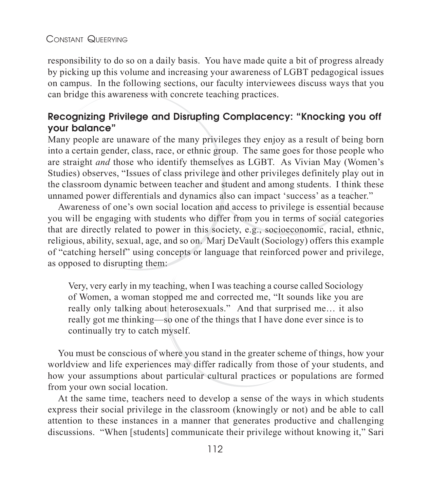responsibility to do so on a daily basis. You have made quite a bit of progress already by picking up this volume and increasing your awareness of LGBT pedagogical issues on campus. In the following sections, our faculty interviewees discuss ways that you can bridge this awareness with concrete teaching practices.

#### **Recognizing Privilege and Disrupting Complacency: "Knocking you off your balance"**

Many people are unaware of the many privileges they enjoy as a result of being born into a certain gender, class, race, or ethnic group. The same goes for those people who are straight *and* those who identify themselves as LGBT. As Vivian May (Women's Studies) observes, "Issues of class privilege and other privileges definitely play out in the classroom dynamic between teacher and student and among students. I think these unnamed power differentials and dynamics also can impact 'success' as a teacher."

Awareness of one's own social location and access to privilege is essential because you will be engaging with students who differ from you in terms of social categories that are directly related to power in this society, e.g., socioeconomic, racial, ethnic, religious, ability, sexual, age, and so on. Marj DeVault (Sociology) offers this example of "catching herself" using concepts or language that reinforced power and privilege, as opposed to disrupting them:

Very, very early in my teaching, when I was teaching a course called Sociology of Women, a woman stopped me and corrected me, "It sounds like you are really only talking about heterosexuals." And that surprised me… it also really got me thinking—so one of the things that I have done ever since is to continually try to catch myself.

You must be conscious of where you stand in the greater scheme of things, how your worldview and life experiences may differ radically from those of your students, and how your assumptions about particular cultural practices or populations are formed from your own social location.

At the same time, teachers need to develop a sense of the ways in which students express their social privilege in the classroom (knowingly or not) and be able to call attention to these instances in a manner that generates productive and challenging discussions. "When [students] communicate their privilege without knowing it," Sari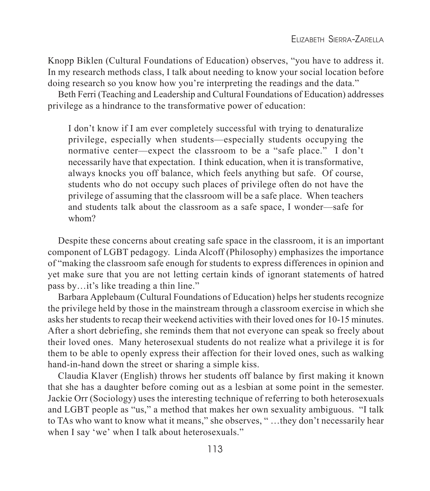Knopp Biklen (Cultural Foundations of Education) observes, "you have to address it. In my research methods class, I talk about needing to know your social location before doing research so you know how you're interpreting the readings and the data."

Beth Ferri (Teaching and Leadership and Cultural Foundations of Education) addresses privilege as a hindrance to the transformative power of education:

I don't know if I am ever completely successful with trying to denaturalize privilege, especially when students—especially students occupying the normative center—expect the classroom to be a "safe place." I don't necessarily have that expectation. I think education, when it is transformative, always knocks you off balance, which feels anything but safe. Of course, students who do not occupy such places of privilege often do not have the privilege of assuming that the classroom will be a safe place. When teachers and students talk about the classroom as a safe space, I wonder—safe for whom?

Despite these concerns about creating safe space in the classroom, it is an important component of LGBT pedagogy. Linda Alcoff (Philosophy) emphasizes the importance of "making the classroom safe enough for students to express differences in opinion and yet make sure that you are not letting certain kinds of ignorant statements of hatred pass by…it's like treading a thin line."

Barbara Applebaum (Cultural Foundations of Education) helps her students recognize the privilege held by those in the mainstream through a classroom exercise in which she asks her students to recap their weekend activities with their loved ones for 10-15 minutes. After a short debriefing, she reminds them that not everyone can speak so freely about their loved ones. Many heterosexual students do not realize what a privilege it is for them to be able to openly express their affection for their loved ones, such as walking hand-in-hand down the street or sharing a simple kiss.

Claudia Klaver (English) throws her students off balance by first making it known that she has a daughter before coming out as a lesbian at some point in the semester. Jackie Orr (Sociology) uses the interesting technique of referring to both heterosexuals and LGBT people as "us," a method that makes her own sexuality ambiguous. "I talk to TAs who want to know what it means," she observes, " …they don't necessarily hear when I say 'we' when I talk about heterosexuals."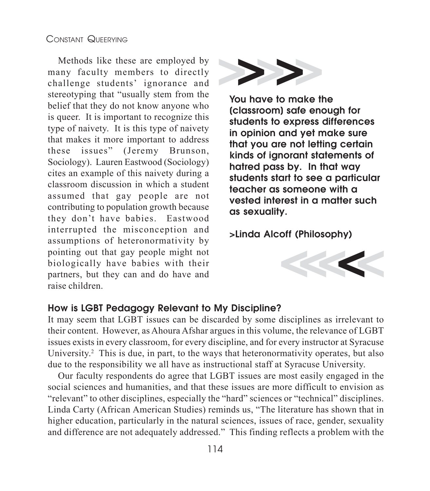Methods like these are employed by many faculty members to directly challenge students' ignorance and stereotyping that "usually stem from the belief that they do not know anyone who is queer. It is important to recognize this type of naivety. It is this type of naivety that makes it more important to address these issues" (Jeremy Brunson, Sociology). Lauren Eastwood (Sociology) cites an example of this naivety during a classroom discussion in which a student assumed that gay people are not contributing to population growth because they don't have babies. Eastwood interrupted the misconception and assumptions of heteronormativity by pointing out that gay people might not biologically have babies with their partners, but they can and do have and raise children.



**You have to make the [classroom] safe enough for students to express differences in opinion and yet make sure that you are not letting certain kinds of ignorant statements of hatred pass by. In that way students start to see a particular teacher as someone with a vested interest in a matter such as sexuality.**

**>Linda Alcoff (Philosophy)**



#### **How is LGBT Pedagogy Relevant to My Discipline?**

It may seem that LGBT issues can be discarded by some disciplines as irrelevant to their content. However, as Ahoura Afshar argues in this volume, the relevance of LGBT issues exists in every classroom, for every discipline, and for every instructor at Syracuse University.<sup>2</sup> This is due, in part, to the ways that heteronormativity operates, but also due to the responsibility we all have as instructional staff at Syracuse University.

Our faculty respondents do agree that LGBT issues are most easily engaged in the social sciences and humanities, and that these issues are more difficult to envision as "relevant" to other disciplines, especially the "hard" sciences or "technical" disciplines. Linda Carty (African American Studies) reminds us, "The literature has shown that in higher education, particularly in the natural sciences, issues of race, gender, sexuality and difference are not adequately addressed." This finding reflects a problem with the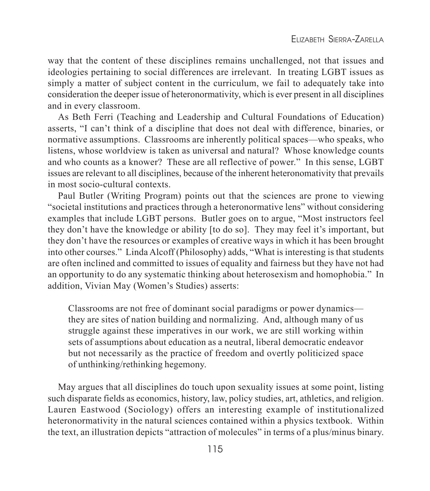way that the content of these disciplines remains unchallenged, not that issues and ideologies pertaining to social differences are irrelevant. In treating LGBT issues as simply a matter of subject content in the curriculum, we fail to adequately take into consideration the deeper issue of heteronormativity, which is ever present in all disciplines and in every classroom.

As Beth Ferri (Teaching and Leadership and Cultural Foundations of Education) asserts, "I can't think of a discipline that does not deal with difference, binaries, or normative assumptions. Classrooms are inherently political spaces—who speaks, who listens, whose worldview is taken as universal and natural? Whose knowledge counts and who counts as a knower? These are all reflective of power." In this sense, LGBT issues are relevant to all disciplines, because of the inherent heteronomativity that prevails in most socio-cultural contexts.

Paul Butler (Writing Program) points out that the sciences are prone to viewing "societal institutions and practices through a heteronormative lens" without considering examples that include LGBT persons. Butler goes on to argue, "Most instructors feel they don't have the knowledge or ability [to do so]. They may feel it's important, but they don't have the resources or examples of creative ways in which it has been brought into other courses." Linda Alcoff (Philosophy) adds, "What is interesting is that students are often inclined and committed to issues of equality and fairness but they have not had an opportunity to do any systematic thinking about heterosexism and homophobia." In addition, Vivian May (Women's Studies) asserts:

Classrooms are not free of dominant social paradigms or power dynamics they are sites of nation building and normalizing. And, although many of us struggle against these imperatives in our work, we are still working within sets of assumptions about education as a neutral, liberal democratic endeavor but not necessarily as the practice of freedom and overtly politicized space of unthinking/rethinking hegemony.

May argues that all disciplines do touch upon sexuality issues at some point, listing such disparate fields as economics, history, law, policy studies, art, athletics, and religion. Lauren Eastwood (Sociology) offers an interesting example of institutionalized heteronormativity in the natural sciences contained within a physics textbook. Within the text, an illustration depicts "attraction of molecules" in terms of a plus/minus binary.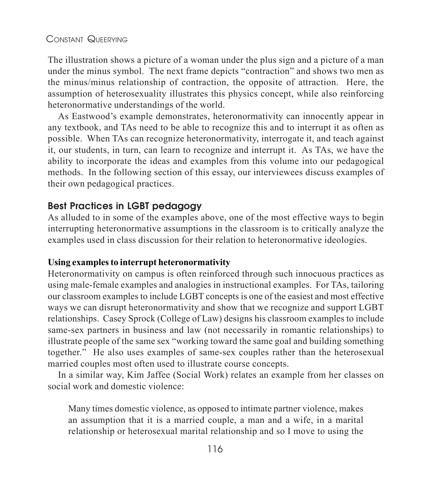The illustration shows a picture of a woman under the plus sign and a picture of a man under the minus symbol. The next frame depicts "contraction" and shows two men as the minus/minus relationship of contraction, the opposite of attraction. Here, the assumption of heterosexuality illustrates this physics concept, while also reinforcing heteronormative understandings of the world.

As Eastwood's example demonstrates, heteronormativity can innocently appear in any textbook, and TAs need to be able to recognize this and to interrupt it as often as possible. When TAs can recognize heteronormativity, interrogate it, and teach against it, our students, in turn, can learn to recognize and interrupt it. As TAs, we have the ability to incorporate the ideas and examples from this volume into our pedagogical methods. In the following section of this essay, our interviewees discuss examples of their own pedagogical practices.

#### **Best Practices in LGBT pedagogy**

As alluded to in some of the examples above, one of the most effective ways to begin interrupting heteronormative assumptions in the classroom is to critically analyze the examples used in class discussion for their relation to heteronormative ideologies.

#### **Using examples to interrupt heteronormativity**

Heteronormativity on campus is often reinforced through such innocuous practices as using male-female examples and analogies in instructional examples. For TAs, tailoring our classroom examples to include LGBT concepts is one of the easiest and most effective ways we can disrupt heteronormativity and show that we recognize and support LGBT relationships. Casey Sprock (College of Law) designs his classroom examples to include same-sex partners in business and law (not necessarily in romantic relationships) to illustrate people of the same sex "working toward the same goal and building something together." He also uses examples of same-sex couples rather than the heterosexual married couples most often used to illustrate course concepts.

In a similar way, Kim Jaffee (Social Work) relates an example from her classes on social work and domestic violence:

Many times domestic violence, as opposed to intimate partner violence, makes an assumption that it is a married couple, a man and a wife, in a marital relationship or heterosexual marital relationship and so I move to using the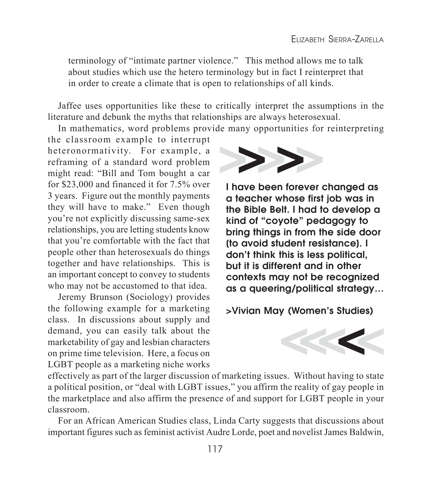terminology of "intimate partner violence." This method allows me to talk about studies which use the hetero terminology but in fact I reinterpret that in order to create a climate that is open to relationships of all kinds.

Jaffee uses opportunities like these to critically interpret the assumptions in the literature and debunk the myths that relationships are always heterosexual.

In mathematics, word problems provide many opportunities for reinterpreting

the classroom example to interrupt heteronormativity. For example, a reframing of a standard word problem might read: "Bill and Tom bought a car for \$23,000 and financed it for 7.5% over 3 years. Figure out the monthly payments they will have to make." Even though you're not explicitly discussing same-sex relationships, you are letting students know that you're comfortable with the fact that people other than heterosexuals do things together and have relationships. This is an important concept to convey to students who may not be accustomed to that idea.

Jeremy Brunson (Sociology) provides the following example for a marketing class. In discussions about supply and demand, you can easily talk about the marketability of gay and lesbian characters on prime time television. Here, a focus on LGBT people as a marketing niche works



**I have been forever changed as a teacher whose first job was in the Bible Belt. I had to develop a kind of "coyote" pedagogy to bring things in from the side door [to avoid student resistance]. I don't think this is less political, but it is different and in other contexts may not be recognized as a queering/political strategy…**

**>Vivian May (Women's Studies)**



effectively as part of the larger discussion of marketing issues. Without having to state a political position, or "deal with LGBT issues," you affirm the reality of gay people in the marketplace and also affirm the presence of and support for LGBT people in your classroom.

For an African American Studies class, Linda Carty suggests that discussions about important figures such as feminist activist Audre Lorde, poet and novelist James Baldwin,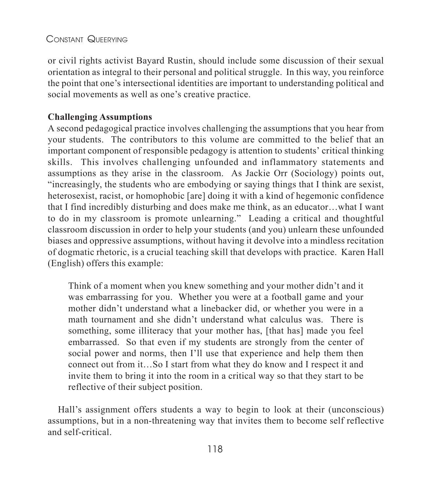or civil rights activist Bayard Rustin, should include some discussion of their sexual orientation as integral to their personal and political struggle. In this way, you reinforce the point that one's intersectional identities are important to understanding political and social movements as well as one's creative practice.

#### **Challenging Assumptions**

A second pedagogical practice involves challenging the assumptions that you hear from your students. The contributors to this volume are committed to the belief that an important component of responsible pedagogy is attention to students' critical thinking skills. This involves challenging unfounded and inflammatory statements and assumptions as they arise in the classroom. As Jackie Orr (Sociology) points out, "increasingly, the students who are embodying or saying things that I think are sexist, heterosexist, racist, or homophobic [are] doing it with a kind of hegemonic confidence that I find incredibly disturbing and does make me think, as an educator…what I want to do in my classroom is promote unlearning." Leading a critical and thoughtful classroom discussion in order to help your students (and you) unlearn these unfounded biases and oppressive assumptions, without having it devolve into a mindless recitation of dogmatic rhetoric, is a crucial teaching skill that develops with practice. Karen Hall (English) offers this example:

Think of a moment when you knew something and your mother didn't and it was embarrassing for you. Whether you were at a football game and your mother didn't understand what a linebacker did, or whether you were in a math tournament and she didn't understand what calculus was. There is something, some illiteracy that your mother has, [that has] made you feel embarrassed. So that even if my students are strongly from the center of social power and norms, then I'll use that experience and help them then connect out from it…So I start from what they do know and I respect it and invite them to bring it into the room in a critical way so that they start to be reflective of their subject position.

Hall's assignment offers students a way to begin to look at their (unconscious) assumptions, but in a non-threatening way that invites them to become self reflective and self-critical.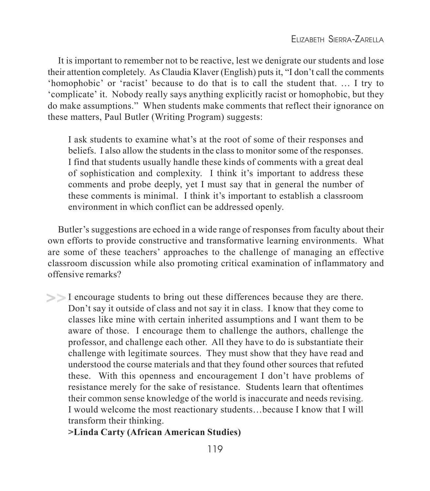It is important to remember not to be reactive, lest we denigrate our students and lose their attention completely. As Claudia Klaver (English) puts it, "I don't call the comments 'homophobic' or 'racist' because to do that is to call the student that. … I try to 'complicate' it. Nobody really says anything explicitly racist or homophobic, but they do make assumptions." When students make comments that reflect their ignorance on these matters, Paul Butler (Writing Program) suggests:

I ask students to examine what's at the root of some of their responses and beliefs. I also allow the students in the class to monitor some of the responses. I find that students usually handle these kinds of comments with a great deal of sophistication and complexity. I think it's important to address these comments and probe deeply, yet I must say that in general the number of these comments is minimal. I think it's important to establish a classroom environment in which conflict can be addressed openly.

Butler's suggestions are echoed in a wide range of responses from faculty about their own efforts to provide constructive and transformative learning environments. What are some of these teachers' approaches to the challenge of managing an effective classroom discussion while also promoting critical examination of inflammatory and offensive remarks?

>> I encourage students to bring out these differences because they are there. Don't say it outside of class and not say it in class. I know that they come to classes like mine with certain inherited assumptions and I want them to be aware of those. I encourage them to challenge the authors, challenge the professor, and challenge each other. All they have to do is substantiate their challenge with legitimate sources. They must show that they have read and understood the course materials and that they found other sources that refuted these. With this openness and encouragement I don't have problems of resistance merely for the sake of resistance. Students learn that oftentimes their common sense knowledge of the world is inaccurate and needs revising. I would welcome the most reactionary students…because I know that I will transform their thinking.

**>Linda Carty (African American Studies)**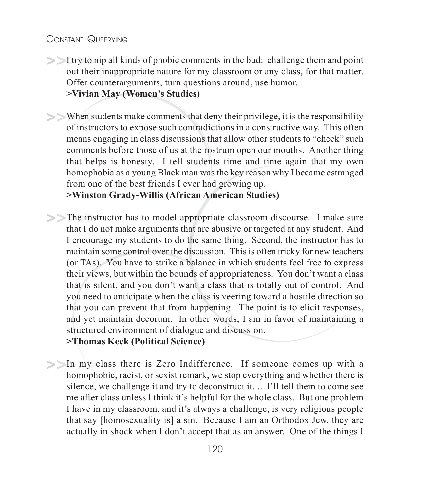**>>>>>** I try to nip all kinds of phobic comments in the bud: challenge them and point out their inappropriate nature for my classroom or any class, for that matter. Offer counterarguments, turn questions around, use humor.

#### **>Vivian May (Women's Studies)**

**>>>>>** When students make comments that deny their privilege, it is the responsibility of instructors to expose such contradictions in a constructive way. This often means engaging in class discussions that allow other students to "check" such comments before those of us at the rostrum open our mouths. Another thing that helps is honesty. I tell students time and time again that my own homophobia as a young Black man was the key reason why I became estranged from one of the best friends I ever had growing up.

**>Winston Grady-Willis (African American Studies)**

**>>>**The instructor has to model appropriate classroom discourse. I make sure that I do not make arguments that are abusive or targeted at any student. And I encourage my students to do the same thing. Second, the instructor has to maintain some control over the discussion. This is often tricky for new teachers (or TAs). You have to strike a balance in which students feel free to express their views, but within the bounds of appropriateness. You don't want a class that is silent, and you don't want a class that is totally out of control. And you need to anticipate when the class is veering toward a hostile direction so that you can prevent that from happening. The point is to elicit responses, and yet maintain decorum. In other words, I am in favor of maintaining a structured environment of dialogue and discussion.

#### **>Thomas Keck (Political Science)**

**>>**In my class there is Zero Indifference. If someone comes up with a homophobic, racist, or sexist remark, we stop everything and whether there is silence, we challenge it and try to deconstruct it. …I'll tell them to come see me after class unless I think it's helpful for the whole class. But one problem I have in my classroom, and it's always a challenge, is very religious people that say [homosexuality is] a sin. Because I am an Orthodox Jew, they are actually in shock when I don't accept that as an answer. One of the things I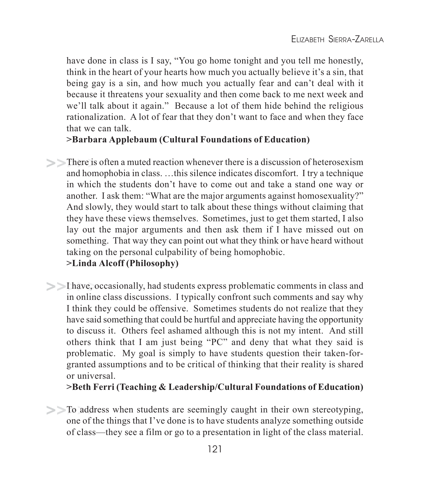have done in class is I say, "You go home tonight and you tell me honestly, think in the heart of your hearts how much you actually believe it's a sin, that being gay is a sin, and how much you actually fear and can't deal with it because it threatens your sexuality and then come back to me next week and we'll talk about it again." Because a lot of them hide behind the religious rationalization. A lot of fear that they don't want to face and when they face that we can talk.

#### **>Barbara Applebaum (Cultural Foundations of Education)**

**>>** There is often a muted reaction whenever there is a discussion of heterosexism and homophobia in class. …this silence indicates discomfort. I try a technique in which the students don't have to come out and take a stand one way or another. I ask them: "What are the major arguments against homosexuality?" And slowly, they would start to talk about these things without claiming that they have these views themselves. Sometimes, just to get them started, I also lay out the major arguments and then ask them if I have missed out on something. That way they can point out what they think or have heard without taking on the personal culpability of being homophobic.

#### **>Linda Alcoff (Philosophy)**

**>>>>>** I have, occasionally, had students express problematic comments in class and in online class discussions. I typically confront such comments and say why I think they could be offensive. Sometimes students do not realize that they have said something that could be hurtful and appreciate having the opportunity to discuss it. Others feel ashamed although this is not my intent. And still others think that I am just being "PC" and deny that what they said is problematic. My goal is simply to have students question their taken-forgranted assumptions and to be critical of thinking that their reality is shared or universal.

**>Beth Ferri (Teaching & Leadership/Cultural Foundations of Education)**

>>To address when students are seemingly caught in their own stereotyping, one of the things that I've done is to have students analyze something outside of class—they see a film or go to a presentation in light of the class material.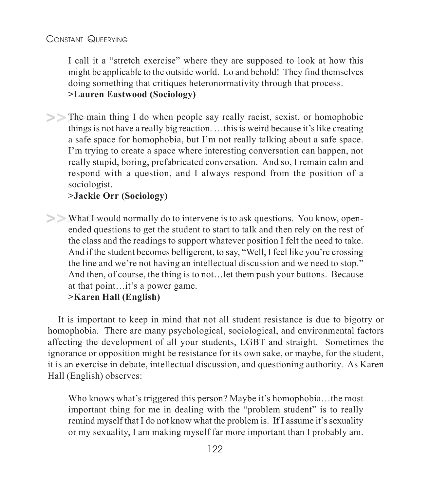I call it a "stretch exercise" where they are supposed to look at how this might be applicable to the outside world. Lo and behold! They find themselves doing something that critiques heteronormativity through that process. **>Lauren Eastwood (Sociology)**

>>> The main thing I do when people say really racist, sexist, or homophobic things is not have a really big reaction. …this is weird because it's like creating a safe space for homophobia, but I'm not really talking about a safe space. I'm trying to create a space where interesting conversation can happen, not really stupid, boring, prefabricated conversation. And so, I remain calm and respond with a question, and I always respond from the position of a sociologist.

#### **>Jackie Orr (Sociology)**

**>>** What I would normally do to intervene is to ask questions. You know, openended questions to get the student to start to talk and then rely on the rest of the class and the readings to support whatever position I felt the need to take. And if the student becomes belligerent, to say, "Well, I feel like you're crossing the line and we're not having an intellectual discussion and we need to stop." And then, of course, the thing is to not…let them push your buttons. Because at that point…it's a power game.

#### **>Karen Hall (English)**

It is important to keep in mind that not all student resistance is due to bigotry or homophobia. There are many psychological, sociological, and environmental factors affecting the development of all your students, LGBT and straight. Sometimes the ignorance or opposition might be resistance for its own sake, or maybe, for the student, it is an exercise in debate, intellectual discussion, and questioning authority. As Karen Hall (English) observes:

Who knows what's triggered this person? Maybe it's homophobia…the most important thing for me in dealing with the "problem student" is to really remind myself that I do not know what the problem is. If I assume it's sexuality or my sexuality, I am making myself far more important than I probably am.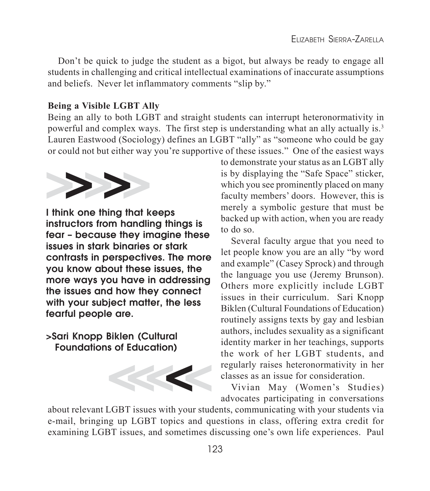Don't be quick to judge the student as a bigot, but always be ready to engage all students in challenging and critical intellectual examinations of inaccurate assumptions and beliefs. Never let inflammatory comments "slip by."

#### **Being a Visible LGBT Ally**

Being an ally to both LGBT and straight students can interrupt heteronormativity in powerful and complex ways. The first step is understanding what an ally actually is.3 Lauren Eastwood (Sociology) defines an LGBT "ally" as "someone who could be gay or could not but either way you're supportive of these issues." One of the easiest ways



**I think one thing that keeps instructors from handling things is fear – because they imagine these issues in stark binaries or stark contrasts in perspectives. The more you know about these issues, the more ways you have in addressing the issues and how they connect with your subject matter, the less fearful people are.**

#### **>Sari Knopp Biklen (Cultural Foundations of Education)**



to demonstrate your status as an LGBT ally is by displaying the "Safe Space" sticker, which you see prominently placed on many faculty members' doors. However, this is merely a symbolic gesture that must be backed up with action, when you are ready to do so.

Several faculty argue that you need to let people know you are an ally "by word and example" (Casey Sprock) and through the language you use (Jeremy Brunson). Others more explicitly include LGBT issues in their curriculum. Sari Knopp Biklen (Cultural Foundations of Education) routinely assigns texts by gay and lesbian authors, includes sexuality as a significant identity marker in her teachings, supports the work of her LGBT students, and regularly raises heteronormativity in her classes as an issue for consideration.

Vivian May (Women's Studies) advocates participating in conversations

about relevant LGBT issues with your students, communicating with your students via e-mail, bringing up LGBT topics and questions in class, offering extra credit for examining LGBT issues, and sometimes discussing one's own life experiences. Paul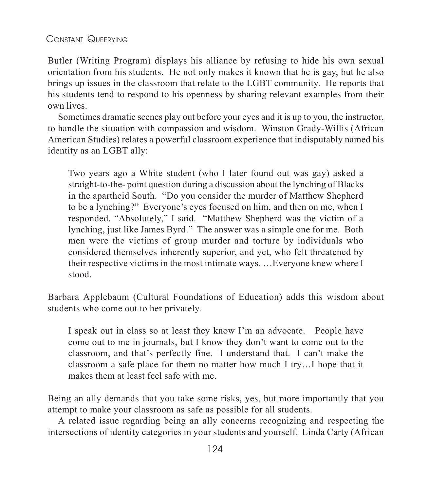Butler (Writing Program) displays his alliance by refusing to hide his own sexual orientation from his students. He not only makes it known that he is gay, but he also brings up issues in the classroom that relate to the LGBT community. He reports that his students tend to respond to his openness by sharing relevant examples from their own lives.

Sometimes dramatic scenes play out before your eyes and it is up to you, the instructor, to handle the situation with compassion and wisdom. Winston Grady-Willis (African American Studies) relates a powerful classroom experience that indisputably named his identity as an LGBT ally:

Two years ago a White student (who I later found out was gay) asked a straight-to-the- point question during a discussion about the lynching of Blacks in the apartheid South. "Do you consider the murder of Matthew Shepherd to be a lynching?" Everyone's eyes focused on him, and then on me, when I responded. "Absolutely," I said. "Matthew Shepherd was the victim of a lynching, just like James Byrd." The answer was a simple one for me. Both men were the victims of group murder and torture by individuals who considered themselves inherently superior, and yet, who felt threatened by their respective victims in the most intimate ways. …Everyone knew where I stood.

Barbara Applebaum (Cultural Foundations of Education) adds this wisdom about students who come out to her privately.

I speak out in class so at least they know I'm an advocate. People have come out to me in journals, but I know they don't want to come out to the classroom, and that's perfectly fine. I understand that. I can't make the classroom a safe place for them no matter how much I try…I hope that it makes them at least feel safe with me.

Being an ally demands that you take some risks, yes, but more importantly that you attempt to make your classroom as safe as possible for all students.

A related issue regarding being an ally concerns recognizing and respecting the intersections of identity categories in your students and yourself. Linda Carty (African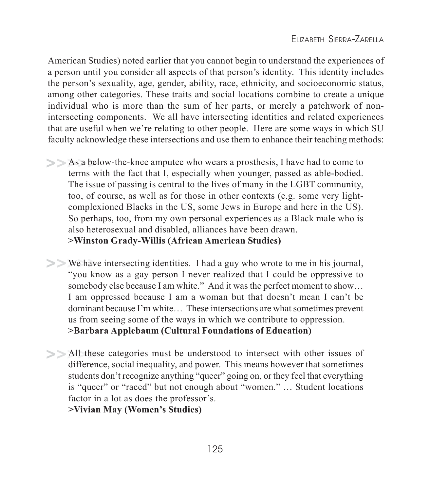American Studies) noted earlier that you cannot begin to understand the experiences of a person until you consider all aspects of that person's identity. This identity includes the person's sexuality, age, gender, ability, race, ethnicity, and socioeconomic status, among other categories. These traits and social locations combine to create a unique individual who is more than the sum of her parts, or merely a patchwork of nonintersecting components. We all have intersecting identities and related experiences that are useful when we're relating to other people. Here are some ways in which SU faculty acknowledge these intersections and use them to enhance their teaching methods:

**>>>>>** As a below-the-knee amputee who wears a prosthesis, I have had to come to terms with the fact that I, especially when younger, passed as able-bodied. The issue of passing is central to the lives of many in the LGBT community, too, of course, as well as for those in other contexts (e.g. some very lightcomplexioned Blacks in the US, some Jews in Europe and here in the US). So perhaps, too, from my own personal experiences as a Black male who is also heterosexual and disabled, alliances have been drawn. **>Winston Grady-Willis (African American Studies)**

>> We have intersecting identities. I had a guy who wrote to me in his journal, "you know as a gay person I never realized that I could be oppressive to somebody else because I am white." And it was the perfect moment to show… I am oppressed because I am a woman but that doesn't mean I can't be dominant because I'm white… These intersections are what sometimes prevent us from seeing some of the ways in which we contribute to oppression. **>Barbara Applebaum (Cultural Foundations of Education)**

>>> All these categories must be understood to intersect with other issues of difference, social inequality, and power. This means however that sometimes students don't recognize anything "queer" going on, or they feel that everything is "queer" or "raced" but not enough about "women." … Student locations factor in a lot as does the professor's. *>***Vivian May (Women's Studies)**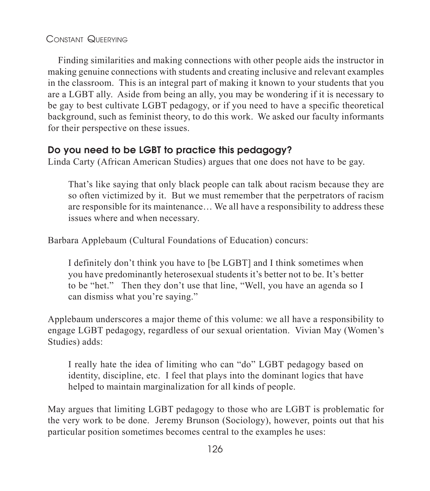Finding similarities and making connections with other people aids the instructor in making genuine connections with students and creating inclusive and relevant examples in the classroom. This is an integral part of making it known to your students that you are a LGBT ally. Aside from being an ally, you may be wondering if it is necessary to be gay to best cultivate LGBT pedagogy, or if you need to have a specific theoretical background, such as feminist theory, to do this work. We asked our faculty informants for their perspective on these issues.

#### **Do you need to be LGBT to practice this pedagogy?**

Linda Carty (African American Studies) argues that one does not have to be gay.

That's like saying that only black people can talk about racism because they are so often victimized by it. But we must remember that the perpetrators of racism are responsible for its maintenance… We all have a responsibility to address these issues where and when necessary.

Barbara Applebaum (Cultural Foundations of Education) concurs:

I definitely don't think you have to [be LGBT] and I think sometimes when you have predominantly heterosexual students it's better not to be. It's better to be "het." Then they don't use that line, "Well, you have an agenda so I can dismiss what you're saying."

Applebaum underscores a major theme of this volume: we all have a responsibility to engage LGBT pedagogy, regardless of our sexual orientation. Vivian May (Women's Studies) adds:

I really hate the idea of limiting who can "do" LGBT pedagogy based on identity, discipline, etc. I feel that plays into the dominant logics that have helped to maintain marginalization for all kinds of people.

May argues that limiting LGBT pedagogy to those who are LGBT is problematic for the very work to be done. Jeremy Brunson (Sociology), however, points out that his particular position sometimes becomes central to the examples he uses: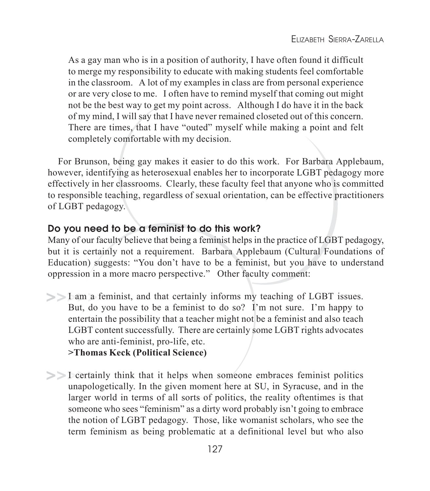As a gay man who is in a position of authority, I have often found it difficult to merge my responsibility to educate with making students feel comfortable in the classroom. A lot of my examples in class are from personal experience or are very close to me. I often have to remind myself that coming out might not be the best way to get my point across. Although I do have it in the back of my mind, I will say that I have never remained closeted out of this concern. There are times, that I have "outed" myself while making a point and felt completely comfortable with my decision.

For Brunson, being gay makes it easier to do this work. For Barbara Applebaum, however, identifying as heterosexual enables her to incorporate LGBT pedagogy more effectively in her classrooms. Clearly, these faculty feel that anyone who is committed to responsible teaching, regardless of sexual orientation, can be effective practitioners of LGBT pedagogy.

#### **Do you need to be a feminist to do this work?**

Many of our faculty believe that being a feminist helps in the practice of LGBT pedagogy, but it is certainly not a requirement. Barbara Applebaum (Cultural Foundations of Education) suggests: "You don't have to be a feminist, but you have to understand oppression in a more macro perspective." Other faculty comment:

>>I am a feminist, and that certainly informs my teaching of LGBT issues. But, do you have to be a feminist to do so? I'm not sure. I'm happy to entertain the possibility that a teacher might not be a feminist and also teach LGBT content successfully. There are certainly some LGBT rights advocates who are anti-feminist, pro-life, etc.

**>Thomas Keck (Political Science)**

>>I certainly think that it helps when someone embraces feminist politics unapologetically. In the given moment here at SU, in Syracuse, and in the larger world in terms of all sorts of politics, the reality oftentimes is that someone who sees "feminism" as a dirty word probably isn't going to embrace the notion of LGBT pedagogy. Those, like womanist scholars, who see the term feminism as being problematic at a definitional level but who also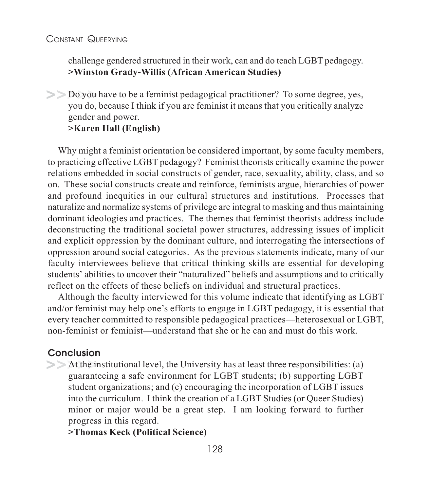challenge gendered structured in their work, can and do teach LGBT pedagogy. **>Winston Grady-Willis (African American Studies)**

**>>>>>** Do you have to be a feminist pedagogical practitioner? To some degree, yes, you do, because I think if you are feminist it means that you critically analyze gender and power. **>Karen Hall (English)**

Why might a feminist orientation be considered important, by some faculty members, to practicing effective LGBT pedagogy? Feminist theorists critically examine the power relations embedded in social constructs of gender, race, sexuality, ability, class, and so on. These social constructs create and reinforce, feminists argue, hierarchies of power and profound inequities in our cultural structures and institutions. Processes that naturalize and normalize systems of privilege are integral to masking and thus maintaining dominant ideologies and practices. The themes that feminist theorists address include deconstructing the traditional societal power structures, addressing issues of implicit and explicit oppression by the dominant culture, and interrogating the intersections of oppression around social categories. As the previous statements indicate, many of our faculty interviewees believe that critical thinking skills are essential for developing students' abilities to uncover their "naturalized" beliefs and assumptions and to critically reflect on the effects of these beliefs on individual and structural practices.

Although the faculty interviewed for this volume indicate that identifying as LGBT and/or feminist may help one's efforts to engage in LGBT pedagogy, it is essential that every teacher committed to responsible pedagogical practices—heterosexual or LGBT, non-feminist or feminist—understand that she or he can and must do this work.

# **>>>>> Conclusion**

At the institutional level, the University has at least three responsibilities: (a) guaranteeing a safe environment for LGBT students; (b) supporting LGBT student organizations; and (c) encouraging the incorporation of LGBT issues into the curriculum. I think the creation of a LGBT Studies (or Queer Studies) minor or major would be a great step. I am looking forward to further progress in this regard.

**>Thomas Keck (Political Science)**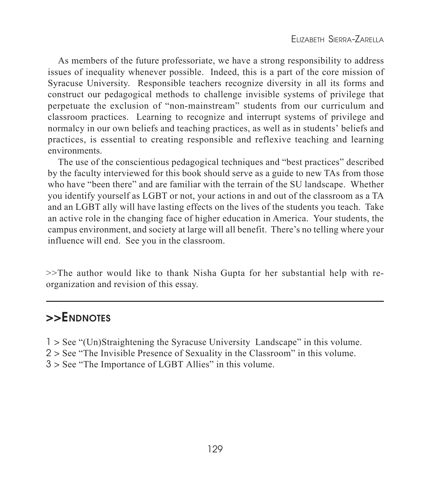As members of the future professoriate, we have a strong responsibility to address issues of inequality whenever possible. Indeed, this is a part of the core mission of Syracuse University. Responsible teachers recognize diversity in all its forms and construct our pedagogical methods to challenge invisible systems of privilege that perpetuate the exclusion of "non-mainstream" students from our curriculum and classroom practices. Learning to recognize and interrupt systems of privilege and normalcy in our own beliefs and teaching practices, as well as in students' beliefs and practices, is essential to creating responsible and reflexive teaching and learning environments.

The use of the conscientious pedagogical techniques and "best practices" described by the faculty interviewed for this book should serve as a guide to new TAs from those who have "been there" and are familiar with the terrain of the SU landscape. Whether you identify yourself as LGBT or not, your actions in and out of the classroom as a TA and an LGBT ally will have lasting effects on the lives of the students you teach. Take an active role in the changing face of higher education in America. Your students, the campus environment, and society at large will all benefit. There's no telling where your influence will end. See you in the classroom.

>>The author would like to thank Nisha Gupta for her substantial help with reorganization and revision of this essay.

#### **>>ENDNOTES**

- 1 > See "(Un)Straightening the Syracuse University Landscape" in this volume.
- 2 > See "The Invisible Presence of Sexuality in the Classroom" in this volume.
- 3 > See "The Importance of LGBT Allies" in this volume.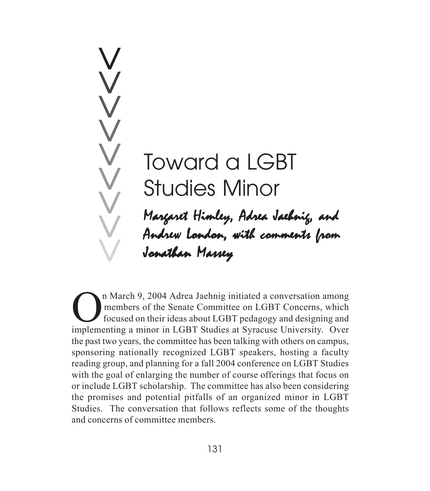# Margaret Himley, Adrea Jaehnig, and Andrew London, with comments from Jonathan Massey Toward a LGBT Studies Minor

 $\bigvee$ 

 $\bigvee$ 

 $\bigvee$ 

 $\bigvee$ 

 $\bigvee$ 

 $\bigvee$ 

 $\bigvee$ 

 $\bigvee$ 

 $\bigvee$ 

n March 9, 2004 Adrea Jaehnig initiated a conversation among members of the Senate Committee on LGBT Concerns, which focused on their ideas about LGBT pedagogy and designing and implementing a minor in LGBT Studies at Syracuse University. Over the past two years, the committee has been talking with others on campus, sponsoring nationally recognized LGBT speakers, hosting a faculty reading group, and planning for a fall 2004 conference on LGBT Studies with the goal of enlarging the number of course offerings that focus on or include LGBT scholarship. The committee has also been considering the promises and potential pitfalls of an organized minor in LGBT Studies. The conversation that follows reflects some of the thoughts and concerns of committee members.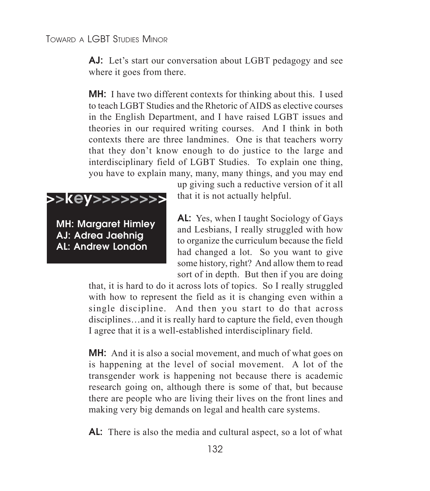#### TOWARD A LGBT STUDIES MINOR

AJ: Let's start our conversation about LGBT pedagogy and see where it goes from there.

**MH:** I have two different contexts for thinking about this. I used to teach LGBT Studies and the Rhetoric of AIDS as elective courses in the English Department, and I have raised LGBT issues and theories in our required writing courses. And I think in both contexts there are three landmines. One is that teachers worry that they don't know enough to do justice to the large and interdisciplinary field of LGBT Studies. To explain one thing, you have to explain many, many, many things, and you may end



**MH: Margaret Himley AJ: Adrea Jaehnig AL: Andrew London**

up giving such a reductive version of it all that it is not actually helpful.

AL: Yes, when I taught Sociology of Gays and Lesbians, I really struggled with how to organize the curriculum because the field had changed a lot. So you want to give some history, right? And allow them to read sort of in depth. But then if you are doing

that, it is hard to do it across lots of topics. So I really struggled with how to represent the field as it is changing even within a single discipline. And then you start to do that across disciplines…and it is really hard to capture the field, even though I agree that it is a well-established interdisciplinary field.

**MH:** And it is also a social movement, and much of what goes on is happening at the level of social movement. A lot of the transgender work is happening not because there is academic research going on, although there is some of that, but because there are people who are living their lives on the front lines and making very big demands on legal and health care systems.

**AL:** There is also the media and cultural aspect, so a lot of what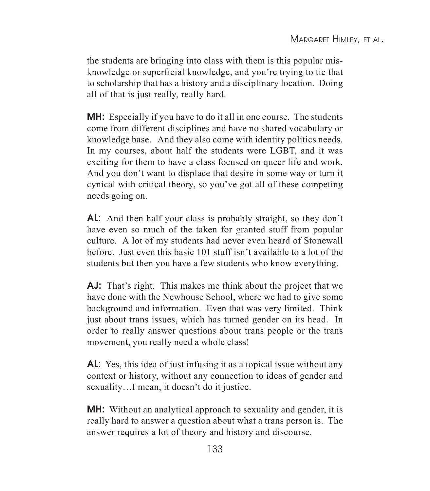the students are bringing into class with them is this popular misknowledge or superficial knowledge, and you're trying to tie that to scholarship that has a history and a disciplinary location. Doing all of that is just really, really hard.

**MH:** Especially if you have to do it all in one course. The students come from different disciplines and have no shared vocabulary or knowledge base. And they also come with identity politics needs. In my courses, about half the students were LGBT, and it was exciting for them to have a class focused on queer life and work. And you don't want to displace that desire in some way or turn it cynical with critical theory, so you've got all of these competing needs going on.

**AL:** And then half your class is probably straight, so they don't have even so much of the taken for granted stuff from popular culture. A lot of my students had never even heard of Stonewall before. Just even this basic 101 stuff isn't available to a lot of the students but then you have a few students who know everything.

**AJ:** That's right. This makes me think about the project that we have done with the Newhouse School, where we had to give some background and information. Even that was very limited. Think just about trans issues, which has turned gender on its head. In order to really answer questions about trans people or the trans movement, you really need a whole class!

**AL:** Yes, this idea of just infusing it as a topical issue without any context or history, without any connection to ideas of gender and sexuality…I mean, it doesn't do it justice.

**MH:** Without an analytical approach to sexuality and gender, it is really hard to answer a question about what a trans person is. The answer requires a lot of theory and history and discourse.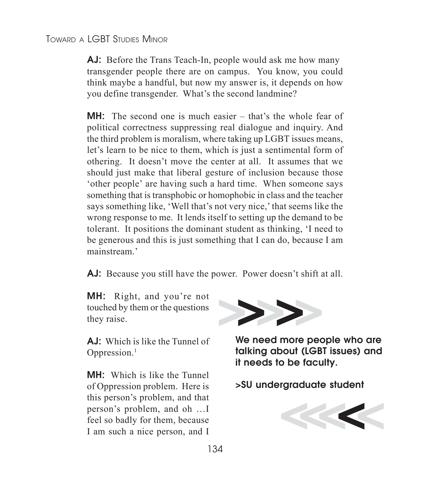#### TOWARD A LGBT STUDIES MINOR

**AJ:** Before the Trans Teach-In, people would ask me how many transgender people there are on campus. You know, you could think maybe a handful, but now my answer is, it depends on how you define transgender. What's the second landmine?

**MH:** The second one is much easier – that's the whole fear of political correctness suppressing real dialogue and inquiry. And the third problem is moralism, where taking up LGBT issues means, let's learn to be nice to them, which is just a sentimental form of othering. It doesn't move the center at all. It assumes that we should just make that liberal gesture of inclusion because those 'other people' are having such a hard time. When someone says something that is transphobic or homophobic in class and the teacher says something like, 'Well that's not very nice,' that seems like the wrong response to me. It lends itself to setting up the demand to be tolerant. It positions the dominant student as thinking, 'I need to be generous and this is just something that I can do, because I am mainstream.'

AJ: Because you still have the power. Power doesn't shift at all.

**MH:** Right, and you're not touched by them or the questions they raise.

**AJ:** Which is like the Tunnel of Oppression.<sup>1</sup>

**MH:** Which is like the Tunnel of Oppression problem. Here is this person's problem, and that person's problem, and oh …I feel so badly for them, because I am such a nice person, and I



**We need more people who are talking about (LGBT issues) and it needs to be faculty.**

**>SU undergraduate student**

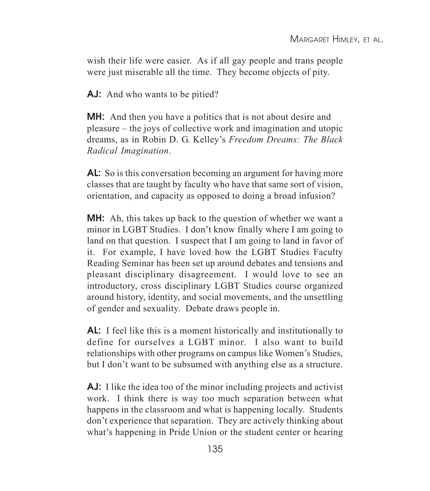wish their life were easier. As if all gay people and trans people were just miserable all the time. They become objects of pity.

AJ: And who wants to be pitied?

**MH:** And then you have a politics that is not about desire and pleasure – the joys of collective work and imagination and utopic dreams, as in Robin D. G. Kelley's *Freedom Dreams: The Black Radical Imagination*.

**AL:** So is this conversation becoming an argument for having more classes that are taught by faculty who have that same sort of vision, orientation, and capacity as opposed to doing a broad infusion?

**MH:** Ah, this takes up back to the question of whether we want a minor in LGBT Studies. I don't know finally where I am going to land on that question. I suspect that I am going to land in favor of it. For example, I have loved how the LGBT Studies Faculty Reading Seminar has been set up around debates and tensions and pleasant disciplinary disagreement. I would love to see an introductory, cross disciplinary LGBT Studies course organized around history, identity, and social movements, and the unsettling of gender and sexuality. Debate draws people in.

AL: I feel like this is a moment historically and institutionally to define for ourselves a LGBT minor. I also want to build relationships with other programs on campus like Women's Studies, but I don't want to be subsumed with anything else as a structure.

**AJ:** I like the idea too of the minor including projects and activist work. I think there is way too much separation between what happens in the classroom and what is happening locally. Students don't experience that separation. They are actively thinking about what's happening in Pride Union or the student center or hearing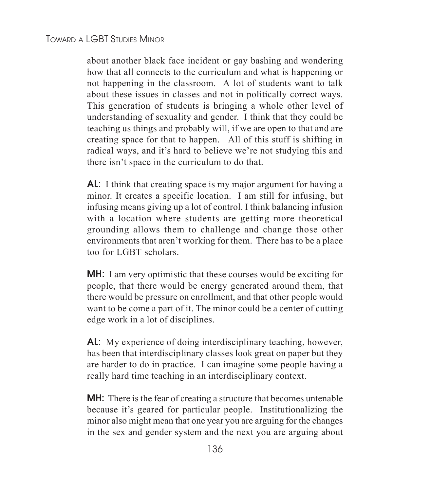about another black face incident or gay bashing and wondering how that all connects to the curriculum and what is happening or not happening in the classroom. A lot of students want to talk about these issues in classes and not in politically correct ways. This generation of students is bringing a whole other level of understanding of sexuality and gender. I think that they could be teaching us things and probably will, if we are open to that and are creating space for that to happen. All of this stuff is shifting in radical ways, and it's hard to believe we're not studying this and there isn't space in the curriculum to do that.

**AL:** I think that creating space is my major argument for having a minor. It creates a specific location. I am still for infusing, but infusing means giving up a lot of control. I think balancing infusion with a location where students are getting more theoretical grounding allows them to challenge and change those other environments that aren't working for them. There has to be a place too for LGBT scholars.

**MH:** I am very optimistic that these courses would be exciting for people, that there would be energy generated around them, that there would be pressure on enrollment, and that other people would want to be come a part of it. The minor could be a center of cutting edge work in a lot of disciplines.

**AL:** My experience of doing interdisciplinary teaching, however, has been that interdisciplinary classes look great on paper but they are harder to do in practice. I can imagine some people having a really hard time teaching in an interdisciplinary context.

**MH:** There is the fear of creating a structure that becomes untenable because it's geared for particular people. Institutionalizing the minor also might mean that one year you are arguing for the changes in the sex and gender system and the next you are arguing about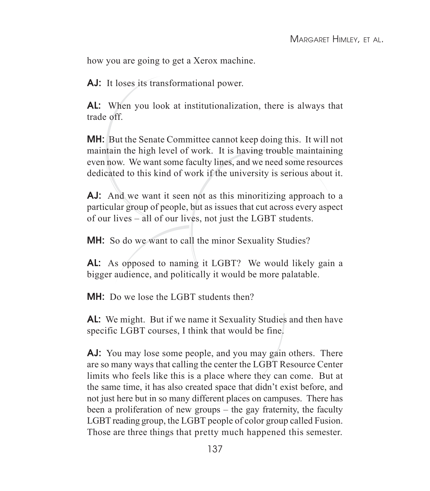how you are going to get a Xerox machine.

AJ: It loses its transformational power.

**AL:** When you look at institutionalization, there is always that trade off.

**MH:** But the Senate Committee cannot keep doing this. It will not maintain the high level of work. It is having trouble maintaining even now. We want some faculty lines, and we need some resources dedicated to this kind of work if the university is serious about it.

**AJ:** And we want it seen not as this minoritizing approach to a particular group of people, but as issues that cut across every aspect of our lives – all of our lives, not just the LGBT students.

**MH:** So do we want to call the minor Sexuality Studies?

**AL:** As opposed to naming it LGBT? We would likely gain a bigger audience, and politically it would be more palatable.

**MH:** Do we lose the LGBT students then?

**AL:** We might. But if we name it Sexuality Studies and then have specific LGBT courses, I think that would be fine.

AJ: You may lose some people, and you may gain others. There are so many ways that calling the center the LGBT Resource Center limits who feels like this is a place where they can come. But at the same time, it has also created space that didn't exist before, and not just here but in so many different places on campuses. There has been a proliferation of new groups – the gay fraternity, the faculty LGBT reading group, the LGBT people of color group called Fusion. Those are three things that pretty much happened this semester.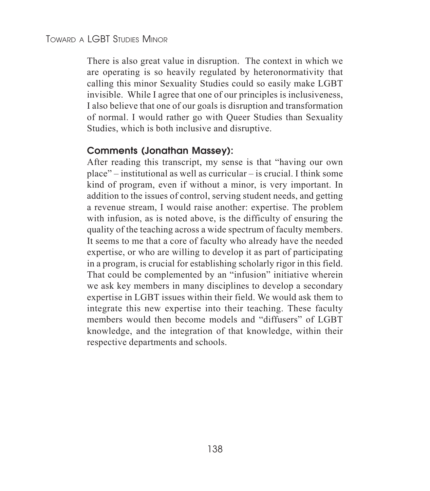There is also great value in disruption. The context in which we are operating is so heavily regulated by heteronormativity that calling this minor Sexuality Studies could so easily make LGBT invisible. While I agree that one of our principles is inclusiveness, I also believe that one of our goals is disruption and transformation of normal. I would rather go with Queer Studies than Sexuality Studies, which is both inclusive and disruptive.

#### **Comments (Jonathan Massey):**

After reading this transcript, my sense is that "having our own place" – institutional as well as curricular – is crucial. I think some kind of program, even if without a minor, is very important. In addition to the issues of control, serving student needs, and getting a revenue stream, I would raise another: expertise. The problem with infusion, as is noted above, is the difficulty of ensuring the quality of the teaching across a wide spectrum of faculty members. It seems to me that a core of faculty who already have the needed expertise, or who are willing to develop it as part of participating in a program, is crucial for establishing scholarly rigor in this field. That could be complemented by an "infusion" initiative wherein we ask key members in many disciplines to develop a secondary expertise in LGBT issues within their field. We would ask them to integrate this new expertise into their teaching. These faculty members would then become models and "diffusers" of LGBT knowledge, and the integration of that knowledge, within their respective departments and schools.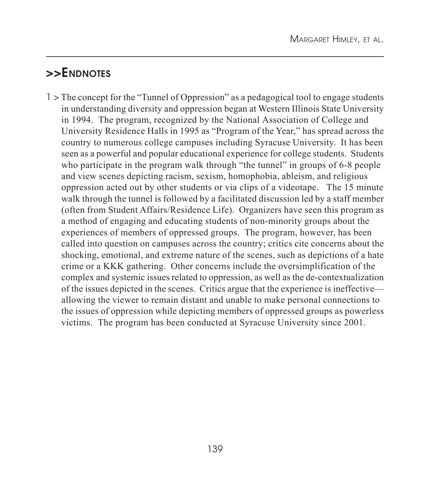# **>>ENDNOTES**

1 > The concept for the "Tunnel of Oppression" as a pedagogical tool to engage students in understanding diversity and oppression began at Western Illinois State University in 1994. The program, recognized by the National Association of College and University Residence Halls in 1995 as "Program of the Year," has spread across the country to numerous college campuses including Syracuse University. It has been seen as a powerful and popular educational experience for college students. Students who participate in the program walk through "the tunnel" in groups of 6-8 people and view scenes depicting racism, sexism, homophobia, ableism, and religious oppression acted out by other students or via clips of a videotape. The 15 minute walk through the tunnel is followed by a facilitated discussion led by a staff member (often from Student Affairs/Residence Life). Organizers have seen this program as a method of engaging and educating students of non-minority groups about the experiences of members of oppressed groups. The program, however, has been called into question on campuses across the country; critics cite concerns about the shocking, emotional, and extreme nature of the scenes, such as depictions of a hate crime or a KKK gathering. Other concerns include the oversimplification of the complex and systemic issues related to oppression, as well as the de-contextualization of the issues depicted in the scenes. Critics argue that the experience is ineffective allowing the viewer to remain distant and unable to make personal connections to the issues of oppression while depicting members of oppressed groups as powerless victims. The program has been conducted at Syracuse University since 2001.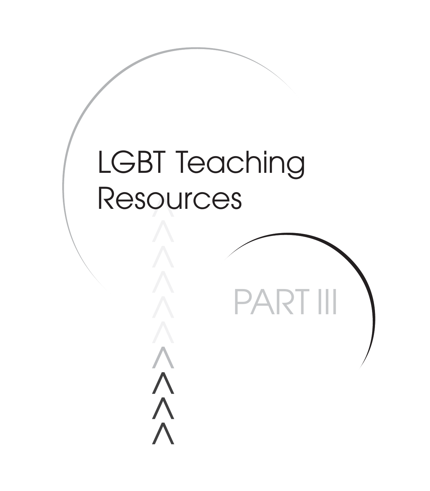# >>>>>>> LGBT Teaching **Resources**

PART III

 $\lambda$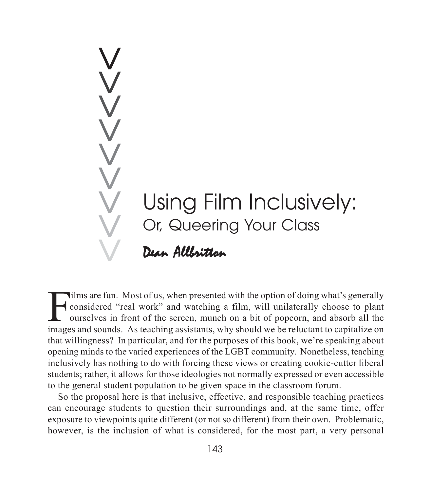

Films are fun. Most of us, when presented with the option of doing what's generally<br>considered "real work" and watching a film, will unilaterally choose to plant<br>ourselves in front of the screen, munch on a bit of popcorn, considered "real work" and watching a film, will unilaterally choose to plant ourselves in front of the screen, munch on a bit of popcorn, and absorb all the images and sounds. As teaching assistants, why should we be reluctant to capitalize on that willingness? In particular, and for the purposes of this book, we're speaking about opening minds to the varied experiences of the LGBT community. Nonetheless, teaching inclusively has nothing to do with forcing these views or creating cookie-cutter liberal students; rather, it allows for those ideologies not normally expressed or even accessible to the general student population to be given space in the classroom forum.

So the proposal here is that inclusive, effective, and responsible teaching practices can encourage students to question their surroundings and, at the same time, offer exposure to viewpoints quite different (or not so different) from their own. Problematic, however, is the inclusion of what is considered, for the most part, a very personal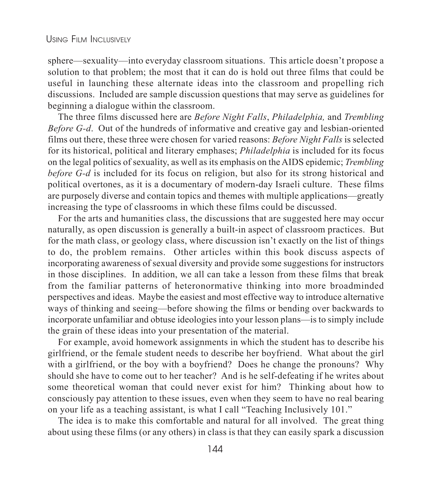sphere—sexuality—into everyday classroom situations. This article doesn't propose a solution to that problem; the most that it can do is hold out three films that could be useful in launching these alternate ideas into the classroom and propelling rich discussions. Included are sample discussion questions that may serve as guidelines for beginning a dialogue within the classroom.

The three films discussed here are *Before Night Falls*, *Philadelphia,* and *Trembling Before G-d*. Out of the hundreds of informative and creative gay and lesbian-oriented films out there, these three were chosen for varied reasons: *Before Night Falls* is selected for its historical, political and literary emphases; *Philadelphia* is included for its focus on the legal politics of sexuality, as well as its emphasis on the AIDS epidemic; *Trembling before G-d* is included for its focus on religion, but also for its strong historical and political overtones, as it is a documentary of modern-day Israeli culture. These films are purposely diverse and contain topics and themes with multiple applications—greatly increasing the type of classrooms in which these films could be discussed.

For the arts and humanities class, the discussions that are suggested here may occur naturally, as open discussion is generally a built-in aspect of classroom practices. But for the math class, or geology class, where discussion isn't exactly on the list of things to do, the problem remains. Other articles within this book discuss aspects of incorporating awareness of sexual diversity and provide some suggestions for instructors in those disciplines. In addition, we all can take a lesson from these films that break from the familiar patterns of heteronormative thinking into more broadminded perspectives and ideas. Maybe the easiest and most effective way to introduce alternative ways of thinking and seeing—before showing the films or bending over backwards to incorporate unfamiliar and obtuse ideologies into your lesson plans—is to simply include the grain of these ideas into your presentation of the material.

For example, avoid homework assignments in which the student has to describe his girlfriend, or the female student needs to describe her boyfriend. What about the girl with a girlfriend, or the boy with a boyfriend? Does he change the pronouns? Why should she have to come out to her teacher? And is he self-defeating if he writes about some theoretical woman that could never exist for him? Thinking about how to consciously pay attention to these issues, even when they seem to have no real bearing on your life as a teaching assistant, is what I call "Teaching Inclusively 101."

The idea is to make this comfortable and natural for all involved. The great thing about using these films (or any others) in class is that they can easily spark a discussion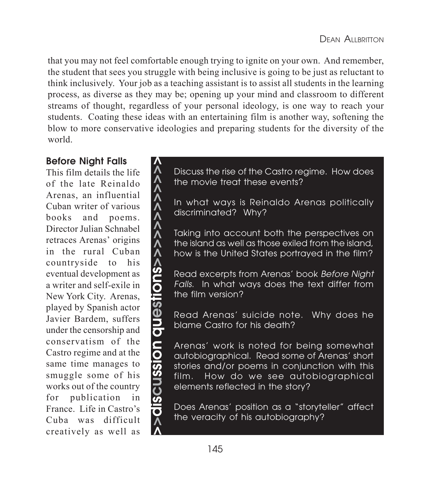that you may not feel comfortable enough trying to ignite on your own. And remember, the student that sees you struggle with being inclusive is going to be just as reluctant to think inclusively. Your job as a teaching assistant is to assist all students in the learning process, as diverse as they may be; opening up your mind and classroom to different streams of thought, regardless of your personal ideology, is one way to reach your students. Coating these ideas with an entertaining film is another way, softening the blow to more conservative ideologies and preparing students for the diversity of the world.

#### **Before Night Falls**

This film details the life of the late Reinaldo Arenas, an influential Cuban writer of various books and poems. Director Julian Schnabel retraces Arenas' origins in the rural Cuban countryside to his eventual development as a writer and self-exile in New York City. Arenas, played by Spanish actor Javier Bardem, suffers under the censorship and conservatism of the Castro regime and at the same time manages to smuggle some of his works out of the country for publication in France. Life in Castro's Cuba was difficult creatively as well as

Discuss the rise of the Castro regime. How does the movie treat these events?

In what ways is Reinaldo Arenas politically discriminated? Why?

Taking into account both the perspectives on the island as well as those exiled from the island, how is the United States portrayed in the film?

Read excerpts from Arenas' book Before Night Falls. In what ways does the text differ from the film version?

Read Arenas' suicide note. Why does he blame Castro for his death?

Arenas' work is noted for being somewhat autobiographical. Read some of Arenas' short stories and/or poems in conjunction with this film. How do we see autobiographical elements reflected in the story?

Does Arenas' position as a "storyteller" affect the veracity of his autobiography?

**>**

**>discussion questions>>>>>>>>>>>**

**>**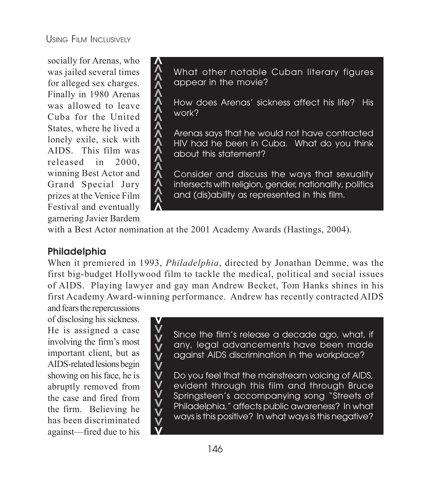socially for Arenas, who was jailed several times for alleged sex charges. Finally in 1980 Arenas was allowed to leave Cuba for the United States, where he lived a lonely exile, sick with AIDS. This film was released in 2000, winning Best Actor and Grand Special Jury prizes at the Venice Film Festival and eventually garnering Javier Bardem



with a Best Actor nomination at the 2001 Academy Awards (Hastings, 2004).

#### **Philadelphia**

When it premiered in 1993, *Philadelphia*, directed by Jonathan Demme, was the first big-budget Hollywood film to tackle the medical, political and social issues of AIDS. Playing lawyer and gay man Andrew Becket, Tom Hanks shines in his first Academy Award-winning performance. Andrew has recently contracted AIDS

and fears the repercussions of disclosing his sickness. He is assigned a case involving the firm's most important client, but as AIDS-related lesions begin showing on his face, he is abruptly removed from the case and fired from the firm. Believing he has been discriminated against—fired due to his



any, legal advancements have been made against AIDS discrimination in the workplace? Since the film's release a decade ago, what, if

evident through this film and through Bruce Springsteen's accompanying song "Streets of Philadelphia," affects public awareness? In what ways is this positive? In what ways is this negative? Do you feel that the mainstream voicing of AIDS,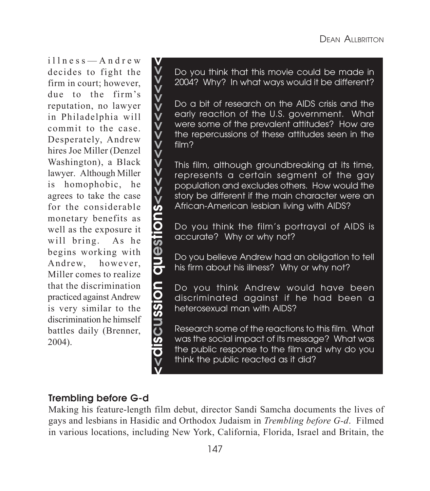illness—Andrew decides to fight the firm in court; however, due to the firm's reputation, no lawyer in Philadelphia will commit to the case. Desperately, Andrew hires Joe Miller (Denzel Washington), a Black lawyer. Although Miller is homophobic, he agrees to take the case for the considerable monetary benefits as well as the exposure it will bring. As he begins working with Andrew, however, Miller comes to realize that the discrimination practiced against Andrew is very similar to the discrimination he himself battles daily (Brenner, 2004).

Do you think that this movie could be made in 2004? Why? In what ways would it be different?

Do a bit of research on the AIDS crisis and the early reaction of the U.S. government. What were some of the prevalent attitudes? How are the repercussions of these attitudes seen in the film?

This film, although groundbreaking at its time, represents a certain segment of the gay population and excludes others. How would the story be different if the main character were an African-American lesbian living with AIDS?

Do you think the film's portrayal of AIDS is accurate? Why or why not?

Do you believe Andrew had an obligation to tell his firm about his illness? Why or why not?

Do you think Andrew would have been discriminated against if he had been a heterosexual man with AIDS?

Research some of the reactions to this film. What was the social impact of its message? What was the public response to the film and why do you think the public reacted as it did?

#### **Trembling before G-d**

**<**

cdiscussion

**<discussion questions<<<<<<<<<<<<<<<**

**<**

Making his feature-length film debut, director Sandi Samcha documents the lives of gays and lesbians in Hasidic and Orthodox Judaism in *Trembling before G-d*. Filmed in various locations, including New York, California, Florida, Israel and Britain, the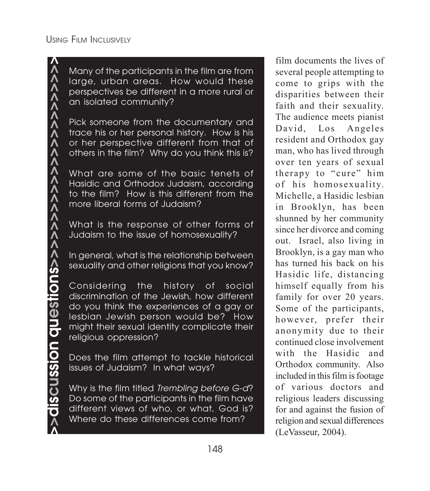Many of the participants in the film are from large, urban areas. How would these perspectives be different in a more rural or an isolated community?

Pick someone from the documentary and trace his or her personal history. How is his or her perspective different from that of others in the film? Why do you think this is?

What are some of the basic tenets of Hasidic and Orthodox Judaism, according to the film? How is this different from the more liberal forms of Judaism?

What is the response of other forms of Judaism to the issue of homosexuality?

In general, what is the relationship between sexuality and other religions that you know?

Considering the history of social discrimination of the Jewish, how different do you think the experiences of a gay or lesbian Jewish person would be? How might their sexual identity complicate their religious oppression?

Does the film attempt to tackle historical issues of Judaism? In what ways?

Why is the film titled Trembling before G-d? Do some of the participants in the film have different views of who, or what, God is? Where do these differences come from?

film documents the lives of several people attempting to come to grips with the disparities between their faith and their sexuality. The audience meets pianist David, Los Angeles resident and Orthodox gay man, who has lived through over ten years of sexual therapy to "cure" him of his homosexuality. Michelle, a Hasidic lesbian in Brooklyn, has been shunned by her community since her divorce and coming out. Israel, also living in Brooklyn, is a gay man who has turned his back on his Hasidic life, distancing himself equally from his family for over 20 years. Some of the participants, however, prefer their anonymity due to their continued close involvement with the Hasidic and Orthodox community. Also included in this film is footage of various doctors and religious leaders discussing for and against the fusion of religion and sexual differences (LeVasseur, 2004).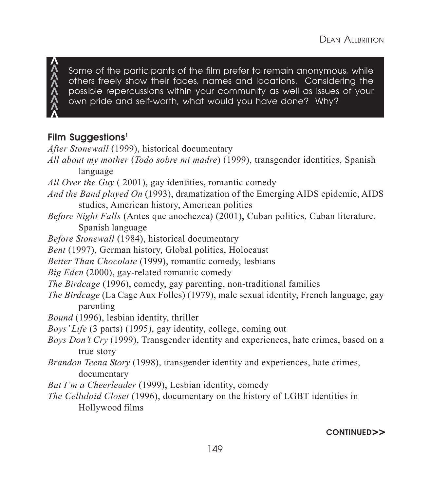Some of the participants of the film prefer to remain anonymous, while others freely show their faces, names and locations. Considering the possible repercussions within your community as well as issues of your own pride and self-worth, what would you have done? Why?

#### Film Suggestions<sup>1</sup>

**>>>>>>>>**

*After Stonewall* (1999), historical documentary *All about my mother* (*Todo sobre mi madre*) (1999), transgender identities, Spanish language *All Over the Guy* ( 2001), gay identities, romantic comedy *And the Band played On* (1993), dramatization of the Emerging AIDS epidemic, AIDS studies, American history, American politics *Before Night Falls* (Antes que anochezca) (2001), Cuban politics, Cuban literature, Spanish language *Before Stonewall* (1984), historical documentary *Bent* (1997), German history, Global politics, Holocaust *Better Than Chocolate* (1999), romantic comedy, lesbians *Big Eden* (2000), gay-related romantic comedy *The Birdcage* (1996), comedy, gay parenting, non-traditional families *The Birdcage* (La Cage Aux Folles) (1979), male sexual identity, French language, gay parenting *Bound* (1996), lesbian identity, thriller *Boys' Life* (3 parts) (1995), gay identity, college, coming out *Boys Don't Cry* (1999), Transgender identity and experiences, hate crimes, based on a true story *Brandon Teena Story* (1998), transgender identity and experiences, hate crimes, documentary *But I'm a Cheerleader* (1999), Lesbian identity, comedy *The Celluloid Closet* (1996), documentary on the history of LGBT identities in Hollywood films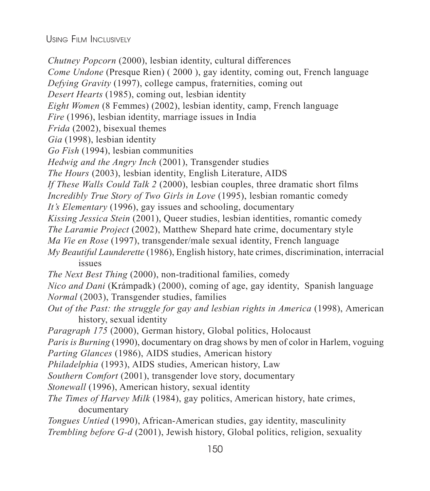USING FILM INCLUSIVELY

*Chutney Popcorn* (2000), lesbian identity, cultural differences *Come Undone* (Presque Rien) (2000), gay identity, coming out, French language *Defying Gravity* (1997), college campus, fraternities, coming out *Desert Hearts* (1985), coming out, lesbian identity *Eight Women* (8 Femmes) (2002), lesbian identity, camp, French language *Fire* (1996), lesbian identity, marriage issues in India *Frida* (2002), bisexual themes *Gia* (1998), lesbian identity *Go Fish* (1994), lesbian communities *Hedwig and the Angry Inch* (2001), Transgender studies *The Hours* (2003), lesbian identity, English Literature, AIDS *If These Walls Could Talk 2* (2000), lesbian couples, three dramatic short films *Incredibly True Story of Two Girls in Love* (1995), lesbian romantic comedy *It's Elementary* (1996), gay issues and schooling, documentary *Kissing Jessica Stein* (2001), Queer studies, lesbian identities, romantic comedy *The Laramie Project* (2002), Matthew Shepard hate crime, documentary style *Ma Vie en Rose* (1997), transgender/male sexual identity, French language *My Beautiful Launderette* (1986), English history, hate crimes, discrimination, interracial issues *The Next Best Thing* (2000), non-traditional families, comedy *Nico and Dani* (Krámpadk) (2000), coming of age, gay identity, Spanish language *Normal* (2003), Transgender studies, families *Out of the Past: the struggle for gay and lesbian rights in America* (1998), American history, sexual identity *Paragraph 175* (2000), German history, Global politics, Holocaust *Paris is Burning* (1990), documentary on drag shows by men of color in Harlem, voguing *Parting Glances* (1986), AIDS studies, American history *Philadelphia* (1993), AIDS studies, American history, Law *Southern Comfort* (2001), transgender love story, documentary *Stonewall* (1996), American history, sexual identity *The Times of Harvey Milk* (1984), gay politics, American history, hate crimes, documentary

*Tongues Untied* (1990), African-American studies, gay identity, masculinity *Trembling before G-d* (2001), Jewish history, Global politics, religion, sexuality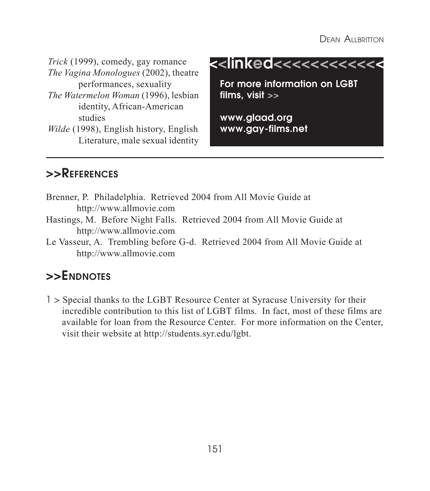*Trick* (1999), comedy, gay romance *The Vagina Monologues* (2002), theatre performances, sexuality *The Watermelon Woman* (1996), lesbian identity, African-American studies

*Wilde* (1998), English history, English Literature, male sexual identity

# **<<linked<<<<<<<<<<<<**

**For more information on LGBT films, visit >>**

**www.glaad.org www.gay-films.net**

# **>>REFERENCES**

- Brenner, P. Philadelphia. Retrieved 2004 from All Movie Guide at http://www.allmovie.com
- Hastings, M. Before Night Falls. Retrieved 2004 from All Movie Guide at http://www.allmovie.com
- Le Vasseur, A. Trembling before G-d. Retrieved 2004 from All Movie Guide at http://www.allmovie.com

# **>>ENDNOTES**

1 > Special thanks to the LGBT Resource Center at Syracuse University for their incredible contribution to this list of LGBT films. In fact, most of these films are available for loan from the Resource Center. For more information on the Center, visit their website at http://students.syr.edu/lgbt.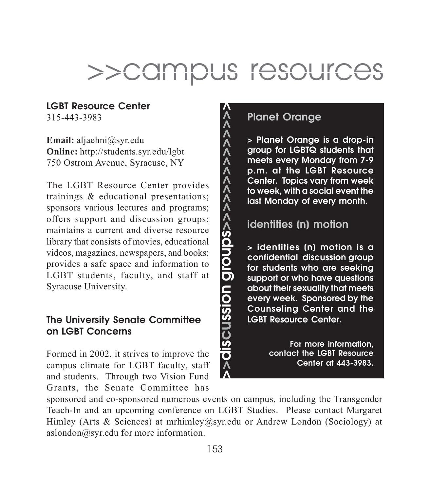# >>campus resources

**>**

**LGBT Resource Center**

315-443-3983

**Email:** aljaehni@syr.edu **Online:** http://students.syr.edu/lgbt 750 Ostrom Avenue, Syracuse, NY

The LGBT Resource Center provides trainings & educational presentations; sponsors various lectures and programs; offers support and discussion groups; maintains a current and diverse resource library that consists of movies, educational videos, magazines, newspapers, and books; provides a safe space and information to LGBT students, faculty, and staff at Syracuse University.

#### **The University Senate Committee on LGBT Concerns**

Formed in 2002, it strives to improve the campus climate for LGBT faculty, staff and students. Through two Vision Fund Grants, the Senate Committee has

# **Planet Orange**

**> Planet Orange is a drop-in group for LGBTQ students that meets every Monday from 7-9 p.m. at the LGBT Resource Center. Topics vary from week to week, with a social event the last Monday of every month.**

#### **identities [n] motion**

**> identities [n] motion is a confidential discussion group for students who are seeking support or who have questions about their sexuality that meets every week. Sponsored by the Counseling Center and the LGBT Resource Center.**

> **For more information, contact the LGBT Resource Center at 443-3983.**

sponsored and co-sponsored numerous events on campus, including the Transgender Teach-In and an upcoming conference on LGBT Studies. Please contact Margaret Himley (Arts & Sciences) at mrhimley@syr.edu or Andrew London (Sociology) at aslondon@syr.edu for more information.

**>**

**>discussion groups>>>>>>>>>>>>>**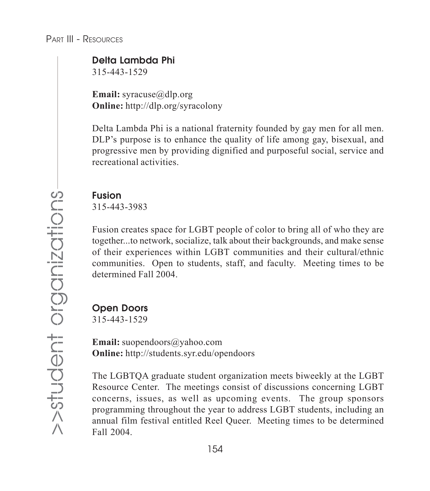# **Delta Lambda Phi**

315-443-1529

**Email:** syracuse@dlp.org **Online:** http://dlp.org/syracolony

Delta Lambda Phi is a national fraternity founded by gay men for all men. DLP's purpose is to enhance the quality of life among gay, bisexual, and progressive men by providing dignified and purposeful social, service and recreational activities.

# **Fusion**

315-443-3983

Fusion creates space for LGBT people of color to bring all of who they are together...to network, socialize, talk about their backgrounds, and make sense of their experiences within LGBT communities and their cultural/ethnic communities. Open to students, staff, and faculty. Meeting times to be determined Fall 2004.

**Open Doors**

315-443-1529

**Email:** suopendoors@yahoo.com **Online:** http://students.syr.edu/opendoors

The LGBTQA graduate student organization meets biweekly at the LGBT Resource Center. The meetings consist of discussions concerning LGBT concerns, issues, as well as upcoming events. The group sponsors programming throughout the year to address LGBT students, including an annual film festival entitled Reel Queer. Meeting times to be determined Fall 2004.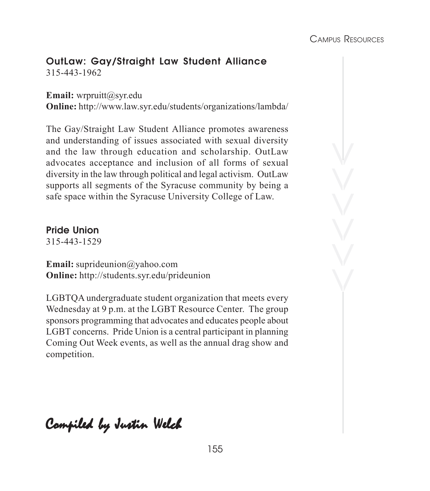#### **OutLaw: Gay/Straight Law Student Alliance** 315-443-1962

**Email:** wrpruitt@syr.edu

**Online:** http://www.law.syr.edu/students/organizations/lambda/

The Gay/Straight Law Student Alliance promotes awareness and understanding of issues associated with sexual diversity and the law through education and scholarship. OutLaw advocates acceptance and inclusion of all forms of sexual diversity in the law through political and legal activism. OutLaw supports all segments of the Syracuse community by being a safe space within the Syracuse University College of Law.

#### **Pride Union**

315-443-1529

**Email:** suprideunion@yahoo.com **Online:** http://students.syr.edu/prideunion

LGBTQA undergraduate student organization that meets every Wednesday at 9 p.m. at the LGBT Resource Center. The group sponsors programming that advocates and educates people about LGBT concerns. Pride Union is a central participant in planning Coming Out Week events, as well as the annual drag show and competition.

Compiled by Justin Welch

>>>>>>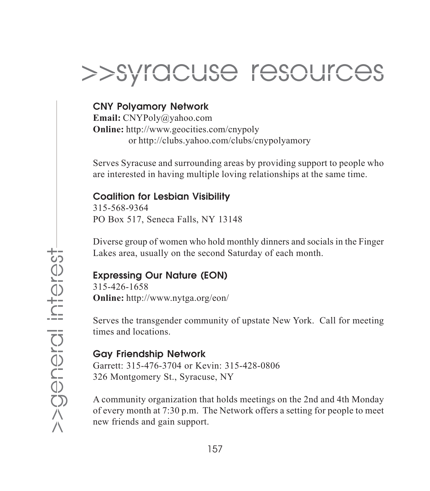# >>syracuse resources

**CNY Polyamory Network**

**Email:** CNYPoly@yahoo.com **Online:** http://www.geocities.com/cnypoly or http://clubs.yahoo.com/clubs/cnypolyamory

Serves Syracuse and surrounding areas by providing support to people who are interested in having multiple loving relationships at the same time.

#### **Coalition for Lesbian Visibility**

315-568-9364 PO Box 517, Seneca Falls, NY 13148

Diverse group of women who hold monthly dinners and socials in the Finger Lakes area, usually on the second Saturday of each month.

#### **Expressing Our Nature (EON)**

315-426-1658 **Online:** http://www.nytga.org/eon/

Serves the transgender community of upstate New York. Call for meeting times and locations.

#### **Gay Friendship Network**

Garrett: 315-476-3704 or Kevin: 315-428-0806 326 Montgomery St., Syracuse, NY

A community organization that holds meetings on the 2nd and 4th Monday of every month at 7:30 p.m. The Network offers a setting for people to meet new friends and gain support.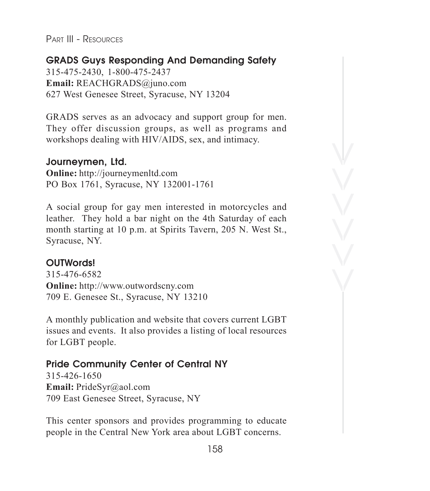#### **GRADS Guys Responding And Demanding Safety**

315-475-2430, 1-800-475-2437 **Email:** REACHGRADS@juno.com 627 West Genesee Street, Syracuse, NY 13204

GRADS serves as an advocacy and support group for men. They offer discussion groups, as well as programs and workshops dealing with HIV/AIDS, sex, and intimacy.

#### **Journeymen, Ltd.**

**Online:** http://journeymenltd.com PO Box 1761, Syracuse, NY 132001-1761

A social group for gay men interested in motorcycles and leather. They hold a bar night on the 4th Saturday of each month starting at 10 p.m. at Spirits Tavern, 205 N. West St., Syracuse, NY.

#### **OUTWords!**

315-476-6582 **Online:** http://www.outwordscny.com 709 E. Genesee St., Syracuse, NY 13210

A monthly publication and website that covers current LGBT issues and events. It also provides a listing of local resources for LGBT people.

#### **Pride Community Center of Central NY**

315-426-1650 **Email:** PrideSyr@aol.com 709 East Genesee Street, Syracuse, NY

This center sponsors and provides programming to educate people in the Central New York area about LGBT concerns.

>>>>>>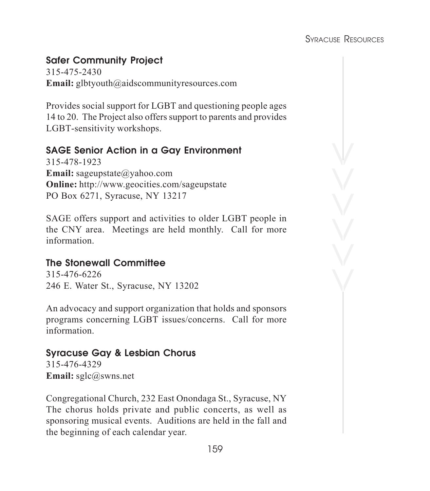#### SYRACUSE RESOURCES

>>>>>>

#### **Safer Community Project**

315-475-2430 **Email:** glbtyouth@aidscommunityresources.com

Provides social support for LGBT and questioning people ages 14 to 20. The Project also offers support to parents and provides LGBT-sensitivity workshops.

#### **SAGE Senior Action in a Gay Environment**

315-478-1923 **Email:** sageupstate@yahoo.com **Online:** http://www.geocities.com/sageupstate PO Box 6271, Syracuse, NY 13217

SAGE offers support and activities to older LGBT people in the CNY area. Meetings are held monthly. Call for more information.

#### **The Stonewall Committee**

315-476-6226 246 E. Water St., Syracuse, NY 13202

An advocacy and support organization that holds and sponsors programs concerning LGBT issues/concerns. Call for more information.

#### **Syracuse Gay & Lesbian Chorus**

315-476-4329 **Email:** sglc@swns.net

Congregational Church, 232 East Onondaga St., Syracuse, NY The chorus holds private and public concerts, as well as sponsoring musical events. Auditions are held in the fall and the beginning of each calendar year.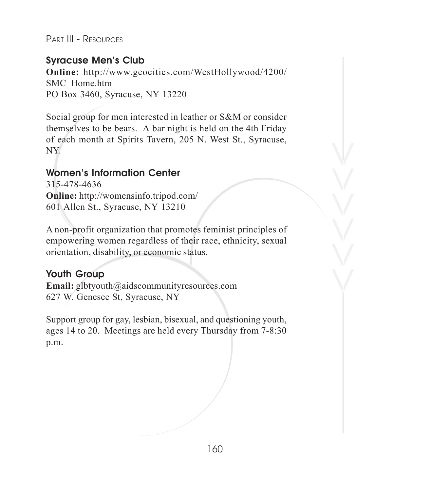#### **Syracuse Men's Club**

**Online:** http://www.geocities.com/WestHollywood/4200/ SMC\_Home.htm PO Box 3460, Syracuse, NY 13220

Social group for men interested in leather or S&M or consider themselves to be bears. A bar night is held on the 4th Friday of each month at Spirits Tavern, 205 N. West St., Syracuse, NY.

#### **Women's Information Center**

315-478-4636 **Online:** http://womensinfo.tripod.com/ 601 Allen St., Syracuse, NY 13210

A non-profit organization that promotes feminist principles of empowering women regardless of their race, ethnicity, sexual orientation, disability, or economic status.

#### **Youth Group**

**Email:** glbtyouth@aidscommunityresources.com 627 W. Genesee St, Syracuse, NY

Support group for gay, lesbian, bisexual, and questioning youth, ages 14 to 20. Meetings are held every Thursday from 7-8:30 p.m.

>>>>>>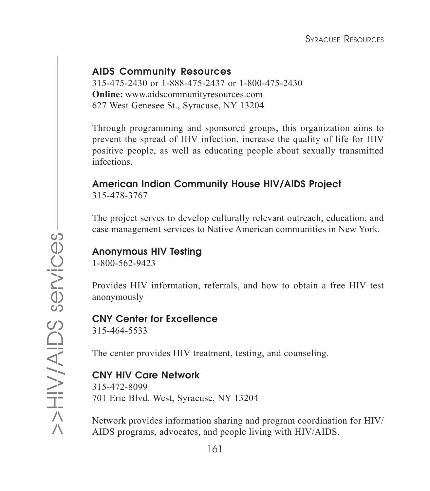#### **AIDS Community Resources**

315-475-2430 or 1-888-475-2437 or 1-800-475-2430 **Online:** www.aidscommunityresources.com 627 West Genesee St., Syracuse, NY 13204

Through programming and sponsored groups, this organization aims to prevent the spread of HIV infection, increase the quality of life for HIV positive people, as well as educating people about sexually transmitted infections.

# **American Indian Community House HIV/AIDS Project**

315-478-3767

The project serves to develop culturally relevant outreach, education, and case management services to Native American communities in New York.

#### **Anonymous HIV Testing**

1-800-562-9423

Provides HIV information, referrals, and how to obtain a free HIV test anonymously

# **CNY Center for Excellence**

315-464-5533

The center provides HIV treatment, testing, and counseling.

#### **CNY HIV Care Network**

315-472-8099 701 Erie Blvd. West, Syracuse, NY 13204

Network provides information sharing and program coordination for HIV/ AIDS programs, advocates, and people living with HIV/AIDS.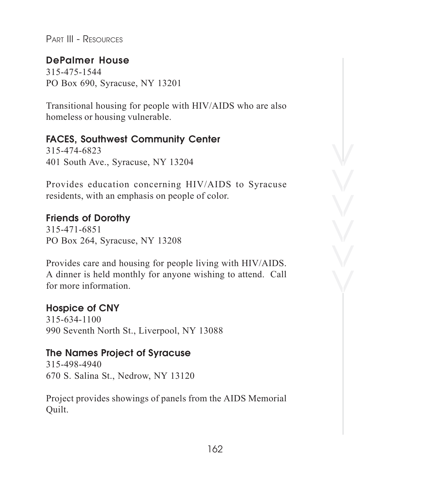#### **DePalmer House**

315-475-1544 PO Box 690, Syracuse, NY 13201

Transitional housing for people with HIV/AIDS who are also homeless or housing vulnerable.

#### **FACES, Southwest Community Center**

315-474-6823 401 South Ave., Syracuse, NY 13204

Provides education concerning HIV/AIDS to Syracuse residents, with an emphasis on people of color.

#### **Friends of Dorothy**

315-471-6851 PO Box 264, Syracuse, NY 13208

Provides care and housing for people living with HIV/AIDS. A dinner is held monthly for anyone wishing to attend. Call for more information.

#### **Hospice of CNY**

315-634-1100 990 Seventh North St., Liverpool, NY 13088

#### **The Names Project of Syracuse**

315-498-4940 670 S. Salina St., Nedrow, NY 13120

Project provides showings of panels from the AIDS Memorial Quilt.

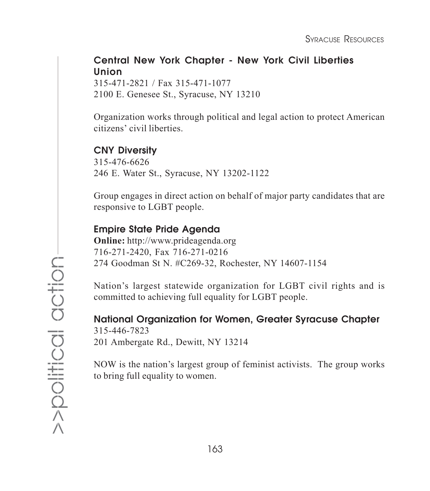#### **Central New York Chapter - New York Civil Liberties Union**

315-471-2821 / Fax 315-471-1077 2100 E. Genesee St., Syracuse, NY 13210

Organization works through political and legal action to protect American citizens' civil liberties.

**CNY Diversity** 315-476-6626 246 E. Water St., Syracuse, NY 13202-1122

Group engages in direct action on behalf of major party candidates that are responsive to LGBT people.

# **Empire State Pride Agenda**

**Online:** http://www.prideagenda.org 716-271-2420, Fax 716-271-0216 274 Goodman St N. #C269-32, Rochester, NY 14607-1154

Nation's largest statewide organization for LGBT civil rights and is committed to achieving full equality for LGBT people.

# **National Organization for Women, Greater Syracuse Chapter** 315-446-7823

201 Ambergate Rd., Dewitt, NY 13214

NOW is the nation's largest group of feminist activists. The group works to bring full equality to women.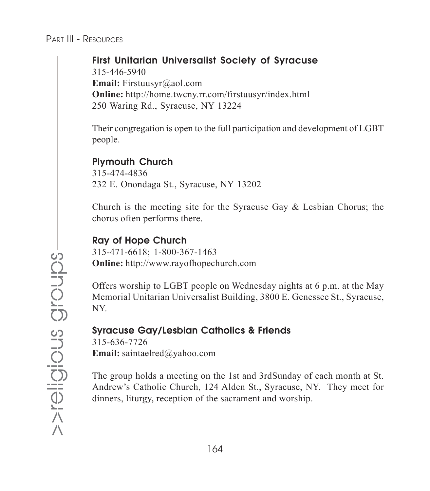#### **First Unitarian Universalist Society of Syracuse** 315-446-5940 **Email:** Firstuusyr@aol.com **Online:** http://home.twcny.rr.com/firstuusyr/index.html 250 Waring Rd., Syracuse, NY 13224

Their congregation is open to the full participation and development of LGBT people.

#### **Plymouth Church**

315-474-4836 232 E. Onondaga St., Syracuse, NY 13202

Church is the meeting site for the Syracuse Gay & Lesbian Chorus; the chorus often performs there.

#### **Ray of Hope Church** 315-471-6618; 1-800-367-1463 **Online:** http://www.rayofhopechurch.com

Offers worship to LGBT people on Wednesday nights at 6 p.m. at the May Memorial Unitarian Universalist Building, 3800 E. Genessee St., Syracuse, NY.

## **Syracuse Gay/Lesbian Catholics & Friends**

315-636-7726 **Email:** saintaelred@yahoo.com

The group holds a meeting on the 1st and 3rdSunday of each month at St. Andrew's Catholic Church, 124 Alden St., Syracuse, NY. They meet for dinners, liturgy, reception of the sacrament and worship.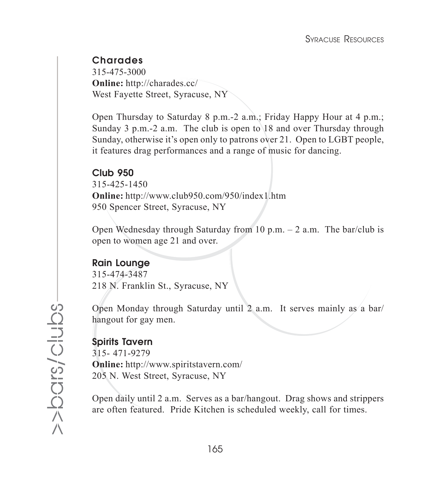# **Charades**

315-475-3000 **Online:** http://charades.cc/ West Fayette Street, Syracuse, NY

Open Thursday to Saturday 8 p.m.-2 a.m.; Friday Happy Hour at 4 p.m.; Sunday 3 p.m.-2 a.m. The club is open to 18 and over Thursday through Sunday, otherwise it's open only to patrons over 21. Open to LGBT people, it features drag performances and a range of music for dancing.

#### **Club 950**

315-425-1450 **Online:** http://www.club950.com/950/index1.htm 950 Spencer Street, Syracuse, NY

Open Wednesday through Saturday from 10 p.m. – 2 a.m. The bar/club is open to women age 21 and over.

#### **Rain Lounge**

315-474-3487 218 N. Franklin St., Syracuse, NY

Open Monday through Saturday until 2 a.m. It serves mainly as a bar/ hangout for gay men.

#### **Spirits Tavern** 315- 471-9279 **Online:** http://www.spiritstavern.com/ 205 N. West Street, Syracuse, NY

Open daily until 2 a.m. Serves as a bar/hangout. Drag shows and strippers are often featured. Pride Kitchen is scheduled weekly, call for times.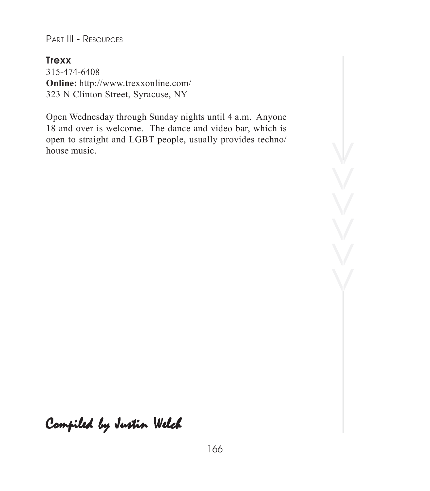**Trexx** 315-474-6408 **Online:** http://www.trexxonline.com/ 323 N Clinton Street, Syracuse, NY

Open Wednesday through Sunday nights until 4 a.m. Anyone 18 and over is welcome. The dance and video bar, which is open to straight and LGBT people, usually provides techno/ house music.

Compiled by Justin Welch

>>>>>>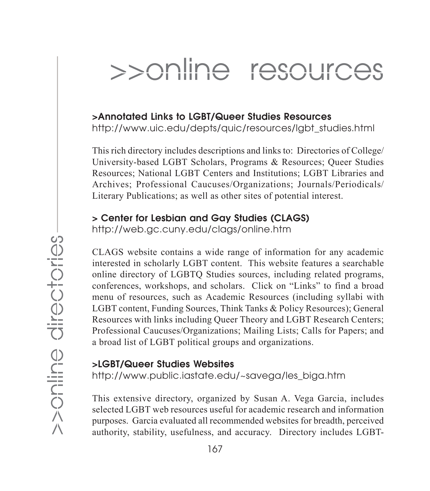# >>online resources

#### **>Annotated Links to LGBT/Queer Studies Resources**

http://www.uic.edu/depts/quic/resources/lgbt\_studies.html

This rich directory includes descriptions and links to: Directories of College/ University-based LGBT Scholars, Programs & Resources; Queer Studies Resources; National LGBT Centers and Institutions; LGBT Libraries and Archives; Professional Caucuses/Organizations; Journals/Periodicals/ Literary Publications; as well as other sites of potential interest.

#### **> Center for Lesbian and Gay Studies (CLAGS)**

http://web.gc.cuny.edu/clags/online.htm

CLAGS website contains a wide range of information for any academic interested in scholarly LGBT content. This website features a searchable online directory of LGBTQ Studies sources, including related programs, conferences, workshops, and scholars. Click on "Links" to find a broad menu of resources, such as Academic Resources (including syllabi with LGBT content, Funding Sources, Think Tanks & Policy Resources); General Resources with links including Queer Theory and LGBT Research Centers; Professional Caucuses/Organizations; Mailing Lists; Calls for Papers; and a broad list of LGBT political groups and organizations.

#### **>LGBT/Queer Studies Websites**

http://www.public.iastate.edu/~savega/les\_biga.htm

This extensive directory, organized by Susan A. Vega Garcia, includes selected LGBT web resources useful for academic research and information purposes. Garcia evaluated all recommended websites for breadth, perceived authority, stability, usefulness, and accuracy. Directory includes LGBT-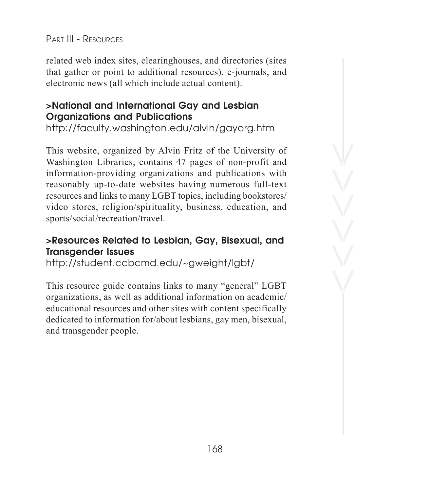related web index sites, clearinghouses, and directories (sites that gather or point to additional resources), e-journals, and electronic news (all which include actual content).

#### **>National and International Gay and Lesbian Organizations and Publications**

http://faculty.washington.edu/alvin/gayorg.htm

This website, organized by Alvin Fritz of the University of Washington Libraries, contains 47 pages of non-profit and information-providing organizations and publications with reasonably up-to-date websites having numerous full-text resources and links to many LGBT topics, including bookstores/ video stores, religion/spirituality, business, education, and sports/social/recreation/travel.

#### **>Resources Related to Lesbian, Gay, Bisexual, and Transgender Issues**

http://student.ccbcmd.edu/~gweight/lgbt/

This resource guide contains links to many "general" LGBT organizations, as well as additional information on academic/ educational resources and other sites with content specifically dedicated to information for/about lesbians, gay men, bisexual, and transgender people.

>>>>>>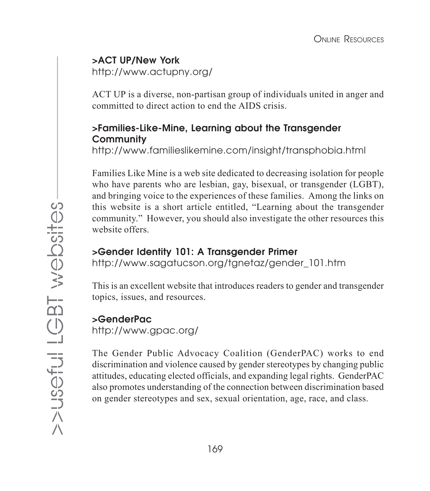**>ACT UP/New York** http://www.actupny.org/

ACT UP is a diverse, non-partisan group of individuals united in anger and committed to direct action to end the AIDS crisis.

#### **>Families-Like-Mine, Learning about the Transgender Community**

http://www.familieslikemine.com/insight/transphobia.html

Families Like Mine is a web site dedicated to decreasing isolation for people who have parents who are lesbian, gay, bisexual, or transgender (LGBT), and bringing voice to the experiences of these families. Among the links on this website is a short article entitled, "Learning about the transgender community." However, you should also investigate the other resources this website offers.

#### **>Gender Identity 101: A Transgender Primer**

http://www.sagatucson.org/tgnetaz/gender\_101.htm

This is an excellent website that introduces readers to gender and transgender topics, issues, and resources.

#### **>GenderPac**

http://www.gpac.org/

The Gender Public Advocacy Coalition (GenderPAC) works to end discrimination and violence caused by gender stereotypes by changing public attitudes, educating elected officials, and expanding legal rights. GenderPAC also promotes understanding of the connection between discrimination based on gender stereotypes and sex, sexual orientation, age, race, and class.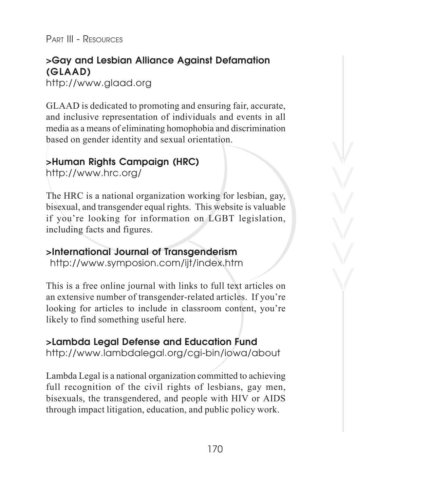#### **>Gay and Lesbian Alliance Against Defamation (GLAAD)**

http://www.glaad.org

GLAAD is dedicated to promoting and ensuring fair, accurate, and inclusive representation of individuals and events in all media as a means of eliminating homophobia and discrimination based on gender identity and sexual orientation.

#### **>Human Rights Campaign (HRC)**

http://www.hrc.org/

The HRC is a national organization working for lesbian, gay, bisexual, and transgender equal rights. This website is valuable if you're looking for information on LGBT legislation, including facts and figures.

# **>International Journal of Transgenderism**

http://www.symposion.com/ijt/index.htm

This is a free online journal with links to full text articles on an extensive number of transgender-related articles. If you're looking for articles to include in classroom content, you're likely to find something useful here.

## **>Lambda Legal Defense and Education Fund**

http://www.lambdalegal.org/cgi-bin/iowa/about

Lambda Legal is a national organization committed to achieving full recognition of the civil rights of lesbians, gay men, bisexuals, the transgendered, and people with HIV or AIDS through impact litigation, education, and public policy work.

>>>>>>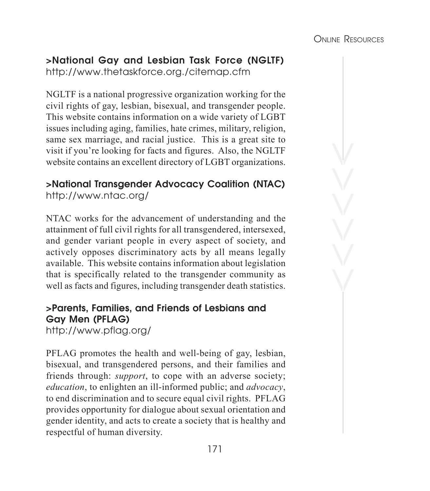#### **>National Gay and Lesbian Task Force (NGLTF)** http://www.thetaskforce.org./citemap.cfm

NGLTF is a national progressive organization working for the civil rights of gay, lesbian, bisexual, and transgender people. This website contains information on a wide variety of LGBT issues including aging, families, hate crimes, military, religion, same sex marriage, and racial justice. This is a great site to visit if you're looking for facts and figures. Also, the NGLTF website contains an excellent directory of LGBT organizations.

#### **>National Transgender Advocacy Coalition (NTAC)** http://www.ntac.org/

NTAC works for the advancement of understanding and the attainment of full civil rights for all transgendered, intersexed, and gender variant people in every aspect of society, and actively opposes discriminatory acts by all means legally available. This website contains information about legislation that is specifically related to the transgender community as well as facts and figures, including transgender death statistics.

#### **>Parents, Families, and Friends of Lesbians and Gay Men (PFLAG)**

http://www.pflag.org/

PFLAG promotes the health and well-being of gay, lesbian, bisexual, and transgendered persons, and their families and friends through: *support*, to cope with an adverse society; *education*, to enlighten an ill-informed public; and *advocacy*, to end discrimination and to secure equal civil rights. PFLAG provides opportunity for dialogue about sexual orientation and gender identity, and acts to create a society that is healthy and respectful of human diversity.

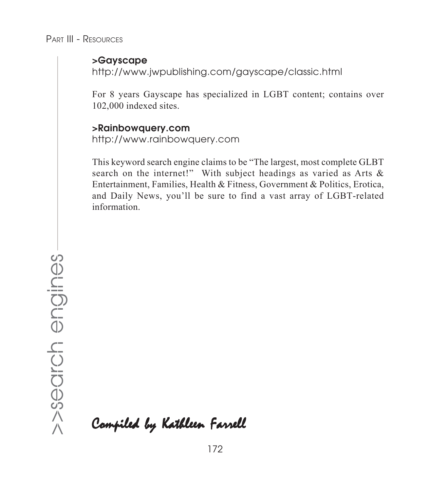### **>Gayscape**

http://www.jwpublishing.com/gayscape/classic.html

For 8 years Gayscape has specialized in LGBT content; contains over 102,000 indexed sites.

## **>Rainbowquery.com**

http://www.rainbowquery.com

This keyword search engine claims to be "The largest, most complete GLBT search on the internet!" With subject headings as varied as Arts & Entertainment, Families, Health & Fitness, Government & Politics, Erotica, and Daily News, you'll be sure to find a vast array of LGBT-related information.

Compiled by Kathleen Farrell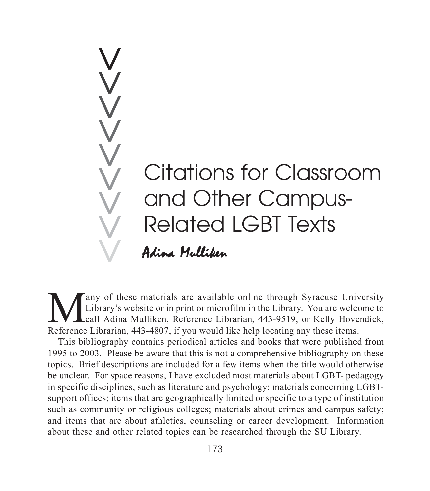## Citations for Classroom and Other Campus-Related LGBT Texts

## Adina Mulliken

 $\bigvee$ 

 $\bigvee$ 

 $\bigvee$ 

 $\bigvee$ 

 $\bigvee$ 

 $\bigvee$ 

 $\bigvee$ 

 $\bigvee$ 

 $\bigvee$ 

any of these materials are available online through Syracuse University Library's website or in print or microfilm in the Library. You are welcome to call Adina Mulliken, Reference Librarian, 443-9519, or Kelly Hovendick, Reference Librarian, 443-4807, if you would like help locating any these items.

This bibliography contains periodical articles and books that were published from 1995 to 2003. Please be aware that this is not a comprehensive bibliography on these topics. Brief descriptions are included for a few items when the title would otherwise be unclear. For space reasons, I have excluded most materials about LGBT- pedagogy in specific disciplines, such as literature and psychology; materials concerning LGBTsupport offices; items that are geographically limited or specific to a type of institution such as community or religious colleges; materials about crimes and campus safety; and items that are about athletics, counseling or career development. Information about these and other related topics can be researched through the SU Library.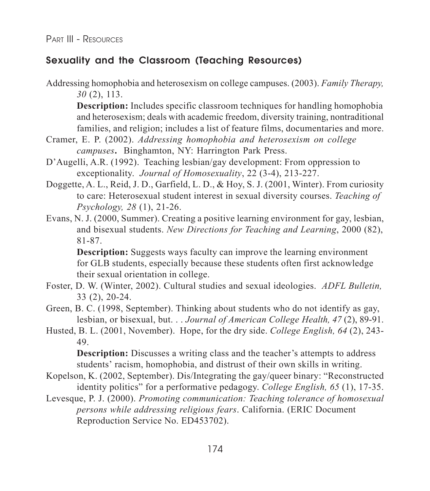## **Sexuality and the Classroom (Teaching Resources)**

Addressing homophobia and heterosexism on college campuses. (2003). *Family Therapy, 30* (2), 113.

**Description:** Includes specific classroom techniques for handling homophobia and heterosexism; deals with academic freedom, diversity training, nontraditional families, and religion; includes a list of feature films, documentaries and more.

- Cramer, E. P. (2002). *Addressing homophobia and heterosexism on college campuses***.** Binghamton, NY: Harrington Park Press.
- D'Augelli, A.R. (1992). Teaching lesbian/gay development: From oppression to exceptionality. *Journal of Homosexuality*, 22 (3-4), 213-227.
- Doggette, A. L., Reid, J. D., Garfield, L. D., & Hoy, S. J. (2001, Winter). From curiosity to care: Heterosexual student interest in sexual diversity courses. *Teaching of Psychology, 28* (1), 21-26.
- Evans, N. J. (2000, Summer). Creating a positive learning environment for gay, lesbian, and bisexual students. *New Directions for Teaching and Learning*, 2000 (82), 81-87.

**Description:** Suggests ways faculty can improve the learning environment for GLB students, especially because these students often first acknowledge their sexual orientation in college.

- Foster, D. W. (Winter, 2002). Cultural studies and sexual ideologies. *ADFL Bulletin,* 33 (2), 20-24.
- Green, B. C. (1998, September). Thinking about students who do not identify as gay, lesbian, or bisexual, but. . . *Journal of American College Health, 47* (2), 89-91.
- Husted, B. L. (2001, November). Hope, for the dry side. *College English, 64* (2), 243- 49.

**Description:** Discusses a writing class and the teacher's attempts to address students' racism, homophobia, and distrust of their own skills in writing.

- Kopelson, K. (2002, September). Dis/Integrating the gay/queer binary: "Reconstructed identity politics" for a performative pedagogy. *College English, 65* (1), 17-35.
- Levesque, P. J. (2000). *Promoting communication: Teaching tolerance of homosexual persons while addressing religious fears*. California. (ERIC Document Reproduction Service No. ED453702).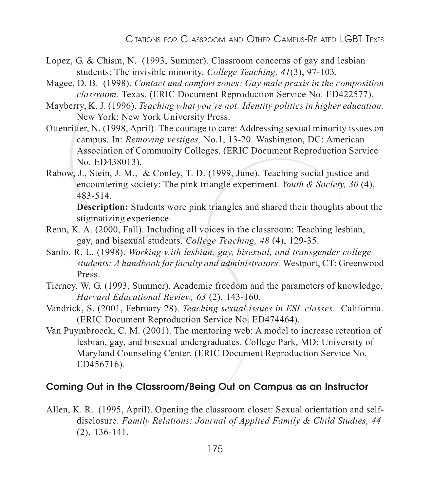CITATIONS FOR CLASSROOM AND OTHER CAMPUS-RELATED LGBT TEXTS

- Lopez, G. & Chism, N. (1993, Summer). Classroom concerns of gay and lesbian students: The invisible minority. *College Teaching, 41*(3), 97-103.
- Magee, D. B. (1998). *Contact and comfort zones: Gay male praxis in the composition classroom*. Texas. (ERIC Document Reproduction Service No. ED422577).
- Mayberry, K. J. (1996). *Teaching what you're not: Identity politics in higher education.* New York: New York University Press.
- Ottenritter, N. (1998, April). The courage to care: Addressing sexual minority issues on campus. In: *Removing vestiges,* No.1, 13-20. Washington, DC: American Association of Community Colleges. (ERIC Document Reproduction Service No. ED438013).
- Rabow, J., Stein, J. M., & Conley, T. D. (1999, June). Teaching social justice and encountering society: The pink triangle experiment. *Youth & Society, 30* (4), 483-514.

**Description:** Students wore pink triangles and shared their thoughts about the stigmatizing experience.

- Renn, K. A. (2000, Fall). Including all voices in the classroom: Teaching lesbian, gay, and bisexual students. *College Teaching, 48* (4), 129-35.
- Sanlo, R. L. (1998). *Working with lesbian, gay, bisexual, and transgender college students: A handbook for faculty and administrators.* Westport, CT: Greenwood Press.
- Tierney, W. G. (1993, Summer). Academic freedom and the parameters of knowledge. *Harvard Educational Review, 63* (2), 143-160.
- Vandrick, S. (2001, February 28). *Teaching sexual issues in ESL classes*. California. (ERIC Document Reproduction Service No. ED474464).
- Van Puymbroeck, C. M. (2001). The mentoring web: A model to increase retention of lesbian, gay, and bisexual undergraduates. College Park, MD: University of Maryland Counseling Center. (ERIC Document Reproduction Service No. ED456716).

## **Coming Out in the Classroom/Being Out on Campus as an Instructor**

Allen, K. R. (1995, April). Opening the classroom closet: Sexual orientation and selfdisclosure. *Family Relations: Journal of Applied Family & Child Studies, 44* (2), 136-141.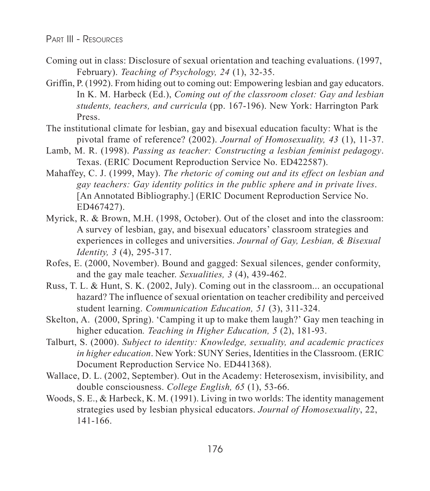- Coming out in class: Disclosure of sexual orientation and teaching evaluations. (1997, February). *Teaching of Psychology, 24* (1), 32-35.
- Griffin, P. (1992). From hiding out to coming out: Empowering lesbian and gay educators. In K. M. Harbeck (Ed.), *Coming out of the classroom closet: Gay and lesbian students, teachers, and curricula* (pp. 167-196). New York: Harrington Park Press.
- The institutional climate for lesbian, gay and bisexual education faculty: What is the pivotal frame of reference? (2002). *Journal of Homosexuality, 43* (1), 11-37.
- Lamb, M. R. (1998). *Passing as teacher: Constructing a lesbian feminist pedagogy*. Texas. (ERIC Document Reproduction Service No. ED422587).
- Mahaffey, C. J. (1999, May). *The rhetoric of coming out and its effect on lesbian and gay teachers: Gay identity politics in the public sphere and in private lives*. [An Annotated Bibliography.] (ERIC Document Reproduction Service No. ED467427).
- Myrick, R. & Brown, M.H. (1998, October). Out of the closet and into the classroom: A survey of lesbian, gay, and bisexual educators' classroom strategies and experiences in colleges and universities. *Journal of Gay, Lesbian, & Bisexual Identity, 3* (4), 295-317.
- Rofes, E. (2000, November). Bound and gagged: Sexual silences, gender conformity, and the gay male teacher. *Sexualities, 3* (4), 439-462.
- Russ, T. L. & Hunt, S. K. (2002, July). Coming out in the classroom... an occupational hazard? The influence of sexual orientation on teacher credibility and perceived student learning. *Communication Education, 51* (3), 311-324.
- Skelton, A. (2000, Spring). 'Camping it up to make them laugh?' Gay men teaching in higher education*. Teaching in Higher Education, 5* (2), 181-93.
- Talburt, S. (2000). *Subject to identity: Knowledge, sexuality, and academic practices in higher education*. New York: SUNY Series, Identities in the Classroom. (ERIC Document Reproduction Service No. ED441368).
- Wallace, D. L. (2002, September). Out in the Academy: Heterosexism, invisibility, and double consciousness. *College English, 65* (1), 53-66.
- Woods, S. E., & Harbeck, K. M. (1991). Living in two worlds: The identity management strategies used by lesbian physical educators. *Journal of Homosexuality*, 22, 141-166.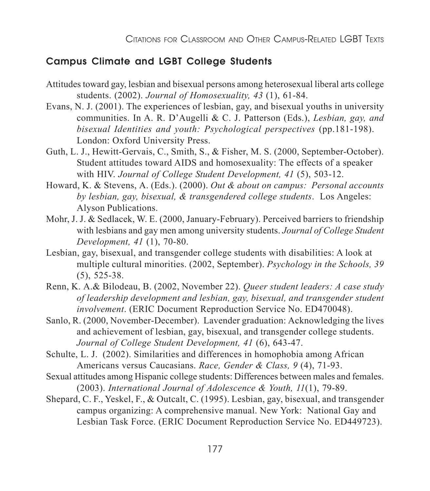## **Campus Climate and LGBT College Students**

- Attitudes toward gay, lesbian and bisexual persons among heterosexual liberal arts college students. (2002). *Journal of Homosexuality, 43* (1), 61-84.
- Evans, N. J. (2001). The experiences of lesbian, gay, and bisexual youths in university communities. In A. R. D'Augelli & C. J. Patterson (Eds.), *Lesbian, gay, and bisexual Identities and youth: Psychological perspectives* (pp.181-198). London: Oxford University Press.
- Guth, L. J., Hewitt-Gervais, C., Smith, S., & Fisher, M. S. (2000, September-October). Student attitudes toward AIDS and homosexuality: The effects of a speaker with HIV. *Journal of College Student Development, 41* (5), 503-12.
- Howard, K. & Stevens, A. (Eds.). (2000). *Out & about on campus: Personal accounts by lesbian, gay, bisexual, & transgendered college students*. Los Angeles: Alyson Publications.
- Mohr, J. J. & Sedlacek, W. E. (2000, January-February). Perceived barriers to friendship with lesbians and gay men among university students. *Journal of College Student Development, 41* (1), 70-80.
- Lesbian, gay, bisexual, and transgender college students with disabilities: A look at multiple cultural minorities. (2002, September). *Psychology in the Schools, 39* (5), 525-38.
- Renn, K. A.& Bilodeau, B. (2002, November 22). *Queer student leaders: A case study of leadership development and lesbian, gay, bisexual, and transgender student involvement*. (ERIC Document Reproduction Service No. ED470048).
- Sanlo, R. (2000, November-December). Lavender graduation: Acknowledging the lives and achievement of lesbian, gay, bisexual, and transgender college students. *Journal of College Student Development, 41* (6), 643-47.
- Schulte, L. J. (2002). Similarities and differences in homophobia among African Americans versus Caucasians. *Race, Gender & Class, 9* (4), 71-93.
- Sexual attitudes among Hispanic college students: Differences between males and females. (2003). *International Journal of Adolescence & Youth, 11*(1), 79-89.
- Shepard, C. F., Yeskel, F., & Outcalt, C. (1995). Lesbian, gay, bisexual, and transgender campus organizing: A comprehensive manual. New York: National Gay and Lesbian Task Force. (ERIC Document Reproduction Service No. ED449723).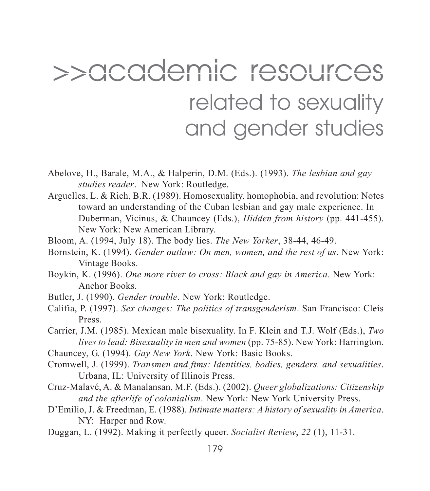## >>academic resources related to sexuality and gender studies

- Abelove, H., Barale, M.A., & Halperin, D.M. (Eds.). (1993). *The lesbian and gay studies reader*. New York: Routledge.
- Arguelles, L. & Rich, B.R. (1989). Homosexuality, homophobia, and revolution: Notes toward an understanding of the Cuban lesbian and gay male experience. In Duberman, Vicinus, & Chauncey (Eds.), *Hidden from history* (pp. 441-455). New York: New American Library.
- Bloom, A. (1994, July 18). The body lies. *The New Yorker*, 38-44, 46-49.
- Bornstein, K. (1994). *Gender outlaw: On men, women, and the rest of us*. New York: Vintage Books.
- Boykin, K. (1996). *One more river to cross: Black and gay in America*. New York: Anchor Books.
- Butler, J. (1990). *Gender trouble*. New York: Routledge.
- Califia, P. (1997). *Sex changes: The politics of transgenderism*. San Francisco: Cleis Press.
- Carrier, J.M. (1985). Mexican male bisexuality. In F. Klein and T.J. Wolf (Eds.), *Two lives to lead: Bisexuality in men and women* (pp. 75-85). New York: Harrington.
- Chauncey, G. (1994). *Gay New York*. New York: Basic Books.
- Cromwell, J. (1999). *Transmen and ftms: Identities, bodies, genders, and sexualities*. Urbana, IL: University of Illinois Press.
- Cruz-Malavé, A. & Manalansan, M.F. (Eds.). (2002). *Queer globalizations: Citizenship and the afterlife of colonialism*. New York: New York University Press.
- D'Emilio, J. & Freedman, E. (1988). *Intimate matters: A history of sexuality in America*. NY: Harper and Row.
- Duggan, L. (1992). Making it perfectly queer. *Socialist Review*, *22* (1), 11-31.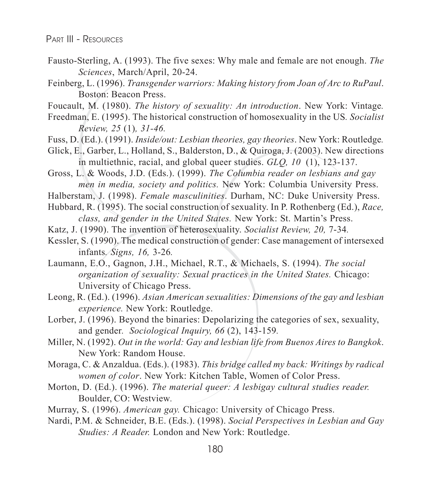PART III - RESOURCES

- Fausto-Sterling, A. (1993). The five sexes: Why male and female are not enough. *The Sciences*, March/April, 20-24.
- Feinberg, L. (1996). *Transgender warriors: Making history from Joan of Arc to RuPaul*. Boston: Beacon Press.
- Foucault, M. (1980). *The history of sexuality: An introduction*. New York: Vintage*.*
- Freedman, E. (1995). The historical construction of homosexuality in the US*. Socialist Review, 25* (1)*, 31-46.*
- Fuss, D. (Ed.). (1991). *Inside/out: Lesbian theories, gay theories*. New York: Routledge*.*
- Glick, E., Garber, L., Holland, S., Balderston, D., & Quiroga, J. (2003). New directions in multiethnic, racial, and global queer studies. *GLQ, 10* (1), 123-137.
- Gross, L. & Woods, J.D. (Eds.). (1999). *The Columbia reader on lesbians and gay men in media, society and politics.* New York: Columbia University Press.
- Halberstam, J. (1998). *Female masculinities*. Durham, NC: Duke University Press.
- Hubbard, R. (1995). The social construction of sexuality. In P. Rothenberg (Ed.), *Race, class, and gender in the United States.* New York: St. Martin's Press.
- Katz, J. (1990). The invention of heterosexuality. *Socialist Review, 20,* 7-34*.*
- Kessler, S. (1990). The medical construction of gender: Case management of intersexed infants*. Signs, 16,* 3-26*.*
- Laumann, E.O., Gagnon, J.H., Michael, R.T., & Michaels, S. (1994). *The social organization of sexuality: Sexual practices in the United States.* Chicago: University of Chicago Press.
- Leong, R. (Ed.). (1996). *Asian American sexualities: Dimensions of the gay and lesbian experience.* New York: Routledge.
- Lorber, J. (1996). Beyond the binaries: Depolarizing the categories of sex, sexuality, and gender*. Sociological Inquiry, 66* (2), 143-159*.*
- Miller, N. (1992). *Out in the world: Gay and lesbian life from Buenos Aires to Bangkok*. New York: Random House.
- Moraga, C. & Anzaldua. (Eds.). (1983). *This bridge called my back: Writings by radical women of color*. New York: Kitchen Table, Women of Color Press.
- Morton, D. (Ed.). (1996). *The material queer: A lesbigay cultural studies reader.* Boulder, CO: Westview*.*
- Murray, S. (1996). *American gay.* Chicago: University of Chicago Press.
- Nardi, P.M. & Schneider, B.E. (Eds.). (1998). *Social Perspectives in Lesbian and Gay Studies: A Reader.* London and New York: Routledge.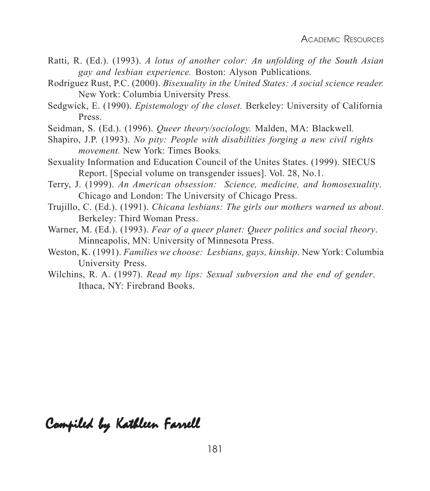- Ratti, R. (Ed.). (1993). *A lotus of another color: An unfolding of the South Asian gay and lesbian experience.* Boston: Alyson Publications*.*
- Rodriguez Rust, P.C. (2000). *Bisexuality in the United States: A social science reader.* New York: Columbia University Press*.*
- Sedgwick, E. (1990). *Epistemology of the closet.* Berkeley: University of California Press.
- Seidman, S. (Ed.). (1996). *Queer theory/sociology.* Malden, MA: Blackwell*.*
- Shapiro, J.P. (1993). *No pity: People with disabilities forging a new civil rights movement.* New York: Times Books*.*
- Sexuality Information and Education Council of the Unites States. (1999). SIECUS Report. [Special volume on transgender issues]. Vol. 28, No.1.
- Terry, J. (1999). *An American obsession: Science, medicine, and homosexuality*. Chicago and London: The University of Chicago Press.
- Trujillo, C. (Ed.). (1991). *Chicana lesbians: The girls our mothers warned us about*. Berkeley: Third Woman Press.
- Warner, M. (Ed.). (1993). *Fear of a queer planet: Queer politics and social theory*. Minneapolis, MN: University of Minnesota Press.
- Weston, K. (1991). *Families we choose: Lesbians, gays, kinship*. New York: Columbia University Press.
- Wilchins, R. A. (1997). *Read my lips: Sexual subversion and the end of gender*. Ithaca, NY: Firebrand Books.

## Compiled by Kathleen Farrell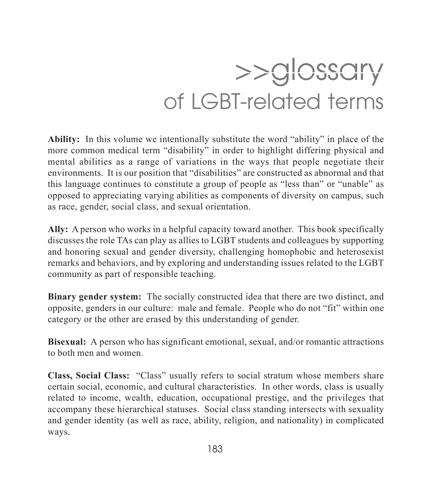# >>glossary of LGBT-related terms

**Ability:** In this volume we intentionally substitute the word "ability" in place of the more common medical term "disability" in order to highlight differing physical and mental abilities as a range of variations in the ways that people negotiate their environments. It is our position that "disabilities" are constructed as abnormal and that this language continues to constitute a group of people as "less than" or "unable" as opposed to appreciating varying abilities as components of diversity on campus, such as race, gender, social class, and sexual orientation.

**Ally:** A person who works in a helpful capacity toward another. This book specifically discusses the role TAs can play as allies to LGBT students and colleagues by supporting and honoring sexual and gender diversity, challenging homophobic and heterosexist remarks and behaviors, and by exploring and understanding issues related to the LGBT community as part of responsible teaching.

**Binary gender system:** The socially constructed idea that there are two distinct, and opposite, genders in our culture: male and female. People who do not "fit" within one category or the other are erased by this understanding of gender.

**Bisexual:** A person who has significant emotional, sexual, and/or romantic attractions to both men and women.

**Class, Social Class:** "Class" usually refers to social stratum whose members share certain social, economic, and cultural characteristics. In other words, class is usually related to income, wealth, education, occupational prestige, and the privileges that accompany these hierarchical statuses. Social class standing intersects with sexuality and gender identity (as well as race, ability, religion, and nationality) in complicated ways.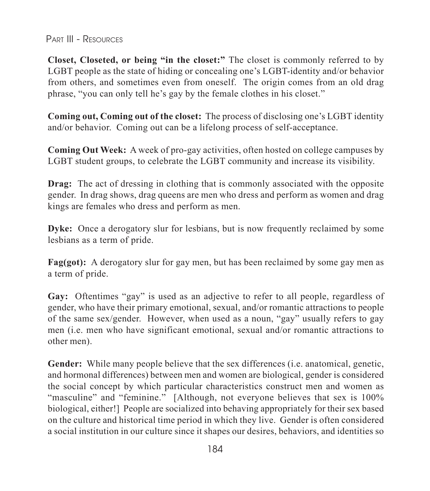**Closet, Closeted, or being "in the closet:"** The closet is commonly referred to by LGBT people as the state of hiding or concealing one's LGBT-identity and/or behavior from others, and sometimes even from oneself. The origin comes from an old drag phrase, "you can only tell he's gay by the female clothes in his closet."

**Coming out, Coming out of the closet:** The process of disclosing one's LGBT identity and/or behavior. Coming out can be a lifelong process of self-acceptance.

**Coming Out Week:** A week of pro-gay activities, often hosted on college campuses by LGBT student groups, to celebrate the LGBT community and increase its visibility.

**Drag:** The act of dressing in clothing that is commonly associated with the opposite gender. In drag shows, drag queens are men who dress and perform as women and drag kings are females who dress and perform as men.

**Dyke:** Once a derogatory slur for lesbians, but is now frequently reclaimed by some lesbians as a term of pride.

**Fag(got):** A derogatory slur for gay men, but has been reclaimed by some gay men as a term of pride.

**Gay:** Oftentimes "gay" is used as an adjective to refer to all people, regardless of gender, who have their primary emotional, sexual, and/or romantic attractions to people of the same sex/gender. However, when used as a noun, "gay" usually refers to gay men (i.e. men who have significant emotional, sexual and/or romantic attractions to other men).

Gender: While many people believe that the sex differences (i.e. anatomical, genetic, and hormonal differences) between men and women are biological, gender is considered the social concept by which particular characteristics construct men and women as "masculine" and "feminine." [Although, not everyone believes that sex is 100% biological, either!] People are socialized into behaving appropriately for their sex based on the culture and historical time period in which they live. Gender is often considered a social institution in our culture since it shapes our desires, behaviors, and identities so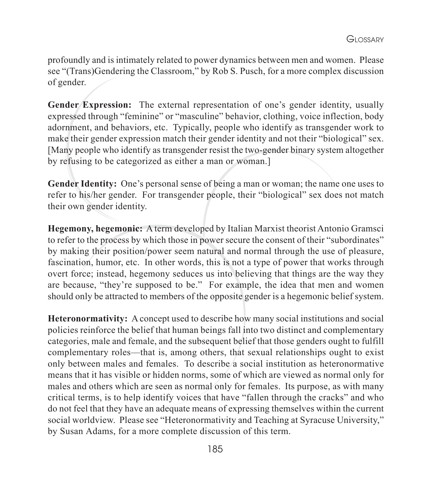profoundly and is intimately related to power dynamics between men and women. Please see "(Trans)Gendering the Classroom," by Rob S. Pusch, for a more complex discussion of gender.

Gender Expression: The external representation of one's gender identity, usually expressed through "feminine" or "masculine" behavior, clothing, voice inflection, body adornment, and behaviors, etc. Typically, people who identify as transgender work to make their gender expression match their gender identity and not their "biological" sex. [Many people who identify as transgender resist the two-gender binary system altogether by refusing to be categorized as either a man or woman.]

**Gender Identity:** One's personal sense of being a man or woman; the name one uses to refer to his/her gender. For transgender people, their "biological" sex does not match their own gender identity.

**Hegemony, hegemonic:** A term developed by Italian Marxist theorist Antonio Gramsci to refer to the process by which those in power secure the consent of their "subordinates" by making their position/power seem natural and normal through the use of pleasure, fascination, humor, etc. In other words, this is not a type of power that works through overt force; instead, hegemony seduces us into believing that things are the way they are because, "they're supposed to be." For example, the idea that men and women should only be attracted to members of the opposite gender is a hegemonic belief system.

**Heteronormativity:** A concept used to describe how many social institutions and social policies reinforce the belief that human beings fall into two distinct and complementary categories, male and female, and the subsequent belief that those genders ought to fulfill complementary roles—that is, among others, that sexual relationships ought to exist only between males and females. To describe a social institution as heteronormative means that it has visible or hidden norms, some of which are viewed as normal only for males and others which are seen as normal only for females. Its purpose, as with many critical terms, is to help identify voices that have "fallen through the cracks" and who do not feel that they have an adequate means of expressing themselves within the current social worldview. Please see "Heteronormativity and Teaching at Syracuse University," by Susan Adams, for a more complete discussion of this term.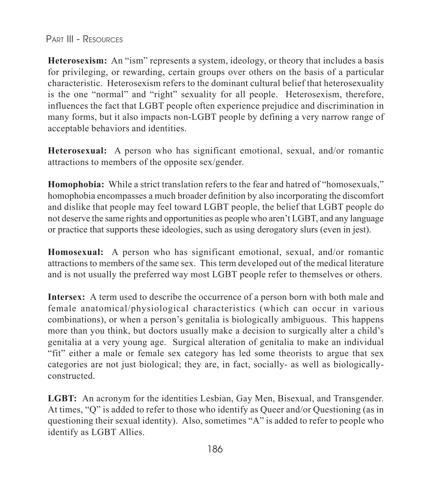**Heterosexism:** An "ism" represents a system, ideology, or theory that includes a basis for privileging, or rewarding, certain groups over others on the basis of a particular characteristic. Heterosexism refers to the dominant cultural belief that heterosexuality is the one "normal" and "right" sexuality for all people. Heterosexism, therefore, influences the fact that LGBT people often experience prejudice and discrimination in many forms, but it also impacts non-LGBT people by defining a very narrow range of acceptable behaviors and identities.

**Heterosexual:** A person who has significant emotional, sexual, and/or romantic attractions to members of the opposite sex/gender.

**Homophobia:** While a strict translation refers to the fear and hatred of "homosexuals," homophobia encompasses a much broader definition by also incorporating the discomfort and dislike that people may feel toward LGBT people, the belief that LGBT people do not deserve the same rights and opportunities as people who aren't LGBT, and any language or practice that supports these ideologies, such as using derogatory slurs (even in jest).

**Homosexual:** A person who has significant emotional, sexual, and/or romantic attractions to members of the same sex. This term developed out of the medical literature and is not usually the preferred way most LGBT people refer to themselves or others.

**Intersex:** A term used to describe the occurrence of a person born with both male and female anatomical/physiological characteristics (which can occur in various combinations), or when a person's genitalia is biologically ambiguous. This happens more than you think, but doctors usually make a decision to surgically alter a child's genitalia at a very young age. Surgical alteration of genitalia to make an individual "fit" either a male or female sex category has led some theorists to argue that sex categories are not just biological; they are, in fact, socially- as well as biologicallyconstructed.

**LGBT:** An acronym for the identities Lesbian, Gay Men, Bisexual, and Transgender. At times, "Q" is added to refer to those who identify as Queer and/or Questioning (as in questioning their sexual identity). Also, sometimes "A" is added to refer to people who identify as LGBT Allies.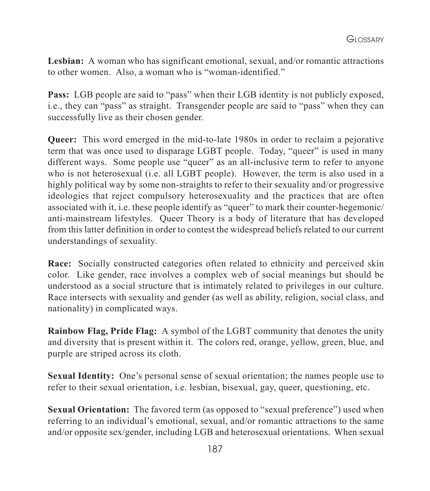**Lesbian:** A woman who has significant emotional, sexual, and/or romantic attractions to other women. Also, a woman who is "woman-identified."

**Pass:** LGB people are said to "pass" when their LGB identity is not publicly exposed, i.e., they can "pass" as straight. Transgender people are said to "pass" when they can successfully live as their chosen gender.

**Queer:** This word emerged in the mid-to-late 1980s in order to reclaim a pejorative term that was once used to disparage LGBT people. Today, "queer" is used in many different ways. Some people use "queer" as an all-inclusive term to refer to anyone who is not heterosexual (i.e. all LGBT people). However, the term is also used in a highly political way by some non-straights to refer to their sexuality and/or progressive ideologies that reject compulsory heterosexuality and the practices that are often associated with it, i.e. these people identify as "queer" to mark their counter-hegemonic/ anti-mainstream lifestyles. Queer Theory is a body of literature that has developed from this latter definition in order to contest the widespread beliefs related to our current understandings of sexuality.

**Race:** Socially constructed categories often related to ethnicity and perceived skin color. Like gender, race involves a complex web of social meanings but should be understood as a social structure that is intimately related to privileges in our culture. Race intersects with sexuality and gender (as well as ability, religion, social class, and nationality) in complicated ways.

**Rainbow Flag, Pride Flag:** A symbol of the LGBT community that denotes the unity and diversity that is present within it. The colors red, orange, yellow, green, blue, and purple are striped across its cloth.

**Sexual Identity:** One's personal sense of sexual orientation; the names people use to refer to their sexual orientation, i.e. lesbian, bisexual, gay, queer, questioning, etc.

**Sexual Orientation:** The favored term (as opposed to "sexual preference") used when referring to an individual's emotional, sexual, and/or romantic attractions to the same and/or opposite sex/gender, including LGB and heterosexual orientations. When sexual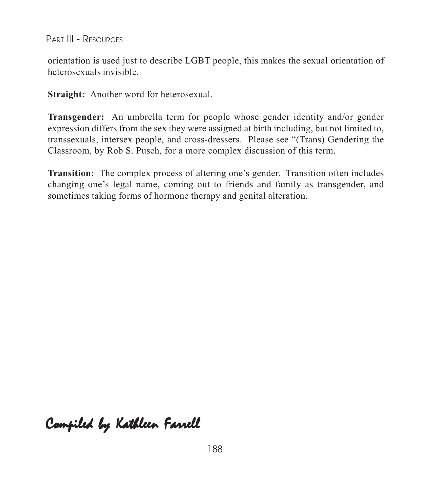orientation is used just to describe LGBT people, this makes the sexual orientation of heterosexuals invisible.

**Straight:** Another word for heterosexual.

**Transgender:** An umbrella term for people whose gender identity and/or gender expression differs from the sex they were assigned at birth including, but not limited to, transsexuals, intersex people, and cross-dressers. Please see "(Trans) Gendering the Classroom, by Rob S. Pusch, for a more complex discussion of this term.

**Transition:** The complex process of altering one's gender. Transition often includes changing one's legal name, coming out to friends and family as transgender, and sometimes taking forms of hormone therapy and genital alteration.

## Compiled by Kathleen Farrell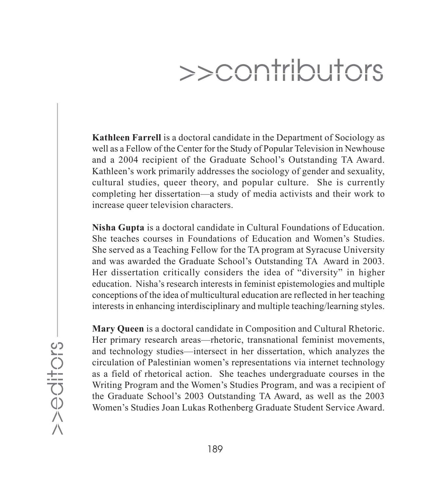# >>contributors

**Kathleen Farrell** is a doctoral candidate in the Department of Sociology as well as a Fellow of the Center for the Study of Popular Television in Newhouse and a 2004 recipient of the Graduate School's Outstanding TA Award. Kathleen's work primarily addresses the sociology of gender and sexuality, cultural studies, queer theory, and popular culture. She is currently completing her dissertation—a study of media activists and their work to increase queer television characters.

**Nisha Gupta** is a doctoral candidate in Cultural Foundations of Education. She teaches courses in Foundations of Education and Women's Studies. She served as a Teaching Fellow for the TA program at Syracuse University and was awarded the Graduate School's Outstanding TA Award in 2003. Her dissertation critically considers the idea of "diversity" in higher education. Nisha's research interests in feminist epistemologies and multiple conceptions of the idea of multicultural education are reflected in her teaching interests in enhancing interdisciplinary and multiple teaching/learning styles.

**Mary Queen** is a doctoral candidate in Composition and Cultural Rhetoric. Her primary research areas—rhetoric, transnational feminist movements, and technology studies—intersect in her dissertation, which analyzes the circulation of Palestinian women's representations via internet technology as a field of rhetorical action. She teaches undergraduate courses in the Writing Program and the Women's Studies Program, and was a recipient of the Graduate School's 2003 Outstanding TA Award, as well as the 2003 Women's Studies Joan Lukas Rothenberg Graduate Student Service Award.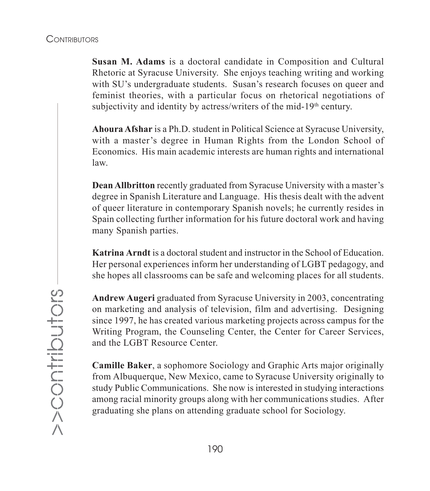**Susan M. Adams** is a doctoral candidate in Composition and Cultural Rhetoric at Syracuse University. She enjoys teaching writing and working with SU's undergraduate students. Susan's research focuses on queer and feminist theories, with a particular focus on rhetorical negotiations of subjectivity and identity by actress/writers of the mid-19<sup>th</sup> century.

**Ahoura Afshar** is a Ph.D. student in Political Science at Syracuse University, with a master's degree in Human Rights from the London School of Economics. His main academic interests are human rights and international law.

**Dean Allbritton** recently graduated from Syracuse University with a master's degree in Spanish Literature and Language. His thesis dealt with the advent of queer literature in contemporary Spanish novels; he currently resides in Spain collecting further information for his future doctoral work and having many Spanish parties.

**Katrina Arndt** is a doctoral student and instructor in the School of Education. Her personal experiences inform her understanding of LGBT pedagogy, and she hopes all classrooms can be safe and welcoming places for all students.

**Andrew Augeri** graduated from Syracuse University in 2003, concentrating on marketing and analysis of television, film and advertising. Designing since 1997, he has created various marketing projects across campus for the Writing Program, the Counseling Center, the Center for Career Services, and the LGBT Resource Center.

**Camille Baker**, a sophomore Sociology and Graphic Arts major originally from Albuquerque, New Mexico, came to Syracuse University originally to study Public Communications. She now is interested in studying interactions among racial minority groups along with her communications studies. After graduating she plans on attending graduate school for Sociology.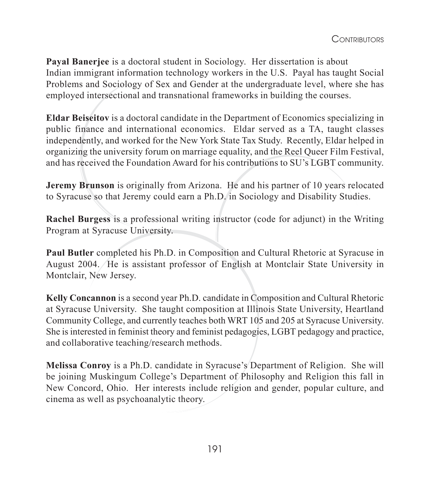**Payal Banerjee** is a doctoral student in Sociology. Her dissertation is about Indian immigrant information technology workers in the U.S. Payal has taught Social Problems and Sociology of Sex and Gender at the undergraduate level, where she has employed intersectional and transnational frameworks in building the courses.

**Eldar Beiseitov** is a doctoral candidate in the Department of Economics specializing in public finance and international economics. Eldar served as a TA, taught classes independently, and worked for the New York State Tax Study. Recently, Eldar helped in organizing the university forum on marriage equality, and the Reel Queer Film Festival, and has received the Foundation Award for his contributions to SU's LGBT community.

**Jeremy Brunson** is originally from Arizona. He and his partner of 10 years relocated to Syracuse so that Jeremy could earn a Ph.D. in Sociology and Disability Studies.

**Rachel Burgess** is a professional writing instructor (code for adjunct) in the Writing Program at Syracuse University.

**Paul Butler** completed his Ph.D. in Composition and Cultural Rhetoric at Syracuse in August 2004. He is assistant professor of English at Montclair State University in Montclair, New Jersey.

**Kelly Concannon** is a second year Ph.D. candidate in Composition and Cultural Rhetoric at Syracuse University. She taught composition at Illinois State University, Heartland Community College, and currently teaches both WRT 105 and 205 at Syracuse University. She is interested in feminist theory and feminist pedagogies, LGBT pedagogy and practice, and collaborative teaching/research methods.

**Melissa Conroy** is a Ph.D. candidate in Syracuse's Department of Religion. She will be joining Muskingum College's Department of Philosophy and Religion this fall in New Concord, Ohio. Her interests include religion and gender, popular culture, and cinema as well as psychoanalytic theory.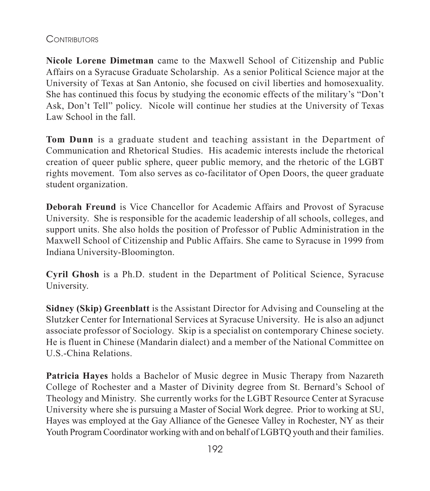#### **CONTRIBUTORS**

**Nicole Lorene Dimetman** came to the Maxwell School of Citizenship and Public Affairs on a Syracuse Graduate Scholarship. As a senior Political Science major at the University of Texas at San Antonio, she focused on civil liberties and homosexuality. She has continued this focus by studying the economic effects of the military's "Don't Ask, Don't Tell" policy. Nicole will continue her studies at the University of Texas Law School in the fall.

**Tom Dunn** is a graduate student and teaching assistant in the Department of Communication and Rhetorical Studies. His academic interests include the rhetorical creation of queer public sphere, queer public memory, and the rhetoric of the LGBT rights movement. Tom also serves as co-facilitator of Open Doors, the queer graduate student organization.

**Deborah Freund** is Vice Chancellor for Academic Affairs and Provost of Syracuse University. She is responsible for the academic leadership of all schools, colleges, and support units. She also holds the position of Professor of Public Administration in the Maxwell School of Citizenship and Public Affairs. She came to Syracuse in 1999 from Indiana University-Bloomington.

**Cyril Ghosh** is a Ph.D. student in the Department of Political Science, Syracuse University.

**Sidney (Skip) Greenblatt** is the Assistant Director for Advising and Counseling at the Slutzker Center for International Services at Syracuse University. He is also an adjunct associate professor of Sociology. Skip is a specialist on contemporary Chinese society. He is fluent in Chinese (Mandarin dialect) and a member of the National Committee on U.S.-China Relations.

**Patricia Hayes** holds a Bachelor of Music degree in Music Therapy from Nazareth College of Rochester and a Master of Divinity degree from St. Bernard's School of Theology and Ministry. She currently works for the LGBT Resource Center at Syracuse University where she is pursuing a Master of Social Work degree. Prior to working at SU, Hayes was employed at the Gay Alliance of the Genesee Valley in Rochester, NY as their Youth Program Coordinator working with and on behalf of LGBTQ youth and their families.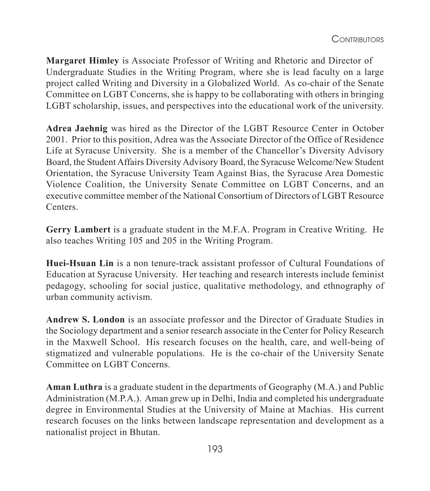**Margaret Himley** is Associate Professor of Writing and Rhetoric and Director of Undergraduate Studies in the Writing Program, where she is lead faculty on a large project called Writing and Diversity in a Globalized World. As co-chair of the Senate Committee on LGBT Concerns, she is happy to be collaborating with others in bringing LGBT scholarship, issues, and perspectives into the educational work of the university.

**Adrea Jaehnig** was hired as the Director of the LGBT Resource Center in October 2001. Prior to this position, Adrea was the Associate Director of the Office of Residence Life at Syracuse University. She is a member of the Chancellor's Diversity Advisory Board, the Student Affairs Diversity Advisory Board, the Syracuse Welcome/New Student Orientation, the Syracuse University Team Against Bias, the Syracuse Area Domestic Violence Coalition, the University Senate Committee on LGBT Concerns, and an executive committee member of the National Consortium of Directors of LGBT Resource Centers.

**Gerry Lambert** is a graduate student in the M.F.A. Program in Creative Writing. He also teaches Writing 105 and 205 in the Writing Program.

**Huei-Hsuan Lin** is a non tenure-track assistant professor of Cultural Foundations of Education at Syracuse University. Her teaching and research interests include feminist pedagogy, schooling for social justice, qualitative methodology, and ethnography of urban community activism.

**Andrew S. London** is an associate professor and the Director of Graduate Studies in the Sociology department and a senior research associate in the Center for Policy Research in the Maxwell School. His research focuses on the health, care, and well-being of stigmatized and vulnerable populations. He is the co-chair of the University Senate Committee on LGBT Concerns.

**Aman Luthra** is a graduate student in the departments of Geography (M.A.) and Public Administration (M.P.A.). Aman grew up in Delhi, India and completed his undergraduate degree in Environmental Studies at the University of Maine at Machias. His current research focuses on the links between landscape representation and development as a nationalist project in Bhutan.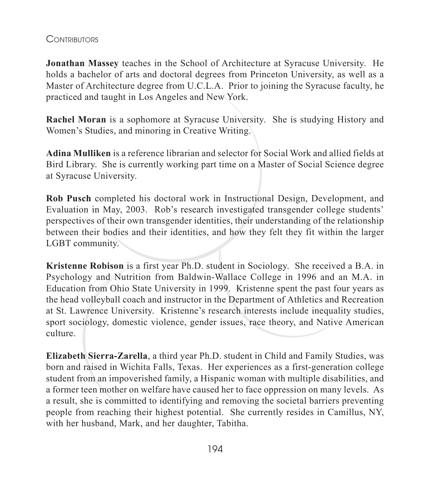### **CONTRIBUTORS**

**Jonathan Massey** teaches in the School of Architecture at Syracuse University. He holds a bachelor of arts and doctoral degrees from Princeton University, as well as a Master of Architecture degree from U.C.L.A. Prior to joining the Syracuse faculty, he practiced and taught in Los Angeles and New York.

**Rachel Moran** is a sophomore at Syracuse University. She is studying History and Women's Studies, and minoring in Creative Writing.

**Adina Mulliken** is a reference librarian and selector for Social Work and allied fields at Bird Library. She is currently working part time on a Master of Social Science degree at Syracuse University.

**Rob Pusch** completed his doctoral work in Instructional Design, Development, and Evaluation in May, 2003. Rob's research investigated transgender college students' perspectives of their own transgender identities, their understanding of the relationship between their bodies and their identities, and how they felt they fit within the larger LGBT community.

**Kristenne Robison** is a first year Ph.D. student in Sociology. She received a B.A. in Psychology and Nutrition from Baldwin-Wallace College in 1996 and an M.A. in Education from Ohio State University in 1999. Kristenne spent the past four years as the head volleyball coach and instructor in the Department of Athletics and Recreation at St. Lawrence University. Kristenne's research interests include inequality studies, sport sociology, domestic violence, gender issues, race theory, and Native American culture.

**Elizabeth Sierra-Zarella**, a third year Ph.D. student in Child and Family Studies, was born and raised in Wichita Falls, Texas. Her experiences as a first-generation college student from an impoverished family, a Hispanic woman with multiple disabilities, and a former teen mother on welfare have caused her to face oppression on many levels. As a result, she is committed to identifying and removing the societal barriers preventing people from reaching their highest potential. She currently resides in Camillus, NY, with her husband, Mark, and her daughter, Tabitha.